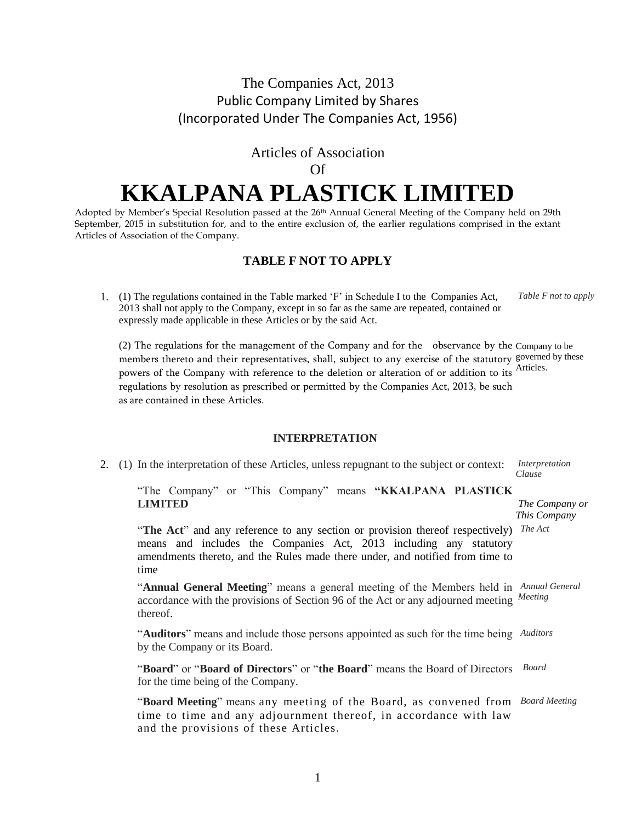# The Companies Act, 2013 Public Company Limited by Shares (Incorporated Under The Companies Act, 1956)

# Articles of Association

### Of

# **KKALPANA PLASTICK LIMITED**

Adopted by Member's Special Resolution passed at the 26<sup>th</sup> Annual General Meeting of the Company held on 29th September, 2015 in substitution for, and to the entire exclusion of, the earlier regulations comprised in the extant Articles of Association of the Company.

# **TABLE F NOT TO APPLY**

1. (1) The regulations contained in the Table marked 'F' in Schedule I to the Companies Act, 2013 shall not apply to the Company, except in so far as the same are repeated, contained or expressly made applicable in these Articles or by the said Act. *Table F not to apply*

(2) The regulations for the management of the Company and for the observance by the Company to be members thereto and their representatives, shall, subject to any exercise of the statutory governed by these powers of the Company with reference to the deletion or alteration of or addition to its Articles. regulations by resolution as prescribed or permitted by the Companies Act, 2013, be such as are contained in these Articles.

#### **INTERPRETATION**

2. (1) In the interpretation of these Articles, unless repugnant to the subject or context:

*Interpretation Clause*

"The Company" or "This Company" means **"KKALPANA PLASTICK LIMITED**

*The Company or This Company*

"The Act" and any reference to any section or provision thereof respectively) The Act means and includes the Companies Act, 2013 including any statutory amendments thereto, and the Rules made there under, and notified from time to time

"**Annual General Meeting**" means a general meeting of the Members held in  *Annual General* accordance with the provisions of Section 96 of the Act or any adjourned meeting *Meeting* thereof.

"Auditors" means and include those persons appointed as such for the time being Auditors by the Company or its Board.

"**Board**" or "**Board of Directors**" or "**the Board**" means the Board of Directors  *Board* for the time being of the Company.

"Board Meeting" means any meeting of the Board, as convened from Board Meeting time to time and any adjournment thereof, in accordance with law and the provisions of these Articles.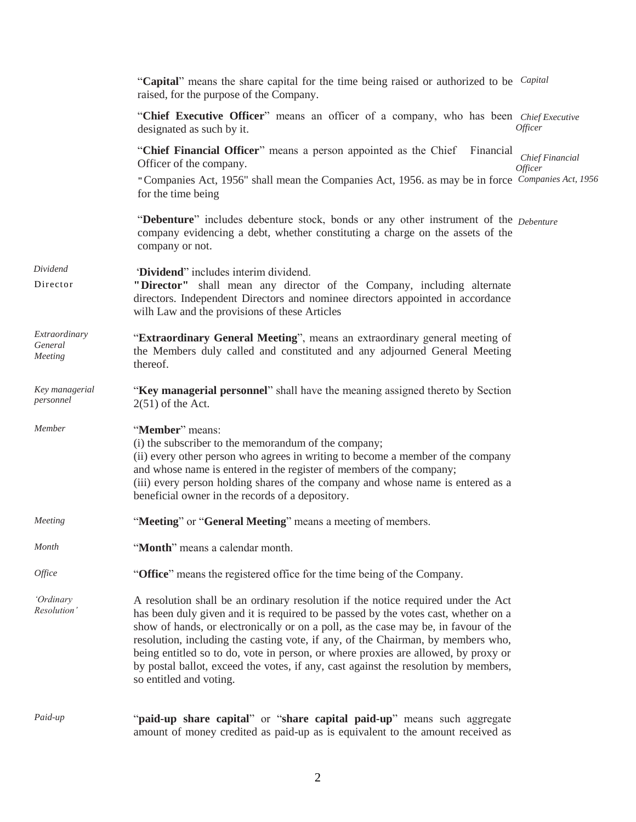|                                     | "Capital" means the share capital for the time being raised or authorized to be <i>Capital</i><br>raised, for the purpose of the Company.                                                                                                                                                                                                                                                                                                                                                                                                                   |
|-------------------------------------|-------------------------------------------------------------------------------------------------------------------------------------------------------------------------------------------------------------------------------------------------------------------------------------------------------------------------------------------------------------------------------------------------------------------------------------------------------------------------------------------------------------------------------------------------------------|
|                                     | "Chief Executive Officer" means an officer of a company, who has been Chief Executive<br>Officer<br>designated as such by it.                                                                                                                                                                                                                                                                                                                                                                                                                               |
|                                     | "Chief Financial Officer" means a person appointed as the Chief Financial<br>Chief Financial<br>Officer of the company.<br>Officer<br>"Companies Act, 1956" shall mean the Companies Act, 1956. as may be in force Companies Act, 1956<br>for the time being                                                                                                                                                                                                                                                                                                |
|                                     | "Debenture" includes debenture stock, bonds or any other instrument of the Debenture<br>company evidencing a debt, whether constituting a charge on the assets of the<br>company or not.                                                                                                                                                                                                                                                                                                                                                                    |
| Dividend<br>Director                | "Dividend" includes interim dividend.<br>"Director" shall mean any director of the Company, including alternate<br>directors. Independent Directors and nominee directors appointed in accordance<br>wilh Law and the provisions of these Articles                                                                                                                                                                                                                                                                                                          |
| Extraordinary<br>General<br>Meeting | "Extraordinary General Meeting", means an extraordinary general meeting of<br>the Members duly called and constituted and any adjourned General Meeting<br>thereof.                                                                                                                                                                                                                                                                                                                                                                                         |
| Key managerial<br>personnel         | "Key managerial personnel" shall have the meaning assigned thereto by Section<br>$2(51)$ of the Act.                                                                                                                                                                                                                                                                                                                                                                                                                                                        |
| Member                              | "Member" means:<br>(i) the subscriber to the memorandum of the company;<br>(ii) every other person who agrees in writing to become a member of the company<br>and whose name is entered in the register of members of the company;<br>(iii) every person holding shares of the company and whose name is entered as a<br>beneficial owner in the records of a depository.                                                                                                                                                                                   |
| Meeting                             | "Meeting" or "General Meeting" means a meeting of members.                                                                                                                                                                                                                                                                                                                                                                                                                                                                                                  |
| Month                               | "Month" means a calendar month.                                                                                                                                                                                                                                                                                                                                                                                                                                                                                                                             |
| <i><b>Office</b></i>                | "Office" means the registered office for the time being of the Company.                                                                                                                                                                                                                                                                                                                                                                                                                                                                                     |
| 'Ordinary<br>Resolution'            | A resolution shall be an ordinary resolution if the notice required under the Act<br>has been duly given and it is required to be passed by the votes cast, whether on a<br>show of hands, or electronically or on a poll, as the case may be, in favour of the<br>resolution, including the casting vote, if any, of the Chairman, by members who,<br>being entitled so to do, vote in person, or where proxies are allowed, by proxy or<br>by postal ballot, exceed the votes, if any, cast against the resolution by members,<br>so entitled and voting. |
| Paid-up                             | "paid-up share capital" or "share capital paid-up" means such aggregate<br>amount of money credited as paid-up as is equivalent to the amount received as                                                                                                                                                                                                                                                                                                                                                                                                   |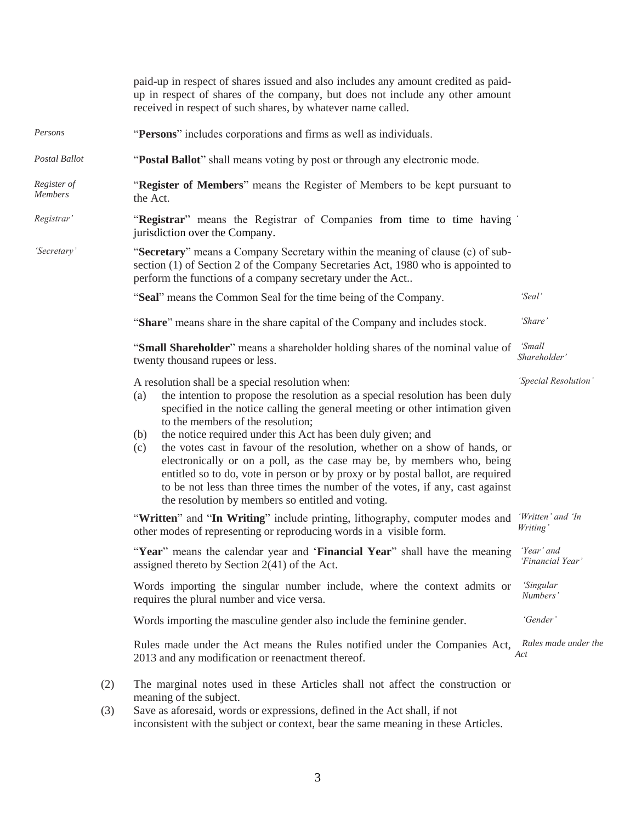|                        | paid-up in respect of shares issued and also includes any amount credited as paid-<br>up in respect of shares of the company, but does not include any other amount<br>received in respect of such shares, by whatever name called.                                                                                                                                                                                                                                                                                                                                                                                                                                                                                          |                                |  |  |
|------------------------|------------------------------------------------------------------------------------------------------------------------------------------------------------------------------------------------------------------------------------------------------------------------------------------------------------------------------------------------------------------------------------------------------------------------------------------------------------------------------------------------------------------------------------------------------------------------------------------------------------------------------------------------------------------------------------------------------------------------------|--------------------------------|--|--|
| Persons                | "Persons" includes corporations and firms as well as individuals.                                                                                                                                                                                                                                                                                                                                                                                                                                                                                                                                                                                                                                                            |                                |  |  |
| Postal Ballot          | "Postal Ballot" shall means voting by post or through any electronic mode.                                                                                                                                                                                                                                                                                                                                                                                                                                                                                                                                                                                                                                                   |                                |  |  |
| Register of<br>Members | "Register of Members" means the Register of Members to be kept pursuant to<br>the Act.                                                                                                                                                                                                                                                                                                                                                                                                                                                                                                                                                                                                                                       |                                |  |  |
| Registrar'             | "Registrar" means the Registrar of Companies from time to time having<br>jurisdiction over the Company.                                                                                                                                                                                                                                                                                                                                                                                                                                                                                                                                                                                                                      |                                |  |  |
| 'Secretary'            | "Secretary" means a Company Secretary within the meaning of clause (c) of sub-<br>section (1) of Section 2 of the Company Secretaries Act, 1980 who is appointed to<br>perform the functions of a company secretary under the Act                                                                                                                                                                                                                                                                                                                                                                                                                                                                                            |                                |  |  |
|                        | "Seal" means the Common Seal for the time being of the Company.                                                                                                                                                                                                                                                                                                                                                                                                                                                                                                                                                                                                                                                              | 'Seal'                         |  |  |
|                        | "Share" means share in the share capital of the Company and includes stock.                                                                                                                                                                                                                                                                                                                                                                                                                                                                                                                                                                                                                                                  | 'Share'                        |  |  |
|                        | "Small Shareholder" means a shareholder holding shares of the nominal value of<br>twenty thousand rupees or less.                                                                                                                                                                                                                                                                                                                                                                                                                                                                                                                                                                                                            | <i>'Small</i><br>Shareholder'  |  |  |
|                        | A resolution shall be a special resolution when:<br>the intention to propose the resolution as a special resolution has been duly<br>(a)<br>specified in the notice calling the general meeting or other intimation given<br>to the members of the resolution;<br>the notice required under this Act has been duly given; and<br>(b)<br>the votes cast in favour of the resolution, whether on a show of hands, or<br>(c)<br>electronically or on a poll, as the case may be, by members who, being<br>entitled so to do, vote in person or by proxy or by postal ballot, are required<br>to be not less than three times the number of the votes, if any, cast against<br>the resolution by members so entitled and voting. | 'Special Resolution'           |  |  |
|                        | "Written" and "In Writing" include printing, lithography, computer modes and<br>other modes of representing or reproducing words in a visible form.                                                                                                                                                                                                                                                                                                                                                                                                                                                                                                                                                                          | 'Written' and 'In<br>Writing'  |  |  |
|                        | "Year" means the calendar year and 'Financial Year" shall have the meaning<br>assigned thereto by Section $2(41)$ of the Act.                                                                                                                                                                                                                                                                                                                                                                                                                                                                                                                                                                                                | 'Year' and<br>'Financial Year' |  |  |
|                        | Words importing the singular number include, where the context admits or<br>requires the plural number and vice versa.                                                                                                                                                                                                                                                                                                                                                                                                                                                                                                                                                                                                       | 'Singular<br>Numbers'          |  |  |
|                        | Words importing the masculine gender also include the feminine gender.                                                                                                                                                                                                                                                                                                                                                                                                                                                                                                                                                                                                                                                       | 'Gender'                       |  |  |
|                        | Rules made under the Act means the Rules notified under the Companies Act,<br>2013 and any modification or reenactment thereof.                                                                                                                                                                                                                                                                                                                                                                                                                                                                                                                                                                                              | Rules made under the<br>Act    |  |  |
| (2)<br>(3)             | The marginal notes used in these Articles shall not affect the construction or<br>meaning of the subject.<br>Save as aforesaid, words or expressions, defined in the Act shall, if not<br>inconsistent with the subject or context, bear the same meaning in these Articles.                                                                                                                                                                                                                                                                                                                                                                                                                                                 |                                |  |  |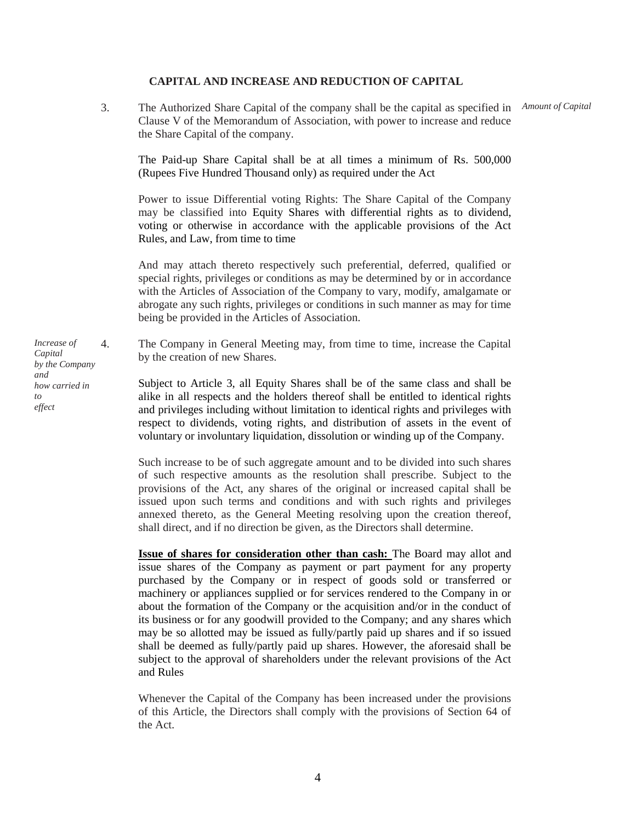#### **CAPITAL AND INCREASE AND REDUCTION OF CAPITAL**

3. The Authorized Share Capital of the company shall be the capital as specified in  *Amount of Capital* Clause V of the Memorandum of Association, with power to increase and reduce the Share Capital of the company.

The Paid-up Share Capital shall be at all times a minimum of Rs. 500,000 (Rupees Five Hundred Thousand only) as required under the Act

Power to issue Differential voting Rights: The Share Capital of the Company may be classified into Equity Shares with differential rights as to dividend, voting or otherwise in accordance with the applicable provisions of the Act Rules, and Law, from time to time

And may attach thereto respectively such preferential, deferred, qualified or special rights, privileges or conditions as may be determined by or in accordance with the Articles of Association of the Company to vary, modify, amalgamate or abrogate any such rights, privileges or conditions in such manner as may for time being be provided in the Articles of Association.

4. The Company in General Meeting may, from time to time, increase the Capital by the creation of new Shares.

Subject to Article 3, all Equity Shares shall be of the same class and shall be alike in all respects and the holders thereof shall be entitled to identical rights and privileges including without limitation to identical rights and privileges with respect to dividends, voting rights, and distribution of assets in the event of voluntary or involuntary liquidation, dissolution or winding up of the Company.

Such increase to be of such aggregate amount and to be divided into such shares of such respective amounts as the resolution shall prescribe. Subject to the provisions of the Act, any shares of the original or increased capital shall be issued upon such terms and conditions and with such rights and privileges annexed thereto, as the General Meeting resolving upon the creation thereof, shall direct, and if no direction be given, as the Directors shall determine.

**Issue of shares for consideration other than cash:** The Board may allot and issue shares of the Company as payment or part payment for any property purchased by the Company or in respect of goods sold or transferred or machinery or appliances supplied or for services rendered to the Company in or about the formation of the Company or the acquisition and/or in the conduct of its business or for any goodwill provided to the Company; and any shares which may be so allotted may be issued as fully/partly paid up shares and if so issued shall be deemed as fully/partly paid up shares. However, the aforesaid shall be subject to the approval of shareholders under the relevant provisions of the Act and Rules

Whenever the Capital of the Company has been increased under the provisions of this Article, the Directors shall comply with the provisions of Section 64 of the Act.

*Increase of Capital by the Company and how carried in to effect*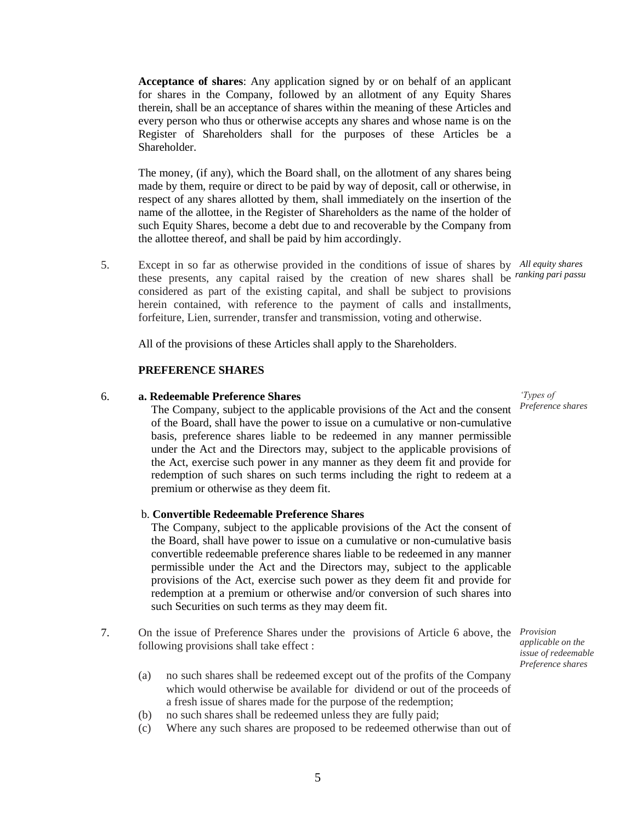**Acceptance of shares**: Any application signed by or on behalf of an applicant for shares in the Company, followed by an allotment of any Equity Shares therein, shall be an acceptance of shares within the meaning of these Articles and every person who thus or otherwise accepts any shares and whose name is on the Register of Shareholders shall for the purposes of these Articles be a Shareholder.

The money, (if any), which the Board shall, on the allotment of any shares being made by them, require or direct to be paid by way of deposit, call or otherwise, in respect of any shares allotted by them, shall immediately on the insertion of the name of the allottee, in the Register of Shareholders as the name of the holder of such Equity Shares, become a debt due to and recoverable by the Company from the allottee thereof, and shall be paid by him accordingly.

5. Except in so far as otherwise provided in the conditions of issue of shares by  *All equity shares*  these presents, any capital raised by the creation of new shares shall be *ranking pari passu* considered as part of the existing capital, and shall be subject to provisions herein contained, with reference to the payment of calls and installments, forfeiture, Lien, surrender, transfer and transmission, voting and otherwise.

All of the provisions of these Articles shall apply to the Shareholders.

#### **PREFERENCE SHARES**

#### 6. **a. Redeemable Preference Shares**

The Company, subject to the applicable provisions of the Act and the consent of the Board, shall have the power to issue on a cumulative or non-cumulative basis, preference shares liable to be redeemed in any manner permissible under the Act and the Directors may, subject to the applicable provisions of the Act, exercise such power in any manner as they deem fit and provide for redemption of such shares on such terms including the right to redeem at a premium or otherwise as they deem fit.

#### b. **Convertible Redeemable Preference Shares**

The Company, subject to the applicable provisions of the Act the consent of the Board, shall have power to issue on a cumulative or non-cumulative basis convertible redeemable preference shares liable to be redeemed in any manner permissible under the Act and the Directors may, subject to the applicable provisions of the Act, exercise such power as they deem fit and provide for redemption at a premium or otherwise and/or conversion of such shares into such Securities on such terms as they may deem fit.

- 7. On the issue of Preference Shares under the provisions of Article 6 above, the *Provision* following provisions shall take effect :
	- (a) no such shares shall be redeemed except out of the profits of the Company which would otherwise be available for dividend or out of the proceeds of a fresh issue of shares made for the purpose of the redemption;
	- (b) no such shares shall be redeemed unless they are fully paid;
	- (c) Where any such shares are proposed to be redeemed otherwise than out of

 *'Types of Preference shares*

 *applicable on the issue of redeemable Preference shares*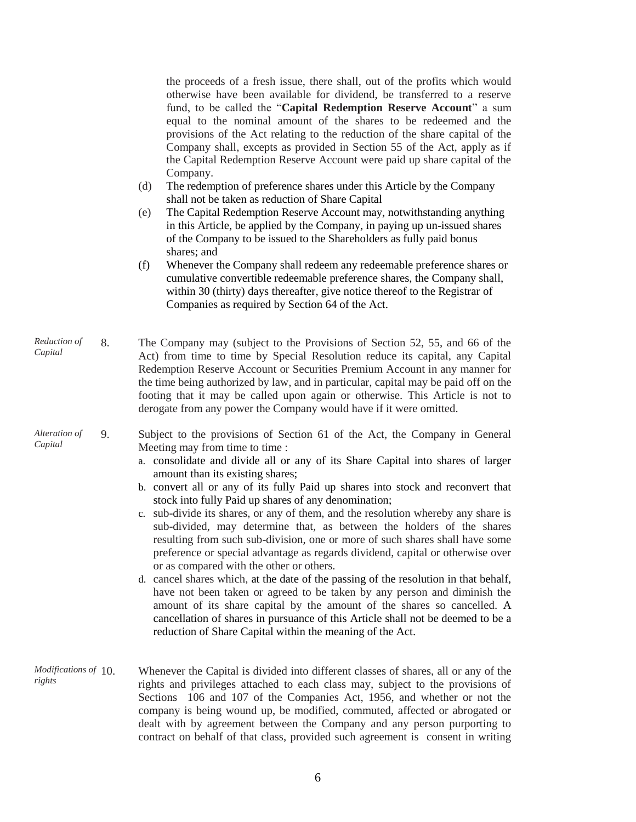the proceeds of a fresh issue, there shall, out of the profits which would otherwise have been available for dividend, be transferred to a reserve fund, to be called the "**Capital Redemption Reserve Account**" a sum equal to the nominal amount of the shares to be redeemed and the provisions of the Act relating to the reduction of the share capital of the Company shall, excepts as provided in Section 55 of the Act, apply as if the Capital Redemption Reserve Account were paid up share capital of the Company.

- (d) The redemption of preference shares under this Article by the Company shall not be taken as reduction of Share Capital
- (e) The Capital Redemption Reserve Account may, notwithstanding anything in this Article, be applied by the Company, in paying up un-issued shares of the Company to be issued to the Shareholders as fully paid bonus shares; and
- (f) Whenever the Company shall redeem any redeemable preference shares or cumulative convertible redeemable preference shares, the Company shall, within 30 (thirty) days thereafter, give notice thereof to the Registrar of Companies as required by Section 64 of the Act.
- *Reduction of Capital* 8. The Company may (subject to the Provisions of Section 52, 55, and 66 of the Act) from time to time by Special Resolution reduce its capital, any Capital Redemption Reserve Account or Securities Premium Account in any manner for the time being authorized by law, and in particular, capital may be paid off on the footing that it may be called upon again or otherwise. This Article is not to derogate from any power the Company would have if it were omitted.
- *Alteration of Capital*

9. Subject to the provisions of Section 61 of the Act, the Company in General Meeting may from time to time :

- a. consolidate and divide all or any of its Share Capital into shares of larger amount than its existing shares;
- b. convert all or any of its fully Paid up shares into stock and reconvert that stock into fully Paid up shares of any denomination;
- c. sub-divide its shares, or any of them, and the resolution whereby any share is sub-divided, may determine that, as between the holders of the shares resulting from such sub-division, one or more of such shares shall have some preference or special advantage as regards dividend, capital or otherwise over or as compared with the other or others.
- d. cancel shares which, at the date of the passing of the resolution in that behalf, have not been taken or agreed to be taken by any person and diminish the amount of its share capital by the amount of the shares so cancelled. A cancellation of shares in pursuance of this Article shall not be deemed to be a reduction of Share Capital within the meaning of the Act.
- *Modifications of rights* Whenever the Capital is divided into different classes of shares, all or any of the rights and privileges attached to each class may, subject to the provisions of Sections 106 and 107 of the Companies Act, 1956, and whether or not the company is being wound up, be modified, commuted, affected or abrogated or dealt with by agreement between the Company and any person purporting to contract on behalf of that class, provided such agreement is consent in writing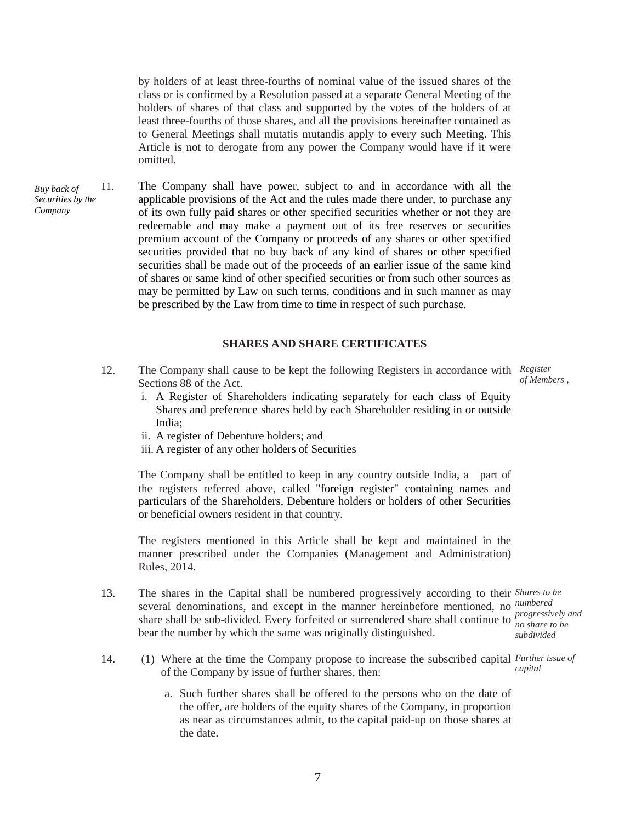by holders of at least three-fourths of nominal value of the issued shares of the class or is confirmed by a Resolution passed at a separate General Meeting of the holders of shares of that class and supported by the votes of the holders of at least three-fourths of those shares, and all the provisions hereinafter contained as to General Meetings shall mutatis mutandis apply to every such Meeting. This Article is not to derogate from any power the Company would have if it were omitted.

*Buy back of Securities by the Company* 11. The Company shall have power, subject to and in accordance with all the applicable provisions of the Act and the rules made there under, to purchase any of its own fully paid shares or other specified securities whether or not they are redeemable and may make a payment out of its free reserves or securities premium account of the Company or proceeds of any shares or other specified securities provided that no buy back of any kind of shares or other specified securities shall be made out of the proceeds of an earlier issue of the same kind of shares or same kind of other specified securities or from such other sources as may be permitted by Law on such terms, conditions and in such manner as may be prescribed by the Law from time to time in respect of such purchase.

#### **SHARES AND SHARE CERTIFICATES**

- 12. The Company shall cause to be kept the following Registers in accordance with Register Sections 88 of the Act.  *of Members ,*
	- i. A Register of Shareholders indicating separately for each class of Equity Shares and preference shares held by each Shareholder residing in or outside India;
	- ii. A register of Debenture holders; and
	- iii. A register of any other holders of Securities

The Company shall be entitled to keep in any country outside India, a part of the registers referred above, called "foreign register" containing names and particulars of the Shareholders, Debenture holders or holders of other Securities or beneficial owners resident in that country.

The registers mentioned in this Article shall be kept and maintained in the manner prescribed under the Companies (Management and Administration) Rules, 2014.

- 13. The shares in the Capital shall be numbered progressively according to their *Shares to be* several denominations, and except in the manner hereinbefore mentioned, no *numbered* share shall be sub-divided. Every forfeited or surrendered share shall continue to *progressively and* bear the number by which the same was originally distinguished. *no share to be subdivided*
- 14. (1) Where at the time the Company propose to increase the subscribed capital *Further issue of* of the Company by issue of further shares, then: *capital*
	- a. Such further shares shall be offered to the persons who on the date of the offer, are holders of the equity shares of the Company, in proportion as near as circumstances admit, to the capital paid-up on those shares at the date.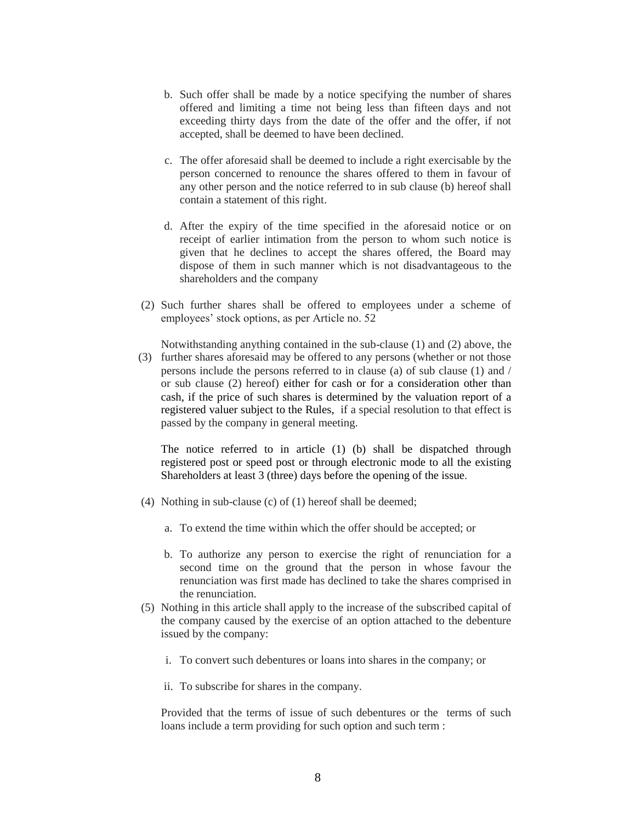- b. Such offer shall be made by a notice specifying the number of shares offered and limiting a time not being less than fifteen days and not exceeding thirty days from the date of the offer and the offer, if not accepted, shall be deemed to have been declined.
- c. The offer aforesaid shall be deemed to include a right exercisable by the person concerned to renounce the shares offered to them in favour of any other person and the notice referred to in sub clause (b) hereof shall contain a statement of this right.
- d. After the expiry of the time specified in the aforesaid notice or on receipt of earlier intimation from the person to whom such notice is given that he declines to accept the shares offered, the Board may dispose of them in such manner which is not disadvantageous to the shareholders and the company
- (2) Such further shares shall be offered to employees under a scheme of employees' stock options, as per Article no. 52

Notwithstanding anything contained in the sub-clause (1) and (2) above, the

(3) further shares aforesaid may be offered to any persons (whether or not those persons include the persons referred to in clause (a) of sub clause (1) and / or sub clause (2) hereof) either for cash or for a consideration other than cash, if the price of such shares is determined by the valuation report of a registered valuer subject to the Rules, if a special resolution to that effect is passed by the company in general meeting.

The notice referred to in article (1) (b) shall be dispatched through registered post or speed post or through electronic mode to all the existing Shareholders at least 3 (three) days before the opening of the issue.

- (4) Nothing in sub-clause (c) of (1) hereof shall be deemed;
	- a. To extend the time within which the offer should be accepted; or
	- b. To authorize any person to exercise the right of renunciation for a second time on the ground that the person in whose favour the renunciation was first made has declined to take the shares comprised in the renunciation.
- (5) Nothing in this article shall apply to the increase of the subscribed capital of the company caused by the exercise of an option attached to the debenture issued by the company:
	- i. To convert such debentures or loans into shares in the company; or
	- ii. To subscribe for shares in the company.

Provided that the terms of issue of such debentures or the terms of such loans include a term providing for such option and such term :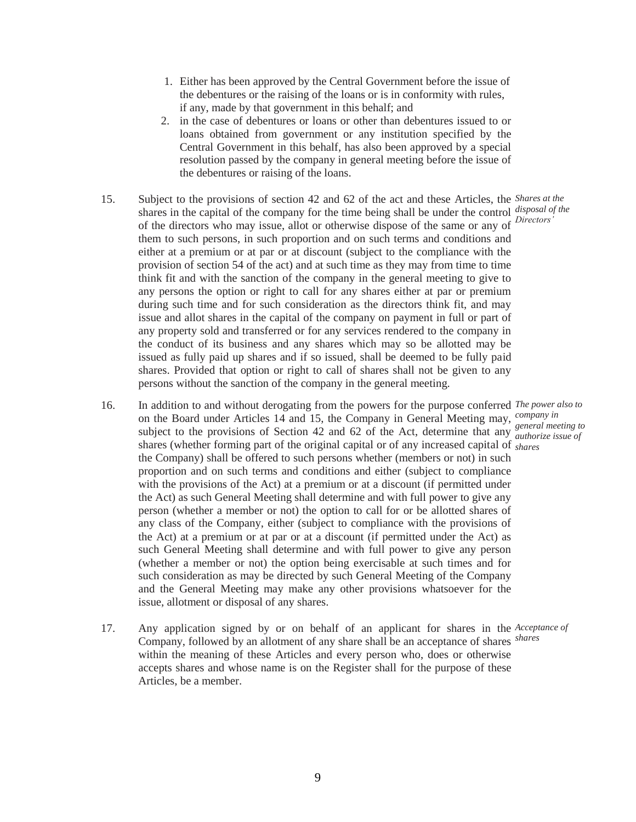- 1. Either has been approved by the Central Government before the issue of the debentures or the raising of the loans or is in conformity with rules, if any, made by that government in this behalf; and
- 2. in the case of debentures or loans or other than debentures issued to or loans obtained from government or any institution specified by the Central Government in this behalf, has also been approved by a special resolution passed by the company in general meeting before the issue of the debentures or raising of the loans.
- 15. Subject to the provisions of section 42 and 62 of the act and these Articles, the *Shares at the* shares in the capital of the company for the time being shall be under the control *disposal of the* of the directors who may issue, allot or otherwise dispose of the same or any of *Directors'* them to such persons, in such proportion and on such terms and conditions and either at a premium or at par or at discount (subject to the compliance with the provision of section 54 of the act) and at such time as they may from time to time think fit and with the sanction of the company in the general meeting to give to any persons the option or right to call for any shares either at par or premium during such time and for such consideration as the directors think fit, and may issue and allot shares in the capital of the company on payment in full or part of any property sold and transferred or for any services rendered to the company in the conduct of its business and any shares which may so be allotted may be issued as fully paid up shares and if so issued, shall be deemed to be fully paid shares. Provided that option or right to call of shares shall not be given to any persons without the sanction of the company in the general meeting.
- 16. In addition to and without derogating from the powers for the purpose conferred *The power also to* on the Board under Articles 14 and 15, the Company in General Meeting may, *company in* subject to the provisions of Section 42 and 62 of the Act, determine that any *authorize issue of* shares (whether forming part of the original capital or of any increased capital of *shares* the Company) shall be offered to such persons whether (members or not) in such proportion and on such terms and conditions and either (subject to compliance with the provisions of the Act) at a premium or at a discount (if permitted under the Act) as such General Meeting shall determine and with full power to give any person (whether a member or not) the option to call for or be allotted shares of any class of the Company, either (subject to compliance with the provisions of the Act) at a premium or at par or at a discount (if permitted under the Act) as such General Meeting shall determine and with full power to give any person (whether a member or not) the option being exercisable at such times and for such consideration as may be directed by such General Meeting of the Company and the General Meeting may make any other provisions whatsoever for the issue, allotment or disposal of any shares. *authorize issue of*
- 17. Any application signed by or on behalf of an applicant for shares in the *Acceptance of* Company, followed by an allotment of any share shall be an acceptance of shares *shares*within the meaning of these Articles and every person who, does or otherwise accepts shares and whose name is on the Register shall for the purpose of these Articles, be a member.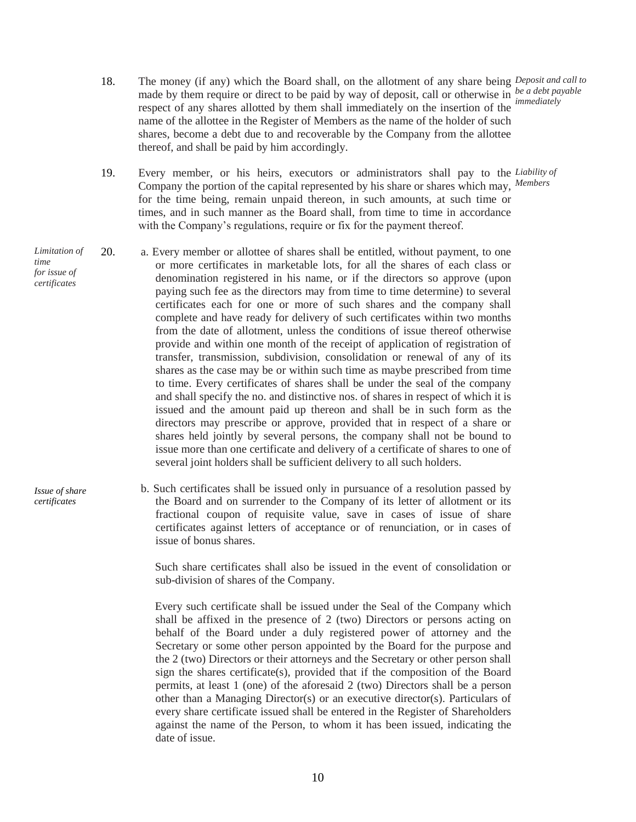- 18. The money (if any) which the Board shall, on the allotment of any share being *Deposit and call to* made by them require or direct to be paid by way of deposit, call or otherwise in *be a debt payable* respect of any shares allotted by them shall immediately on the insertion of the name of the allottee in the Register of Members as the name of the holder of such shares, become a debt due to and recoverable by the Company from the allottee thereof, and shall be paid by him accordingly. *immediately*
- 19. Every member, or his heirs, executors or administrators shall pay to the *Liability of* Company the portion of the capital represented by his share or shares which may, *Members* for the time being, remain unpaid thereon, in such amounts, at such time or times, and in such manner as the Board shall, from time to time in accordance with the Company's regulations, require or fix for the payment thereof.
- 20. a. Every member or allottee of shares shall be entitled, without payment, to one or more certificates in marketable lots, for all the shares of each class or denomination registered in his name, or if the directors so approve (upon paying such fee as the directors may from time to time determine) to several certificates each for one or more of such shares and the company shall complete and have ready for delivery of such certificates within two months from the date of allotment, unless the conditions of issue thereof otherwise provide and within one month of the receipt of application of registration of transfer, transmission, subdivision, consolidation or renewal of any of its shares as the case may be or within such time as maybe prescribed from time to time. Every certificates of shares shall be under the seal of the company and shall specify the no. and distinctive nos. of shares in respect of which it is issued and the amount paid up thereon and shall be in such form as the directors may prescribe or approve, provided that in respect of a share or shares held jointly by several persons, the company shall not be bound to issue more than one certificate and delivery of a certificate of shares to one of several joint holders shall be sufficient delivery to all such holders.
	- b. Such certificates shall be issued only in pursuance of a resolution passed by the Board and on surrender to the Company of its letter of allotment or its fractional coupon of requisite value, save in cases of issue of share certificates against letters of acceptance or of renunciation, or in cases of issue of bonus shares.

 Such share certificates shall also be issued in the event of consolidation or sub-division of shares of the Company.

 Every such certificate shall be issued under the Seal of the Company which shall be affixed in the presence of 2 (two) Directors or persons acting on behalf of the Board under a duly registered power of attorney and the Secretary or some other person appointed by the Board for the purpose and the 2 (two) Directors or their attorneys and the Secretary or other person shall sign the shares certificate(s), provided that if the composition of the Board permits, at least 1 (one) of the aforesaid 2 (two) Directors shall be a person other than a Managing Director(s) or an executive director(s). Particulars of every share certificate issued shall be entered in the Register of Shareholders against the name of the Person, to whom it has been issued, indicating the date of issue.

*Limitation of time for issue of certificates*

*Issue of share certificates*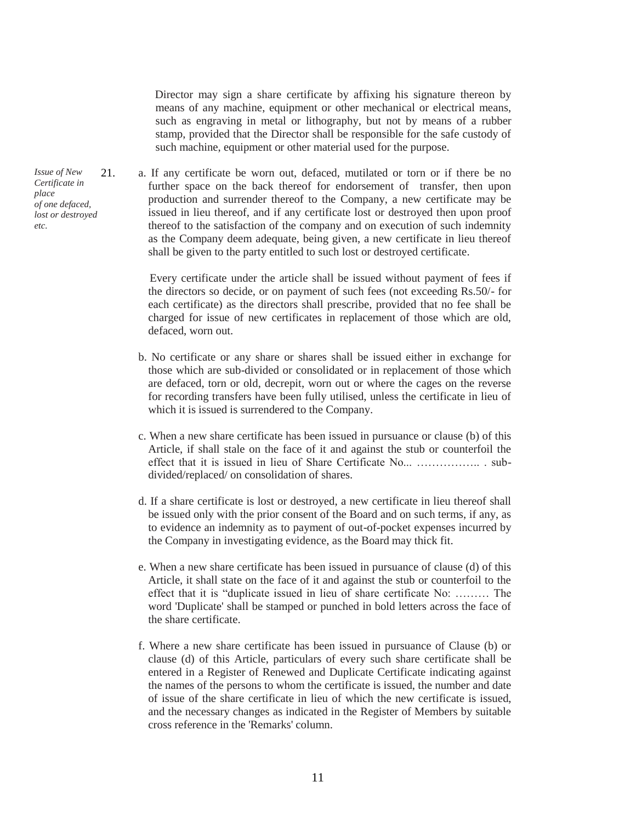Director may sign a share certificate by affixing his signature thereon by means of any machine, equipment or other mechanical or electrical means, such as engraving in metal or lithography, but not by means of a rubber stamp, provided that the Director shall be responsible for the safe custody of such machine, equipment or other material used for the purpose.

21. a. If any certificate be worn out, defaced, mutilated or torn or if there be no further space on the back thereof for endorsement of transfer, then upon production and surrender thereof to the Company, a new certificate may be issued in lieu thereof, and if any certificate lost or destroyed then upon proof thereof to the satisfaction of the company and on execution of such indemnity as the Company deem adequate, being given, a new certificate in lieu thereof shall be given to the party entitled to such lost or destroyed certificate.

> Every certificate under the article shall be issued without payment of fees if the directors so decide, or on payment of such fees (not exceeding Rs.50/- for each certificate) as the directors shall prescribe, provided that no fee shall be charged for issue of new certificates in replacement of those which are old, defaced, worn out.

- b. No certificate or any share or shares shall be issued either in exchange for those which are sub-divided or consolidated or in replacement of those which are defaced, torn or old, decrepit, worn out or where the cages on the reverse for recording transfers have been fully utilised, unless the certificate in lieu of which it is issued is surrendered to the Company.
- c. When a new share certificate has been issued in pursuance or clause (b) of this Article, if shall stale on the face of it and against the stub or counterfoil the effect that it is issued in lieu of Share Certificate No... …………….. . subdivided/replaced/ on consolidation of shares.
- d. If a share certificate is lost or destroyed, a new certificate in lieu thereof shall be issued only with the prior consent of the Board and on such terms, if any, as to evidence an indemnity as to payment of out-of-pocket expenses incurred by the Company in investigating evidence, as the Board may thick fit.
- e. When a new share certificate has been issued in pursuance of clause (d) of this Article, it shall state on the face of it and against the stub or counterfoil to the effect that it is "duplicate issued in lieu of share certificate No: ……… The word 'Duplicate' shall be stamped or punched in bold letters across the face of the share certificate.
- f. Where a new share certificate has been issued in pursuance of Clause (b) or clause (d) of this Article, particulars of every such share certificate shall be entered in a Register of Renewed and Duplicate Certificate indicating against the names of the persons to whom the certificate is issued, the number and date of issue of the share certificate in lieu of which the new certificate is issued, and the necessary changes as indicated in the Register of Members by suitable cross reference in the 'Remarks' column.

*Issue of New Certificate in place of one defaced, lost or destroyed etc.*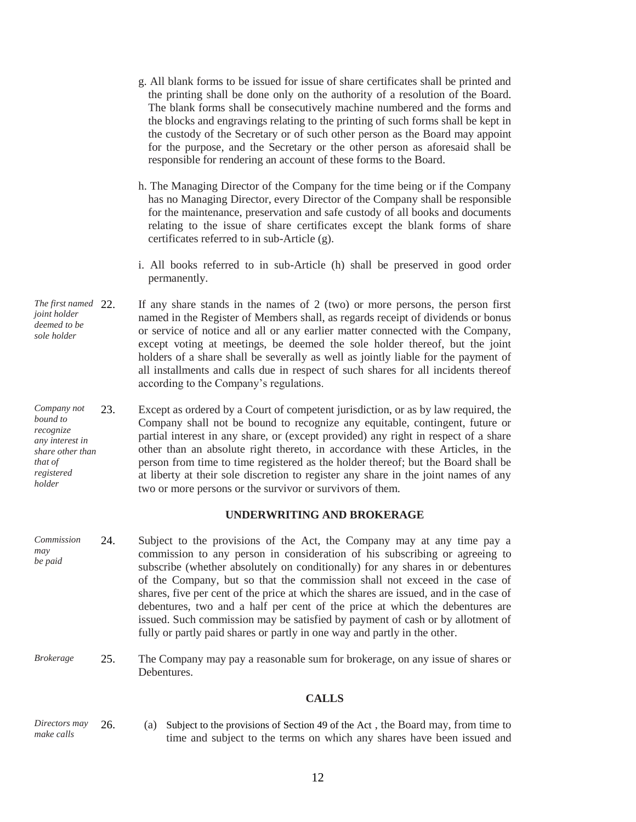- g. All blank forms to be issued for issue of share certificates shall be printed and the printing shall be done only on the authority of a resolution of the Board. The blank forms shall be consecutively machine numbered and the forms and the blocks and engravings relating to the printing of such forms shall be kept in the custody of the Secretary or of such other person as the Board may appoint for the purpose, and the Secretary or the other person as aforesaid shall be responsible for rendering an account of these forms to the Board.
- h. The Managing Director of the Company for the time being or if the Company has no Managing Director, every Director of the Company shall be responsible for the maintenance, preservation and safe custody of all books and documents relating to the issue of share certificates except the blank forms of share certificates referred to in sub-Article (g).
- i. All books referred to in sub-Article (h) shall be preserved in good order permanently.
- *The first named joint holder deemed to be sole holder* If any share stands in the names of  $2 \text{ (two)}$  or more persons, the person first named in the Register of Members shall, as regards receipt of dividends or bonus or service of notice and all or any earlier matter connected with the Company, except voting at meetings, be deemed the sole holder thereof, but the joint holders of a share shall be severally as well as jointly liable for the payment of all installments and calls due in respect of such shares for all incidents thereof according to the Company's regulations.
- *Company not bound to recognize any interest in share other than that of registered holder* 23. Except as ordered by a Court of competent jurisdiction, or as by law required, the Company shall not be bound to recognize any equitable, contingent, future or partial interest in any share, or (except provided) any right in respect of a share other than an absolute right thereto, in accordance with these Articles, in the person from time to time registered as the holder thereof; but the Board shall be at liberty at their sole discretion to register any share in the joint names of any two or more persons or the survivor or survivors of them.

#### **UNDERWRITING AND BROKERAGE**

- *Commission may be paid* 24. Subject to the provisions of the Act, the Company may at any time pay a commission to any person in consideration of his subscribing or agreeing to subscribe (whether absolutely on conditionally) for any shares in or debentures of the Company, but so that the commission shall not exceed in the case of shares, five per cent of the price at which the shares are issued, and in the case of debentures, two and a half per cent of the price at which the debentures are issued. Such commission may be satisfied by payment of cash or by allotment of fully or partly paid shares or partly in one way and partly in the other.
- *Brokerage* 25. The Company may pay a reasonable sum for brokerage, on any issue of shares or **Debentures**

#### **CALLS**

*Directors may make calls* 26. (a) Subject to the provisions of Section 49 of the Act , the Board may, from time to time and subject to the terms on which any shares have been issued and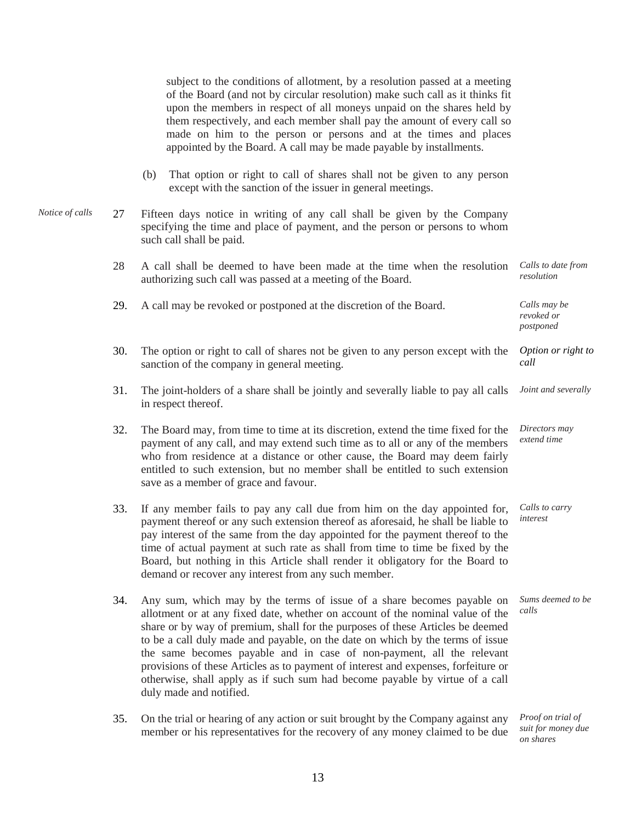subject to the conditions of allotment, by a resolution passed at a meeting of the Board (and not by circular resolution) make such call as it thinks fit upon the members in respect of all moneys unpaid on the shares held by them respectively, and each member shall pay the amount of every call so made on him to the person or persons and at the times and places appointed by the Board. A call may be made payable by installments. (b) That option or right to call of shares shall not be given to any person except with the sanction of the issuer in general meetings. *Notice of calls* 27 Fifteen days notice in writing of any call shall be given by the Company specifying the time and place of payment, and the person or persons to whom such call shall be paid. 28 A call shall be deemed to have been made at the time when the resolution authorizing such call was passed at a meeting of the Board. *Calls to date from resolution* 29. A call may be revoked or postponed at the discretion of the Board. *Calls may be revoked or postponed* 30. The option or right to call of shares not be given to any person except with the sanction of the company in general meeting. *Option or right to call* 31. The joint-holders of a share shall be jointly and severally liable to pay all calls in respect thereof. *Joint and severally* 32. The Board may, from time to time at its discretion, extend the time fixed for the payment of any call, and may extend such time as to all or any of the members who from residence at a distance or other cause, the Board may deem fairly entitled to such extension, but no member shall be entitled to such extension save as a member of grace and favour. *Directors may extend time* 33. If any member fails to pay any call due from him on the day appointed for, payment thereof or any such extension thereof as aforesaid, he shall be liable to pay interest of the same from the day appointed for the payment thereof to the time of actual payment at such rate as shall from time to time be fixed by the Board, but nothing in this Article shall render it obligatory for the Board to demand or recover any interest from any such member. *Calls to carry interest* 34. Any sum, which may by the terms of issue of a share becomes payable on allotment or at any fixed date, whether on account of the nominal value of the share or by way of premium, shall for the purposes of these Articles be deemed to be a call duly made and payable, on the date on which by the terms of issue the same becomes payable and in case of non-payment, all the relevant provisions of these Articles as to payment of interest and expenses, forfeiture or otherwise, shall apply as if such sum had become payable by virtue of a call duly made and notified. *Sums deemed to be calls*

> 35. On the trial or hearing of any action or suit brought by the Company against any member or his representatives for the recovery of any money claimed to be due

*Proof on trial of suit for money due on shares*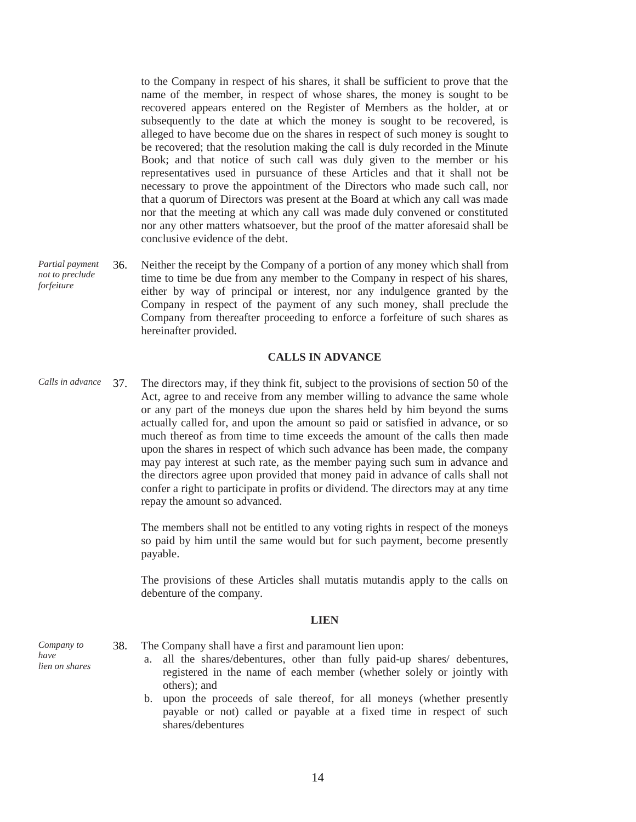to the Company in respect of his shares, it shall be sufficient to prove that the name of the member, in respect of whose shares, the money is sought to be recovered appears entered on the Register of Members as the holder, at or subsequently to the date at which the money is sought to be recovered, is alleged to have become due on the shares in respect of such money is sought to be recovered; that the resolution making the call is duly recorded in the Minute Book; and that notice of such call was duly given to the member or his representatives used in pursuance of these Articles and that it shall not be necessary to prove the appointment of the Directors who made such call, nor that a quorum of Directors was present at the Board at which any call was made nor that the meeting at which any call was made duly convened or constituted nor any other matters whatsoever, but the proof of the matter aforesaid shall be conclusive evidence of the debt.

*Partial payment not to preclude forfeiture* 36. Neither the receipt by the Company of a portion of any money which shall from time to time be due from any member to the Company in respect of his shares, either by way of principal or interest, nor any indulgence granted by the Company in respect of the payment of any such money, shall preclude the Company from thereafter proceeding to enforce a forfeiture of such shares as hereinafter provided.

#### **CALLS IN ADVANCE**

*Calls in advance* 37. The directors may, if they think fit, subject to the provisions of section 50 of the Act, agree to and receive from any member willing to advance the same whole or any part of the moneys due upon the shares held by him beyond the sums actually called for, and upon the amount so paid or satisfied in advance, or so much thereof as from time to time exceeds the amount of the calls then made upon the shares in respect of which such advance has been made, the company may pay interest at such rate, as the member paying such sum in advance and the directors agree upon provided that money paid in advance of calls shall not confer a right to participate in profits or dividend. The directors may at any time repay the amount so advanced.

> The members shall not be entitled to any voting rights in respect of the moneys so paid by him until the same would but for such payment, become presently payable.

> The provisions of these Articles shall mutatis mutandis apply to the calls on debenture of the company.

#### **LIEN**

*Company to have lien on shares*

38. The Company shall have a first and paramount lien upon:

- a. all the shares/debentures, other than fully paid-up shares/ debentures, registered in the name of each member (whether solely or jointly with others); and
- b. upon the proceeds of sale thereof, for all moneys (whether presently payable or not) called or payable at a fixed time in respect of such shares/debentures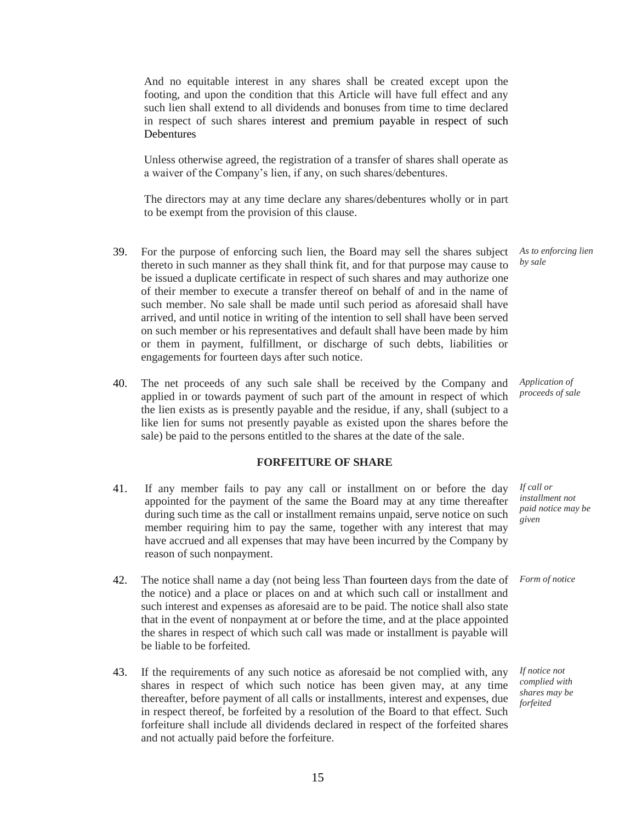And no equitable interest in any shares shall be created except upon the footing, and upon the condition that this Article will have full effect and any such lien shall extend to all dividends and bonuses from time to time declared in respect of such shares interest and premium payable in respect of such **Debentures** 

Unless otherwise agreed, the registration of a transfer of shares shall operate as a waiver of the Company's lien, if any, on such shares/debentures.

The directors may at any time declare any shares/debentures wholly or in part to be exempt from the provision of this clause.

- 39. For the purpose of enforcing such lien, the Board may sell the shares subject thereto in such manner as they shall think fit, and for that purpose may cause to be issued a duplicate certificate in respect of such shares and may authorize one of their member to execute a transfer thereof on behalf of and in the name of such member. No sale shall be made until such period as aforesaid shall have arrived, and until notice in writing of the intention to sell shall have been served on such member or his representatives and default shall have been made by him or them in payment, fulfillment, or discharge of such debts, liabilities or engagements for fourteen days after such notice. *As to enforcing lien by sale*
- 40. The net proceeds of any such sale shall be received by the Company and applied in or towards payment of such part of the amount in respect of which the lien exists as is presently payable and the residue, if any, shall (subject to a like lien for sums not presently payable as existed upon the shares before the sale) be paid to the persons entitled to the shares at the date of the sale. *Application of proceeds of sale*

#### **FORFEITURE OF SHARE**

- 41. If any member fails to pay any call or installment on or before the day appointed for the payment of the same the Board may at any time thereafter during such time as the call or installment remains unpaid, serve notice on such member requiring him to pay the same, together with any interest that may have accrued and all expenses that may have been incurred by the Company by reason of such nonpayment.
- 42. The notice shall name a day (not being less Than fourteen days from the date of the notice) and a place or places on and at which such call or installment and such interest and expenses as aforesaid are to be paid. The notice shall also state that in the event of nonpayment at or before the time, and at the place appointed the shares in respect of which such call was made or installment is payable will be liable to be forfeited.
- 43. If the requirements of any such notice as aforesaid be not complied with, any shares in respect of which such notice has been given may, at any time thereafter, before payment of all calls or installments, interest and expenses, due in respect thereof, be forfeited by a resolution of the Board to that effect. Such forfeiture shall include all dividends declared in respect of the forfeited shares and not actually paid before the forfeiture.

*installment not paid notice may be given*

*If call or*

*Form of notice*

*If notice not complied with shares may be forfeited*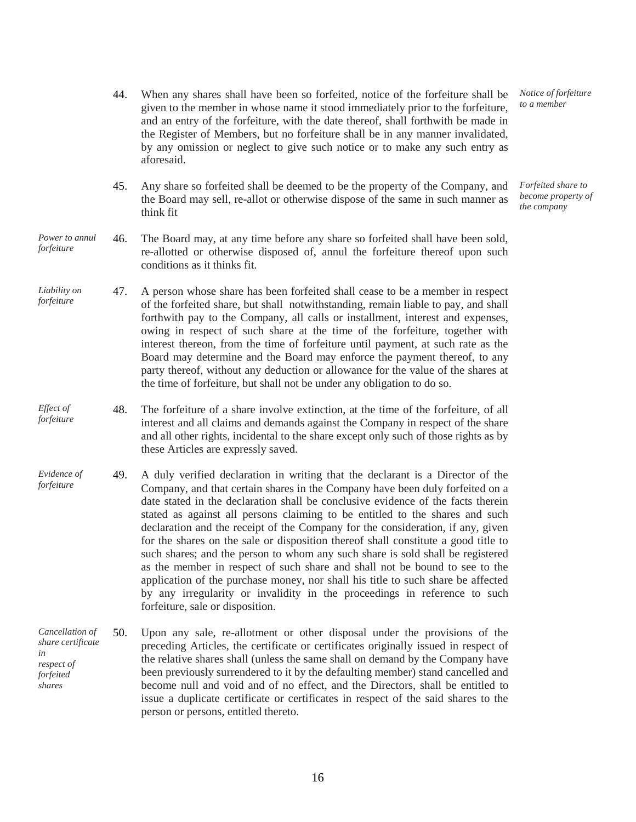- 44. When any shares shall have been so forfeited, notice of the forfeiture shall be given to the member in whose name it stood immediately prior to the forfeiture, and an entry of the forfeiture, with the date thereof, shall forthwith be made in the Register of Members, but no forfeiture shall be in any manner invalidated, by any omission or neglect to give such notice or to make any such entry as aforesaid.
- 45. Any share so forfeited shall be deemed to be the property of the Company, and the Board may sell, re-allot or otherwise dispose of the same in such manner as think fit
- *Power to annul forfeiture* 46. The Board may, at any time before any share so forfeited shall have been sold, re-allotted or otherwise disposed of, annul the forfeiture thereof upon such conditions as it thinks fit.
- *Liability on forfeiture* 47. A person whose share has been forfeited shall cease to be a member in respect of the forfeited share, but shall notwithstanding, remain liable to pay, and shall forthwith pay to the Company, all calls or installment, interest and expenses, owing in respect of such share at the time of the forfeiture, together with interest thereon, from the time of forfeiture until payment, at such rate as the Board may determine and the Board may enforce the payment thereof, to any party thereof, without any deduction or allowance for the value of the shares at the time of forfeiture, but shall not be under any obligation to do so.
- *Effect of forfeiture* 48. The forfeiture of a share involve extinction, at the time of the forfeiture, of all interest and all claims and demands against the Company in respect of the share and all other rights, incidental to the share except only such of those rights as by these Articles are expressly saved.
- *Evidence of forfeiture* 49. A duly verified declaration in writing that the declarant is a Director of the Company, and that certain shares in the Company have been duly forfeited on a date stated in the declaration shall be conclusive evidence of the facts therein stated as against all persons claiming to be entitled to the shares and such declaration and the receipt of the Company for the consideration, if any, given for the shares on the sale or disposition thereof shall constitute a good title to such shares; and the person to whom any such share is sold shall be registered as the member in respect of such share and shall not be bound to see to the application of the purchase money, nor shall his title to such share be affected by any irregularity or invalidity in the proceedings in reference to such forfeiture, sale or disposition.
- *Cancellation of share certificate in respect of forfeited shares* 50. Upon any sale, re-allotment or other disposal under the provisions of the preceding Articles, the certificate or certificates originally issued in respect of the relative shares shall (unless the same shall on demand by the Company have been previously surrendered to it by the defaulting member) stand cancelled and become null and void and of no effect, and the Directors, shall be entitled to issue a duplicate certificate or certificates in respect of the said shares to the person or persons, entitled thereto.

*Notice of forfeiture to a member*

*Forfeited share to become property of the company*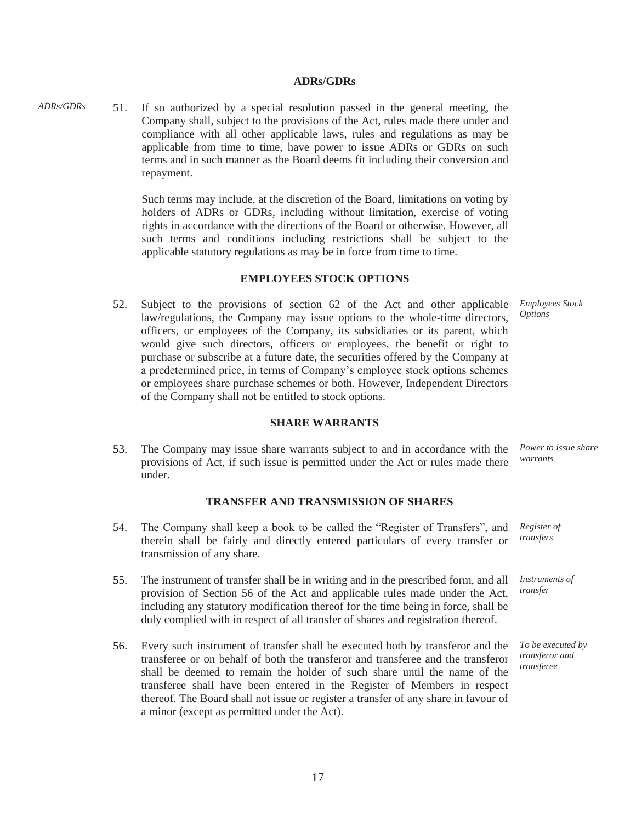#### **ADRs/GDRs**

*ADRs/GDRs* 51. If so authorized by a special resolution passed in the general meeting, the Company shall, subject to the provisions of the Act, rules made there under and compliance with all other applicable laws, rules and regulations as may be applicable from time to time, have power to issue ADRs or GDRs on such terms and in such manner as the Board deems fit including their conversion and repayment.

> Such terms may include, at the discretion of the Board, limitations on voting by holders of ADRs or GDRs, including without limitation, exercise of voting rights in accordance with the directions of the Board or otherwise. However, all such terms and conditions including restrictions shall be subject to the applicable statutory regulations as may be in force from time to time.

#### **EMPLOYEES STOCK OPTIONS**

52. Subject to the provisions of section 62 of the Act and other applicable law/regulations, the Company may issue options to the whole-time directors, officers, or employees of the Company, its subsidiaries or its parent, which would give such directors, officers or employees, the benefit or right to purchase or subscribe at a future date, the securities offered by the Company at a predetermined price, in terms of Company's employee stock options schemes or employees share purchase schemes or both. However, Independent Directors of the Company shall not be entitled to stock options.

#### **SHARE WARRANTS**

53. The Company may issue share warrants subject to and in accordance with the provisions of Act, if such issue is permitted under the Act or rules made there under. *Power to issue share warrants*

#### **TRANSFER AND TRANSMISSION OF SHARES**

- 54. The Company shall keep a book to be called the "Register of Transfers", and therein shall be fairly and directly entered particulars of every transfer or transmission of any share. *Register of transfers*
- 55. The instrument of transfer shall be in writing and in the prescribed form, and all provision of Section 56 of the Act and applicable rules made under the Act, including any statutory modification thereof for the time being in force, shall be duly complied with in respect of all transfer of shares and registration thereof.
- 56. Every such instrument of transfer shall be executed both by transferor and the transferee or on behalf of both the transferor and transferee and the transferor shall be deemed to remain the holder of such share until the name of the transferee shall have been entered in the Register of Members in respect thereof. The Board shall not issue or register a transfer of any share in favour of a minor (except as permitted under the Act).

*Employees Stock Options*

*Instruments of transfer*

*To be executed by transferor and transferee*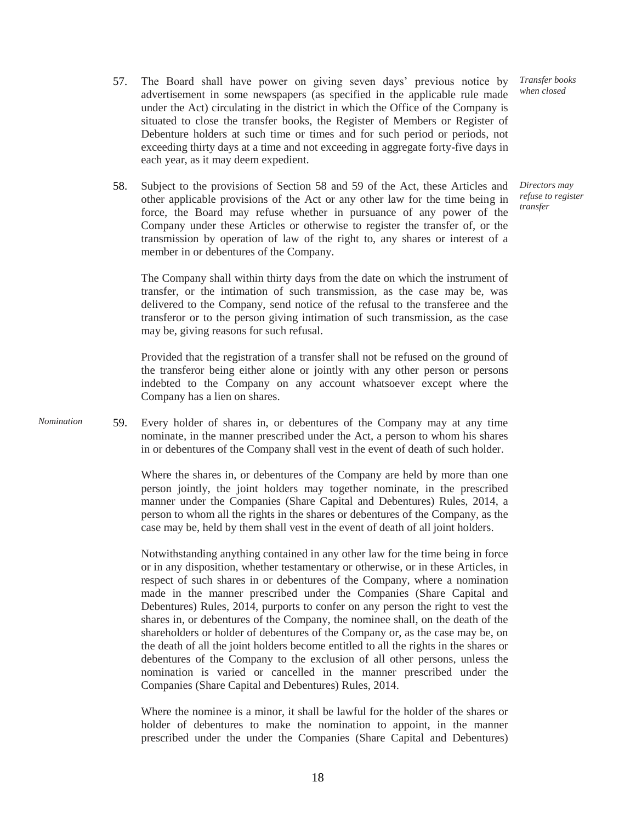- 57. The Board shall have power on giving seven days' previous notice by advertisement in some newspapers (as specified in the applicable rule made under the Act) circulating in the district in which the Office of the Company is situated to close the transfer books, the Register of Members or Register of Debenture holders at such time or times and for such period or periods, not exceeding thirty days at a time and not exceeding in aggregate forty-five days in each year, as it may deem expedient.
- 58. Subject to the provisions of Section 58 and 59 of the Act, these Articles and other applicable provisions of the Act or any other law for the time being in force, the Board may refuse whether in pursuance of any power of the Company under these Articles or otherwise to register the transfer of, or the transmission by operation of law of the right to, any shares or interest of a member in or debentures of the Company.

*Transfer books when closed*

*Directors may refuse to register transfer*

The Company shall within thirty days from the date on which the instrument of transfer, or the intimation of such transmission, as the case may be, was delivered to the Company, send notice of the refusal to the transferee and the transferor or to the person giving intimation of such transmission, as the case may be, giving reasons for such refusal.

Provided that the registration of a transfer shall not be refused on the ground of the transferor being either alone or jointly with any other person or persons indebted to the Company on any account whatsoever except where the Company has a lien on shares.

*Nomination* 59. Every holder of shares in, or debentures of the Company may at any time nominate, in the manner prescribed under the Act, a person to whom his shares in or debentures of the Company shall vest in the event of death of such holder.

> Where the shares in, or debentures of the Company are held by more than one person jointly, the joint holders may together nominate, in the prescribed manner under the Companies (Share Capital and Debentures) Rules, 2014, a person to whom all the rights in the shares or debentures of the Company, as the case may be, held by them shall vest in the event of death of all joint holders.

> Notwithstanding anything contained in any other law for the time being in force or in any disposition, whether testamentary or otherwise, or in these Articles, in respect of such shares in or debentures of the Company, where a nomination made in the manner prescribed under the Companies (Share Capital and Debentures) Rules, 2014, purports to confer on any person the right to vest the shares in, or debentures of the Company, the nominee shall, on the death of the shareholders or holder of debentures of the Company or, as the case may be, on the death of all the joint holders become entitled to all the rights in the shares or debentures of the Company to the exclusion of all other persons, unless the nomination is varied or cancelled in the manner prescribed under the Companies (Share Capital and Debentures) Rules, 2014.

> Where the nominee is a minor, it shall be lawful for the holder of the shares or holder of debentures to make the nomination to appoint, in the manner prescribed under the under the Companies (Share Capital and Debentures)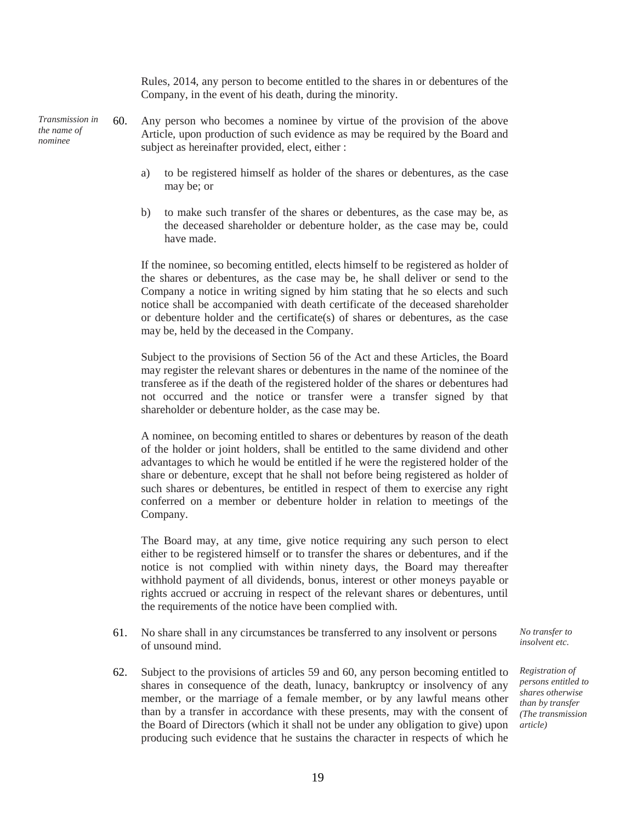Rules, 2014, any person to become entitled to the shares in or debentures of the Company, in the event of his death, during the minority.

*Transmission in the name of nominee*

60. Any person who becomes a nominee by virtue of the provision of the above Article, upon production of such evidence as may be required by the Board and subject as hereinafter provided, elect, either :

- a) to be registered himself as holder of the shares or debentures, as the case may be; or
- b) to make such transfer of the shares or debentures, as the case may be, as the deceased shareholder or debenture holder, as the case may be, could have made.

If the nominee, so becoming entitled, elects himself to be registered as holder of the shares or debentures, as the case may be, he shall deliver or send to the Company a notice in writing signed by him stating that he so elects and such notice shall be accompanied with death certificate of the deceased shareholder or debenture holder and the certificate(s) of shares or debentures, as the case may be, held by the deceased in the Company.

Subject to the provisions of Section 56 of the Act and these Articles, the Board may register the relevant shares or debentures in the name of the nominee of the transferee as if the death of the registered holder of the shares or debentures had not occurred and the notice or transfer were a transfer signed by that shareholder or debenture holder, as the case may be.

A nominee, on becoming entitled to shares or debentures by reason of the death of the holder or joint holders, shall be entitled to the same dividend and other advantages to which he would be entitled if he were the registered holder of the share or debenture, except that he shall not before being registered as holder of such shares or debentures, be entitled in respect of them to exercise any right conferred on a member or debenture holder in relation to meetings of the Company.

The Board may, at any time, give notice requiring any such person to elect either to be registered himself or to transfer the shares or debentures, and if the notice is not complied with within ninety days, the Board may thereafter withhold payment of all dividends, bonus, interest or other moneys payable or rights accrued or accruing in respect of the relevant shares or debentures, until the requirements of the notice have been complied with.

61. No share shall in any circumstances be transferred to any insolvent or persons of unsound mind.

62. Subject to the provisions of articles 59 and 60, any person becoming entitled to shares in consequence of the death, lunacy, bankruptcy or insolvency of any member, or the marriage of a female member, or by any lawful means other than by a transfer in accordance with these presents, may with the consent of the Board of Directors (which it shall not be under any obligation to give) upon producing such evidence that he sustains the character in respects of which he

*No transfer to insolvent etc.*

*Registration of persons entitled to shares otherwise than by transfer (The transmission article)*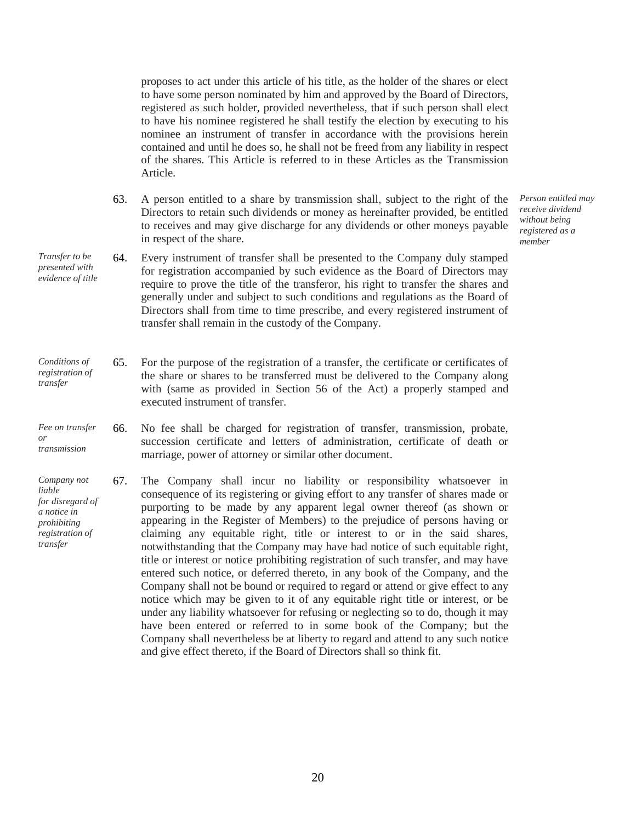proposes to act under this article of his title, as the holder of the shares or elect to have some person nominated by him and approved by the Board of Directors, registered as such holder, provided nevertheless, that if such person shall elect to have his nominee registered he shall testify the election by executing to his nominee an instrument of transfer in accordance with the provisions herein contained and until he does so, he shall not be freed from any liability in respect of the shares. This Article is referred to in these Articles as the Transmission Article.

63. A person entitled to a share by transmission shall, subject to the right of the Directors to retain such dividends or money as hereinafter provided, be entitled to receives and may give discharge for any dividends or other moneys payable in respect of the share.

*Person entitled may receive dividend without being registered as a member*

- *Transfer to be presented with evidence of title* 64. Every instrument of transfer shall be presented to the Company duly stamped for registration accompanied by such evidence as the Board of Directors may require to prove the title of the transferor, his right to transfer the shares and generally under and subject to such conditions and regulations as the Board of Directors shall from time to time prescribe, and every registered instrument of transfer shall remain in the custody of the Company.
- *Conditions of registration of transfer* 65. For the purpose of the registration of a transfer, the certificate or certificates of the share or shares to be transferred must be delivered to the Company along with (same as provided in Section 56 of the Act) a properly stamped and executed instrument of transfer.
- *Fee on transfer or transmission* 66. No fee shall be charged for registration of transfer, transmission, probate, succession certificate and letters of administration, certificate of death or marriage, power of attorney or similar other document.
- *Company not liable for disregard of a notice in prohibiting registration of transfer* 67. The Company shall incur no liability or responsibility whatsoever in consequence of its registering or giving effort to any transfer of shares made or purporting to be made by any apparent legal owner thereof (as shown or appearing in the Register of Members) to the prejudice of persons having or claiming any equitable right, title or interest to or in the said shares, notwithstanding that the Company may have had notice of such equitable right, title or interest or notice prohibiting registration of such transfer, and may have entered such notice, or deferred thereto, in any book of the Company, and the Company shall not be bound or required to regard or attend or give effect to any notice which may be given to it of any equitable right title or interest, or be under any liability whatsoever for refusing or neglecting so to do, though it may have been entered or referred to in some book of the Company; but the Company shall nevertheless be at liberty to regard and attend to any such notice and give effect thereto, if the Board of Directors shall so think fit.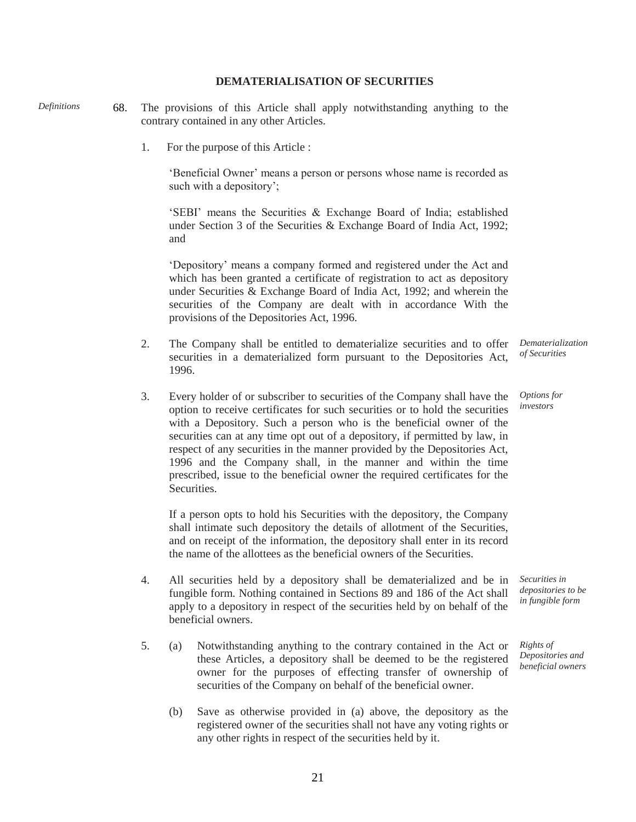## **DEMATERIALISATION OF SECURITIES**

*Definitions* 68. The provisions of this Article shall apply notwithstanding anything to the contrary contained in any other Articles.

1. For the purpose of this Article :

'Beneficial Owner' means a person or persons whose name is recorded as such with a depository';

'SEBI' means the Securities & Exchange Board of India; established under Section 3 of the Securities & Exchange Board of India Act, 1992; and

'Depository' means a company formed and registered under the Act and which has been granted a certificate of registration to act as depository under Securities & Exchange Board of India Act, 1992; and wherein the securities of the Company are dealt with in accordance With the provisions of the Depositories Act, 1996.

- 2. The Company shall be entitled to dematerialize securities and to offer securities in a dematerialized form pursuant to the Depositories Act, 1996.
- 3. Every holder of or subscriber to securities of the Company shall have the option to receive certificates for such securities or to hold the securities with a Depository. Such a person who is the beneficial owner of the securities can at any time opt out of a depository, if permitted by law, in respect of any securities in the manner provided by the Depositories Act, 1996 and the Company shall, in the manner and within the time prescribed, issue to the beneficial owner the required certificates for the **Securities**

If a person opts to hold his Securities with the depository, the Company shall intimate such depository the details of allotment of the Securities, and on receipt of the information, the depository shall enter in its record the name of the allottees as the beneficial owners of the Securities.

- 4. All securities held by a depository shall be dematerialized and be in fungible form. Nothing contained in Sections 89 and 186 of the Act shall apply to a depository in respect of the securities held by on behalf of the beneficial owners.
- 5. (a) Notwithstanding anything to the contrary contained in the Act or these Articles, a depository shall be deemed to be the registered owner for the purposes of effecting transfer of ownership of securities of the Company on behalf of the beneficial owner.
	- (b) Save as otherwise provided in (a) above, the depository as the registered owner of the securities shall not have any voting rights or any other rights in respect of the securities held by it.

*Dematerialization of Securities*

*Options for investors*

*Securities in depositories to be in fungible form*

*Rights of Depositories and beneficial owners*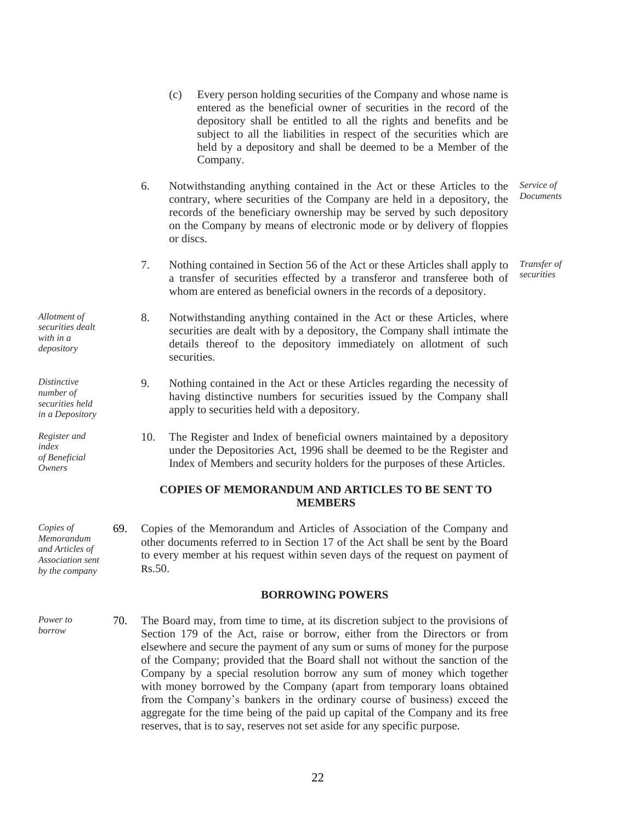|                                                                                  |     |        | depository shall be entitled to all the rights and benefits and be<br>subject to all the liabilities in respect of the securities which are<br>held by a depository and shall be deemed to be a Member of the<br>Company.                                                                                        |
|----------------------------------------------------------------------------------|-----|--------|------------------------------------------------------------------------------------------------------------------------------------------------------------------------------------------------------------------------------------------------------------------------------------------------------------------|
|                                                                                  |     | 6.     | Notwithstanding anything contained in the Act or these Articles to the<br>contrary, where securities of the Company are held in a depository, the<br>records of the beneficiary ownership may be served by such depository<br>on the Company by means of electronic mode or by delivery of floppies<br>or discs. |
|                                                                                  |     | 7.     | Nothing contained in Section 56 of the Act or these Articles shall apply to<br>a transfer of securities effected by a transferor and transferee both of<br>whom are entered as beneficial owners in the records of a depository.                                                                                 |
| Allotment of<br>securities dealt<br>with in a<br>depository                      |     | 8.     | Notwithstanding anything contained in the Act or these Articles, where<br>securities are dealt with by a depository, the Company shall intimate the<br>details thereof to the depository immediately on allotment of such<br>securities.                                                                         |
| <b>Distinctive</b><br>number of<br>securities held<br>in a Depository            |     | 9.     | Nothing contained in the Act or these Articles regarding the necessity of<br>having distinctive numbers for securities issued by the Company shall<br>apply to securities held with a depository.                                                                                                                |
| Register and<br>index<br>of Beneficial<br><b>Owners</b>                          |     | 10.    | The Register and Index of beneficial owners maintained by a depository<br>under the Depositories Act, 1996 shall be deemed to be the Register and<br>Index of Members and security holders for the purposes of these Articles.                                                                                   |
|                                                                                  |     |        | <b>COPIES OF MEMORANDUM AND ARTICLES TO BE SENT TO</b><br><b>MEMBERS</b>                                                                                                                                                                                                                                         |
| Copies of<br>Memorandum<br>and Articles of<br>Association sent<br>by the company | 69. | Rs.50. | Copies of the Memorandum and Articles of Association of the Company and<br>other documents referred to in Section 17 of the Act shall be sent by the Board<br>to every member at his request within seven days of the request on payment of                                                                      |

#### **BORROWING POWERS**

(c) Every person holding securities of the Company and whose name is entered as the beneficial owner of securities in the record of the

> *Service of Documents*

*Transfer of securities*

*Power to borrow* 70. The Board may, from time to time, at its discretion subject to the provisions of Section 179 of the Act, raise or borrow, either from the Directors or from elsewhere and secure the payment of any sum or sums of money for the purpose of the Company; provided that the Board shall not without the sanction of the Company by a special resolution borrow any sum of money which together with money borrowed by the Company (apart from temporary loans obtained from the Company's bankers in the ordinary course of business) exceed the aggregate for the time being of the paid up capital of the Company and its free reserves, that is to say, reserves not set aside for any specific purpose.

22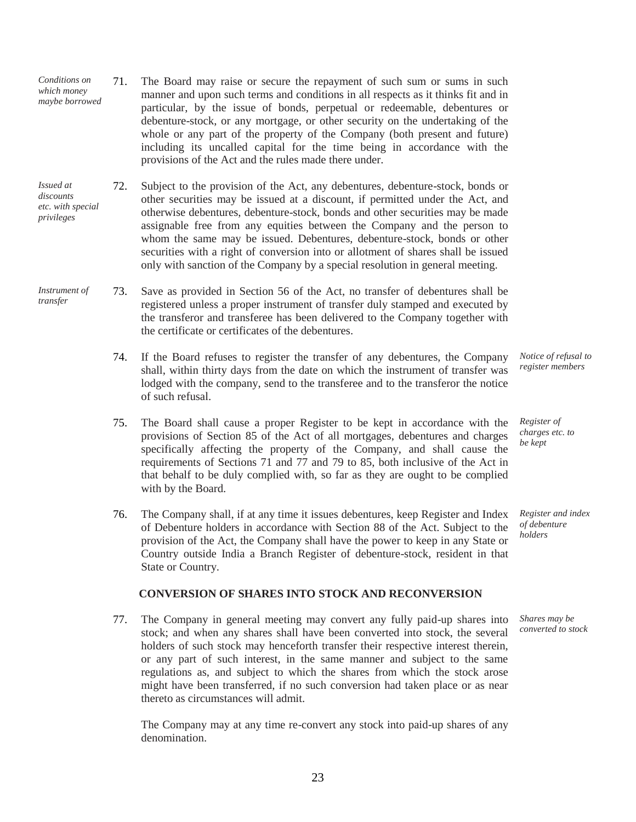- *Conditions on which money maybe borrowed* 71. The Board may raise or secure the repayment of such sum or sums in such manner and upon such terms and conditions in all respects as it thinks fit and in particular, by the issue of bonds, perpetual or redeemable, debentures or debenture-stock, or any mortgage, or other security on the undertaking of the whole or any part of the property of the Company (both present and future) including its uncalled capital for the time being in accordance with the provisions of the Act and the rules made there under.
- *Issued at discounts etc. with special privileges* 72. Subject to the provision of the Act, any debentures, debenture-stock, bonds or other securities may be issued at a discount, if permitted under the Act, and otherwise debentures, debenture-stock, bonds and other securities may be made assignable free from any equities between the Company and the person to whom the same may be issued. Debentures, debenture-stock, bonds or other securities with a right of conversion into or allotment of shares shall be issued only with sanction of the Company by a special resolution in general meeting.
- *Instrument of transfer* 73. Save as provided in Section 56 of the Act, no transfer of debentures shall be registered unless a proper instrument of transfer duly stamped and executed by the transferor and transferee has been delivered to the Company together with the certificate or certificates of the debentures.
	- 74. If the Board refuses to register the transfer of any debentures, the Company shall, within thirty days from the date on which the instrument of transfer was lodged with the company, send to the transferee and to the transferor the notice of such refusal.
	- 75. The Board shall cause a proper Register to be kept in accordance with the provisions of Section 85 of the Act of all mortgages, debentures and charges specifically affecting the property of the Company, and shall cause the requirements of Sections 71 and 77 and 79 to 85, both inclusive of the Act in that behalf to be duly complied with, so far as they are ought to be complied with by the Board.
	- 76. The Company shall, if at any time it issues debentures, keep Register and Index of Debenture holders in accordance with Section 88 of the Act. Subject to the provision of the Act, the Company shall have the power to keep in any State or Country outside India a Branch Register of debenture-stock, resident in that State or Country.

#### **CONVERSION OF SHARES INTO STOCK AND RECONVERSION**

77. The Company in general meeting may convert any fully paid-up shares into stock; and when any shares shall have been converted into stock, the several holders of such stock may henceforth transfer their respective interest therein, or any part of such interest, in the same manner and subject to the same regulations as, and subject to which the shares from which the stock arose might have been transferred, if no such conversion had taken place or as near thereto as circumstances will admit.

The Company may at any time re-convert any stock into paid-up shares of any denomination.

*Notice of refusal to register members*

*Register of charges etc. to be kept*

*Register and index of debenture holders*

*Shares may be converted to stock*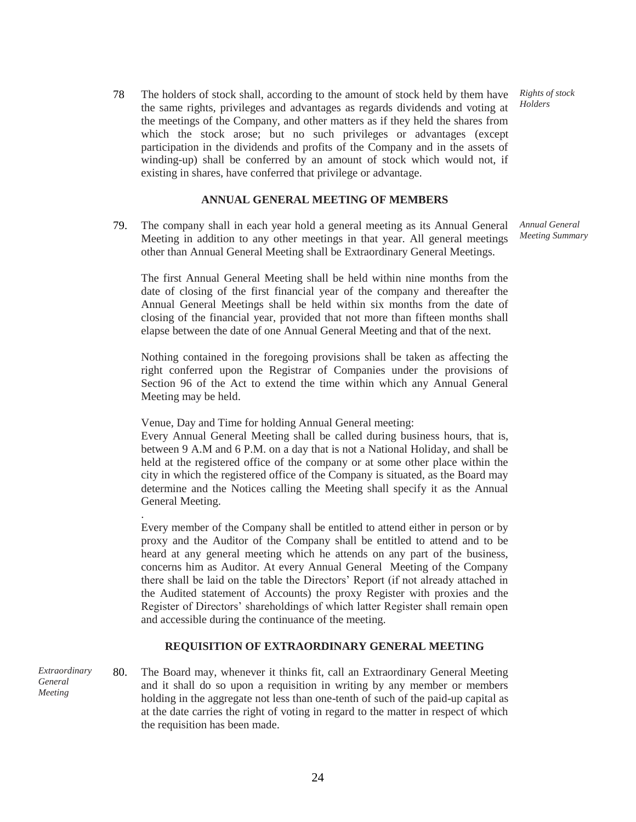78 The holders of stock shall, according to the amount of stock held by them have the same rights, privileges and advantages as regards dividends and voting at the meetings of the Company, and other matters as if they held the shares from which the stock arose; but no such privileges or advantages (except participation in the dividends and profits of the Company and in the assets of winding-up) shall be conferred by an amount of stock which would not, if existing in shares, have conferred that privilege or advantage.

#### **ANNUAL GENERAL MEETING OF MEMBERS**

79. The company shall in each year hold a general meeting as its Annual General Meeting in addition to any other meetings in that year. All general meetings other than Annual General Meeting shall be Extraordinary General Meetings.

The first Annual General Meeting shall be held within nine months from the date of closing of the first financial year of the company and thereafter the Annual General Meetings shall be held within six months from the date of closing of the financial year, provided that not more than fifteen months shall elapse between the date of one Annual General Meeting and that of the next.

Nothing contained in the foregoing provisions shall be taken as affecting the right conferred upon the Registrar of Companies under the provisions of Section 96 of the Act to extend the time within which any Annual General Meeting may be held.

Venue, Day and Time for holding Annual General meeting:

.

Every Annual General Meeting shall be called during business hours, that is, between 9 A.M and 6 P.M. on a day that is not a National Holiday, and shall be held at the registered office of the company or at some other place within the city in which the registered office of the Company is situated, as the Board may determine and the Notices calling the Meeting shall specify it as the Annual General Meeting.

Every member of the Company shall be entitled to attend either in person or by proxy and the Auditor of the Company shall be entitled to attend and to be heard at any general meeting which he attends on any part of the business, concerns him as Auditor. At every Annual General Meeting of the Company there shall be laid on the table the Directors' Report (if not already attached in the Audited statement of Accounts) the proxy Register with proxies and the Register of Directors' shareholdings of which latter Register shall remain open and accessible during the continuance of the meeting.

#### **REQUISITION OF EXTRAORDINARY GENERAL MEETING**

*Extraordinary General Meeting* 80. The Board may, whenever it thinks fit, call an Extraordinary General Meeting and it shall do so upon a requisition in writing by any member or members holding in the aggregate not less than one-tenth of such of the paid-up capital as at the date carries the right of voting in regard to the matter in respect of which the requisition has been made.

*Rights of stock Holders*

*Annual General Meeting Summary*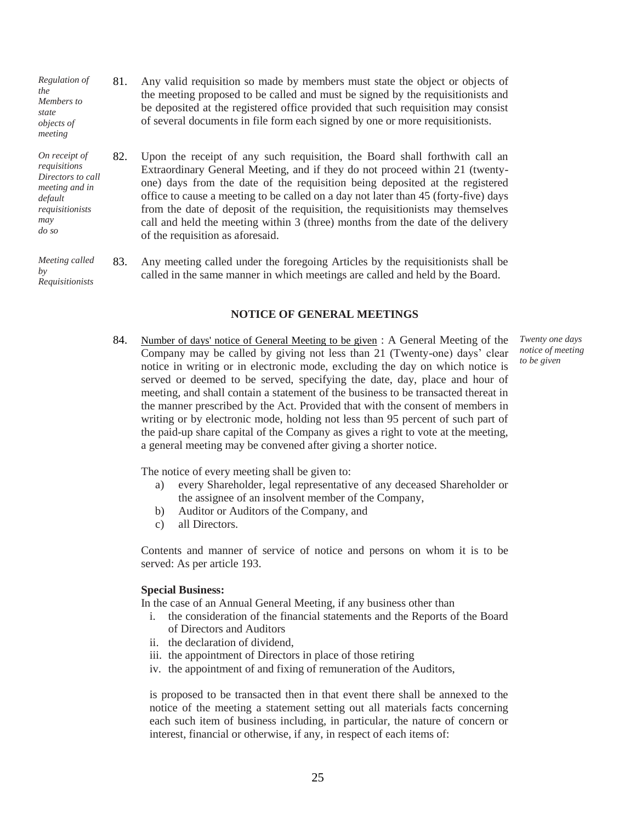- *Regulation of the Members to state objects of meeting* 81. Any valid requisition so made by members must state the object or objects of the meeting proposed to be called and must be signed by the requisitionists and be deposited at the registered office provided that such requisition may consist of several documents in file form each signed by one or more requisitionists.
- *On receipt of requisitions Directors to call meeting and in requisitionists*  82. Upon the receipt of any such requisition, the Board shall forthwith call an Extraordinary General Meeting, and if they do not proceed within 21 (twentyone) days from the date of the requisition being deposited at the registered office to cause a meeting to be called on a day not later than 45 (forty-five) days from the date of deposit of the requisition, the requisitionists may themselves call and held the meeting within 3 (three) months from the date of the delivery of the requisition as aforesaid.

*Meeting called Requisitionists* 83. Any meeting called under the foregoing Articles by the requisitionists shall be called in the same manner in which meetings are called and held by the Board.

#### **NOTICE OF GENERAL MEETINGS**

84. Number of days' notice of General Meeting to be given : A General Meeting of the Company may be called by giving not less than 21 (Twenty-one) days' clear notice in writing or in electronic mode, excluding the day on which notice is served or deemed to be served, specifying the date, day, place and hour of meeting, and shall contain a statement of the business to be transacted thereat in the manner prescribed by the Act. Provided that with the consent of members in writing or by electronic mode, holding not less than 95 percent of such part of the paid-up share capital of the Company as gives a right to vote at the meeting, a general meeting may be convened after giving a shorter notice.

The notice of every meeting shall be given to:

- a) every Shareholder, legal representative of any deceased Shareholder or the assignee of an insolvent member of the Company,
- b) Auditor or Auditors of the Company, and
- c) all Directors.

Contents and manner of service of notice and persons on whom it is to be served: As per article 193.

#### **Special Business:**

*default* 

*may do so*

*by*

In the case of an Annual General Meeting, if any business other than

- i. the consideration of the financial statements and the Reports of the Board of Directors and Auditors
- ii. the declaration of dividend,
- iii. the appointment of Directors in place of those retiring
- iv. the appointment of and fixing of remuneration of the Auditors,

is proposed to be transacted then in that event there shall be annexed to the notice of the meeting a statement setting out all materials facts concerning each such item of business including, in particular, the nature of concern or interest, financial or otherwise, if any, in respect of each items of:

*Twenty one days notice of meeting to be given*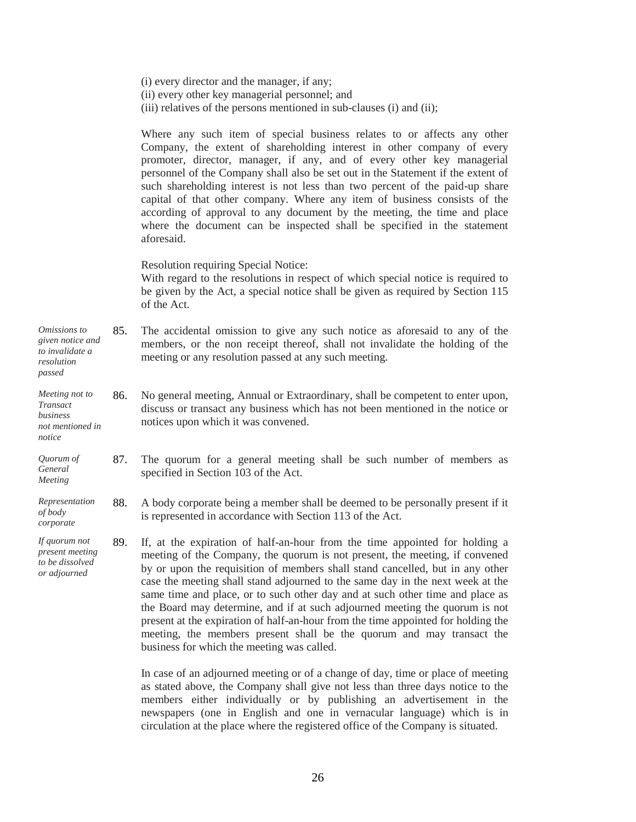(i) every director and the manager, if any; (ii) every other key managerial personnel; and (iii) relatives of the persons mentioned in sub-clauses (i) and (ii);

Where any such item of special business relates to or affects any other Company, the extent of shareholding interest in other company of every promoter, director, manager, if any, and of every other key managerial personnel of the Company shall also be set out in the Statement if the extent of such shareholding interest is not less than two percent of the paid-up share capital of that other company. Where any item of business consists of the according of approval to any document by the meeting, the time and place where the document can be inspected shall be specified in the statement aforesaid.

Resolution requiring Special Notice:

*passed*

*notice*

With regard to the resolutions in respect of which special notice is required to be given by the Act, a special notice shall be given as required by Section 115 of the Act.

- *Omissions to given notice and to invalidate a resolution*  85. The accidental omission to give any such notice as aforesaid to any of the members, or the non receipt thereof, shall not invalidate the holding of the meeting or any resolution passed at any such meeting.
- *Meeting not to Transact business not mentioned in* 86. No general meeting, Annual or Extraordinary, shall be competent to enter upon, discuss or transact any business which has not been mentioned in the notice or notices upon which it was convened.
- *Quorum of General Meeting* 87. The quorum for a general meeting shall be such number of members as specified in Section 103 of the Act.
- *Representation of body corporate* 88. A body corporate being a member shall be deemed to be personally present if it is represented in accordance with Section 113 of the Act.
- *If quorum not present meeting to be dissolved or adjourned* 89. If, at the expiration of half-an-hour from the time appointed for holding a meeting of the Company, the quorum is not present, the meeting, if convened by or upon the requisition of members shall stand cancelled, but in any other case the meeting shall stand adjourned to the same day in the next week at the same time and place, or to such other day and at such other time and place as the Board may determine, and if at such adjourned meeting the quorum is not present at the expiration of half-an-hour from the time appointed for holding the meeting, the members present shall be the quorum and may transact the business for which the meeting was called.

In case of an adjourned meeting or of a change of day, time or place of meeting as stated above, the Company shall give not less than three days notice to the members either individually or by publishing an advertisement in the newspapers (one in English and one in vernacular language) which is in circulation at the place where the registered office of the Company is situated.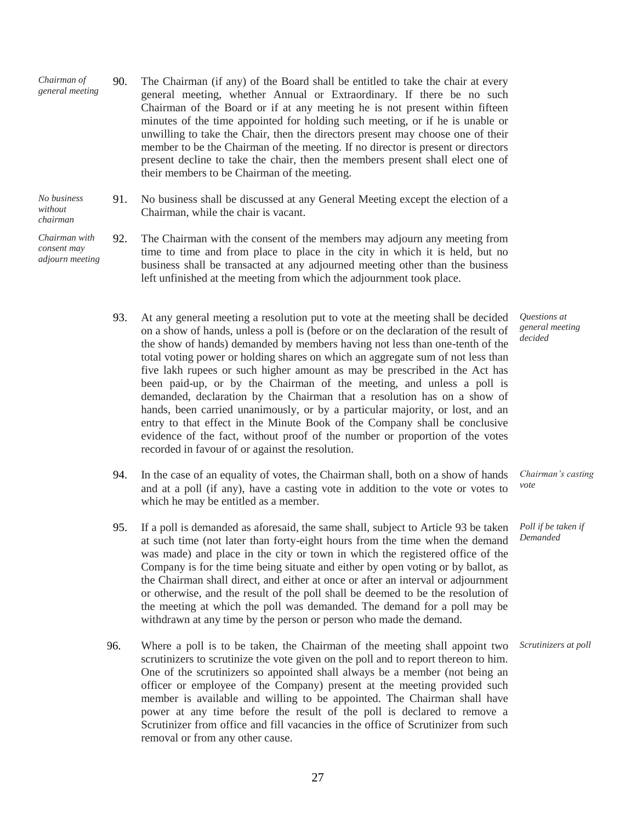- *Chairman of general meeting* 90. The Chairman (if any) of the Board shall be entitled to take the chair at every general meeting, whether Annual or Extraordinary. If there be no such Chairman of the Board or if at any meeting he is not present within fifteen minutes of the time appointed for holding such meeting, or if he is unable or unwilling to take the Chair, then the directors present may choose one of their member to be the Chairman of the meeting. If no director is present or directors present decline to take the chair, then the members present shall elect one of their members to be Chairman of the meeting.
- *No business without chairman* 91. No business shall be discussed at any General Meeting except the election of a Chairman, while the chair is vacant.
- *Chairman with consent may adjourn meeting* 92. The Chairman with the consent of the members may adjourn any meeting from time to time and from place to place in the city in which it is held, but no business shall be transacted at any adjourned meeting other than the business left unfinished at the meeting from which the adjournment took place.
	- 93. At any general meeting a resolution put to vote at the meeting shall be decided on a show of hands, unless a poll is (before or on the declaration of the result of the show of hands) demanded by members having not less than one-tenth of the total voting power or holding shares on which an aggregate sum of not less than five lakh rupees or such higher amount as may be prescribed in the Act has been paid-up, or by the Chairman of the meeting, and unless a poll is demanded, declaration by the Chairman that a resolution has on a show of hands, been carried unanimously, or by a particular majority, or lost, and an entry to that effect in the Minute Book of the Company shall be conclusive evidence of the fact, without proof of the number or proportion of the votes recorded in favour of or against the resolution.
	- 94. In the case of an equality of votes, the Chairman shall, both on a show of hands and at a poll (if any), have a casting vote in addition to the vote or votes to which he may be entitled as a member. *Chairman's casting vote*
	- 95. If a poll is demanded as aforesaid, the same shall, subject to Article 93 be taken at such time (not later than forty-eight hours from the time when the demand was made) and place in the city or town in which the registered office of the Company is for the time being situate and either by open voting or by ballot, as the Chairman shall direct, and either at once or after an interval or adjournment or otherwise, and the result of the poll shall be deemed to be the resolution of the meeting at which the poll was demanded. The demand for a poll may be withdrawn at any time by the person or person who made the demand. *Demanded*
	- 96. Where a poll is to be taken, the Chairman of the meeting shall appoint two scrutinizers to scrutinize the vote given on the poll and to report thereon to him. One of the scrutinizers so appointed shall always be a member (not being an officer or employee of the Company) present at the meeting provided such member is available and willing to be appointed. The Chairman shall have power at any time before the result of the poll is declared to remove a Scrutinizer from office and fill vacancies in the office of Scrutinizer from such removal or from any other cause.

27

*Questions at general meeting decided*

*Poll if be taken if*

*Scrutinizers at poll*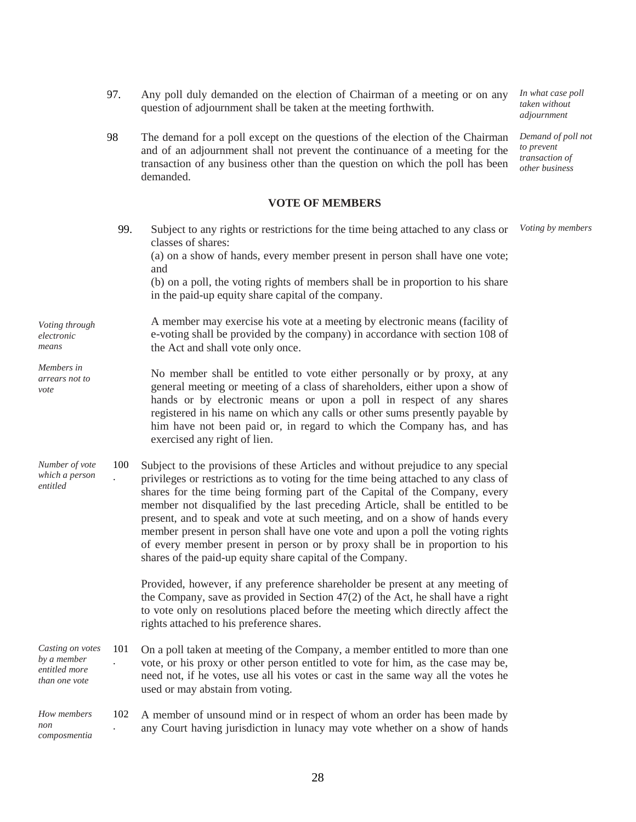- 97. Any poll duly demanded on the election of Chairman of a meeting or on any question of adjournment shall be taken at the meeting forthwith. *In what case poll*
- 98 The demand for a poll except on the questions of the election of the Chairman and of an adjournment shall not prevent the continuance of a meeting for the transaction of any business other than the question on which the poll has been demanded.

#### **VOTE OF MEMBERS**

*Voting through electronic means Members in arrears not to vote* 99. Subject to any rights or restrictions for the time being attached to any class or classes of shares: (a) on a show of hands, every member present in person shall have one vote; and (b) on a poll, the voting rights of members shall be in proportion to his share in the paid-up equity share capital of the company. A member may exercise his vote at a meeting by electronic means (facility of e-voting shall be provided by the company) in accordance with section 108 of the Act and shall vote only once. No member shall be entitled to vote either personally or by proxy, at any general meeting or meeting of a class of shareholders, either upon a show of hands or by electronic means or upon a poll in respect of any shares registered in his name on which any calls or other sums presently payable by him have not been paid or, in regard to which the Company has, and has exercised any right of lien. *Voting by members Number of vote which a person entitled* 100 . Subject to the provisions of these Articles and without prejudice to any special privileges or restrictions as to voting for the time being attached to any class of shares for the time being forming part of the Capital of the Company, every member not disqualified by the last preceding Article, shall be entitled to be present, and to speak and vote at such meeting, and on a show of hands every member present in person shall have one vote and upon a poll the voting rights of every member present in person or by proxy shall be in proportion to his shares of the paid-up equity share capital of the Company. Provided, however, if any preference shareholder be present at any meeting of the Company, save as provided in Section 47(2) of the Act, he shall have a right to vote only on resolutions placed before the meeting which directly affect the rights attached to his preference shares. *Casting on votes by a member entitled more than one vote* 101 . On a poll taken at meeting of the Company, a member entitled to more than one vote, or his proxy or other person entitled to vote for him, as the case may be, need not, if he votes, use all his votes or cast in the same way all the votes he used or may abstain from voting. *How members*  102 . A member of unsound mind or in respect of whom an order has been made by any Court having jurisdiction in lunacy may vote whether on a show of hands

*non*

*composmentia* 

*taken without adjournment*

*Demand of poll not to prevent transaction of other business*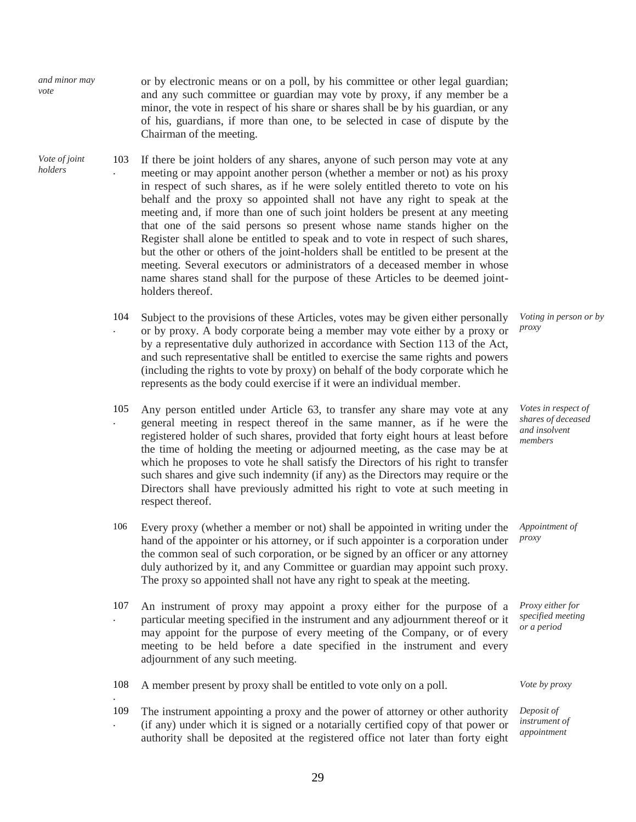| and minor may<br>vote    |     | or by electronic means or on a poll, by his committee or other legal guardian;<br>and any such committee or guardian may vote by proxy, if any member be a<br>minor, the vote in respect of his share or shares shall be by his guardian, or any<br>of his, guardians, if more than one, to be selected in case of dispute by the<br>Chairman of the meeting.                                                                                                                                                                                                                                                                                                                                                                                                                                                                                             |
|--------------------------|-----|-----------------------------------------------------------------------------------------------------------------------------------------------------------------------------------------------------------------------------------------------------------------------------------------------------------------------------------------------------------------------------------------------------------------------------------------------------------------------------------------------------------------------------------------------------------------------------------------------------------------------------------------------------------------------------------------------------------------------------------------------------------------------------------------------------------------------------------------------------------|
| Vote of joint<br>holders | 103 | If there be joint holders of any shares, anyone of such person may vote at any<br>meeting or may appoint another person (whether a member or not) as his proxy<br>in respect of such shares, as if he were solely entitled thereto to vote on his<br>behalf and the proxy so appointed shall not have any right to speak at the<br>meeting and, if more than one of such joint holders be present at any meeting<br>that one of the said persons so present whose name stands higher on the<br>Register shall alone be entitled to speak and to vote in respect of such shares,<br>but the other or others of the joint-holders shall be entitled to be present at the<br>meeting. Several executors or administrators of a deceased member in whose<br>name shares stand shall for the purpose of these Articles to be deemed joint-<br>holders thereof. |
|                          | 104 | Subject to the provisions of these Articles, votes may be given either personally<br>or by proxy. A body corporate being a member may vote either by a proxy or<br>by a representative duly authorized in accordance with Section 113 of the Act,<br>and such representative shall be entitled to exercise the same rights and powers<br>(including the rights to vote by proxy) on behalf of the body corporate which he<br>represents as the body could exercise if it were an individual member.                                                                                                                                                                                                                                                                                                                                                       |

.

- 105 . Any person entitled under Article 63, to transfer any share may vote at any general meeting in respect thereof in the same manner, as if he were the registered holder of such shares, provided that forty eight hours at least before the time of holding the meeting or adjourned meeting, as the case may be at which he proposes to vote he shall satisfy the Directors of his right to transfer such shares and give such indemnity (if any) as the Directors may require or the Directors shall have previously admitted his right to vote at such meeting in respect thereof.
- 106 Every proxy (whether a member or not) shall be appointed in writing under the hand of the appointer or his attorney, or if such appointer is a corporation under the common seal of such corporation, or be signed by an officer or any attorney duly authorized by it, and any Committee or guardian may appoint such proxy. The proxy so appointed shall not have any right to speak at the meeting. *proxy*
- 107 . An instrument of proxy may appoint a proxy either for the purpose of a particular meeting specified in the instrument and any adjournment thereof or it may appoint for the purpose of every meeting of the Company, or of every meeting to be held before a date specified in the instrument and every adjournment of any such meeting.
- 108 A member present by proxy shall be entitled to vote only on a poll. *Vote by proxy*
- 109 . The instrument appointing a proxy and the power of attorney or other authority (if any) under which it is signed or a notarially certified copy of that power or authority shall be deposited at the registered office not later than forty eight

*Voting in person or by*

*proxy*

*Votes in respect of shares of deceased and insolvent members*

*Appointment of*

*Proxy either for specified meeting or a period*

*Deposit of instrument of appointment*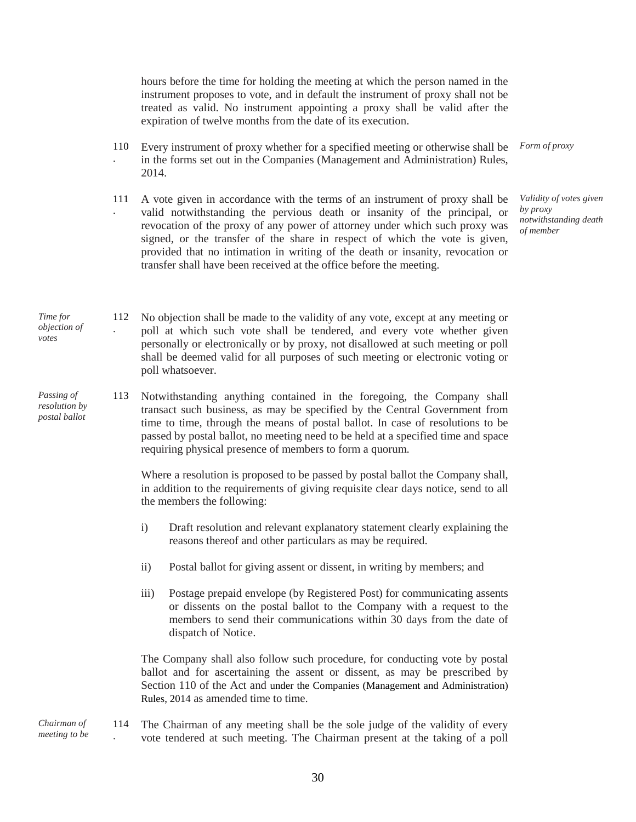hours before the time for holding the meeting at which the person named in the instrument proposes to vote, and in default the instrument of proxy shall not be treated as valid. No instrument appointing a proxy shall be valid after the expiration of twelve months from the date of its execution.

- 110 . Every instrument of proxy whether for a specified meeting or otherwise shall be in the forms set out in the Companies (Management and Administration) Rules, 2014. *Form of proxy*
- 111 . A vote given in accordance with the terms of an instrument of proxy shall be valid notwithstanding the pervious death or insanity of the principal, or revocation of the proxy of any power of attorney under which such proxy was signed, or the transfer of the share in respect of which the vote is given, provided that no intimation in writing of the death or insanity, revocation or transfer shall have been received at the office before the meeting.

*Validity of votes given by proxy notwithstanding death of member*

*Time for objection of*  112 No objection shall be made to the validity of any vote, except at any meeting or poll at which such vote shall be tendered, and every vote whether given personally or electronically or by proxy, not disallowed at such meeting or poll shall be deemed valid for all purposes of such meeting or electronic voting or poll whatsoever.

*votes*

*Passing of resolution by postal ballot* 113 Notwithstanding anything contained in the foregoing, the Company shall transact such business, as may be specified by the Central Government from time to time, through the means of postal ballot. In case of resolutions to be passed by postal ballot, no meeting need to be held at a specified time and space requiring physical presence of members to form a quorum.

> Where a resolution is proposed to be passed by postal ballot the Company shall, in addition to the requirements of giving requisite clear days notice, send to all the members the following:

- i) Draft resolution and relevant explanatory statement clearly explaining the reasons thereof and other particulars as may be required.
- ii) Postal ballot for giving assent or dissent, in writing by members; and
- iii) Postage prepaid envelope (by Registered Post) for communicating assents or dissents on the postal ballot to the Company with a request to the members to send their communications within 30 days from the date of dispatch of Notice.

The Company shall also follow such procedure, for conducting vote by postal ballot and for ascertaining the assent or dissent, as may be prescribed by Section 110 of the Act and under the Companies (Management and Administration) Rules, 2014 as amended time to time.

*Chairman of meeting to be*  114 . The Chairman of any meeting shall be the sole judge of the validity of every vote tendered at such meeting. The Chairman present at the taking of a poll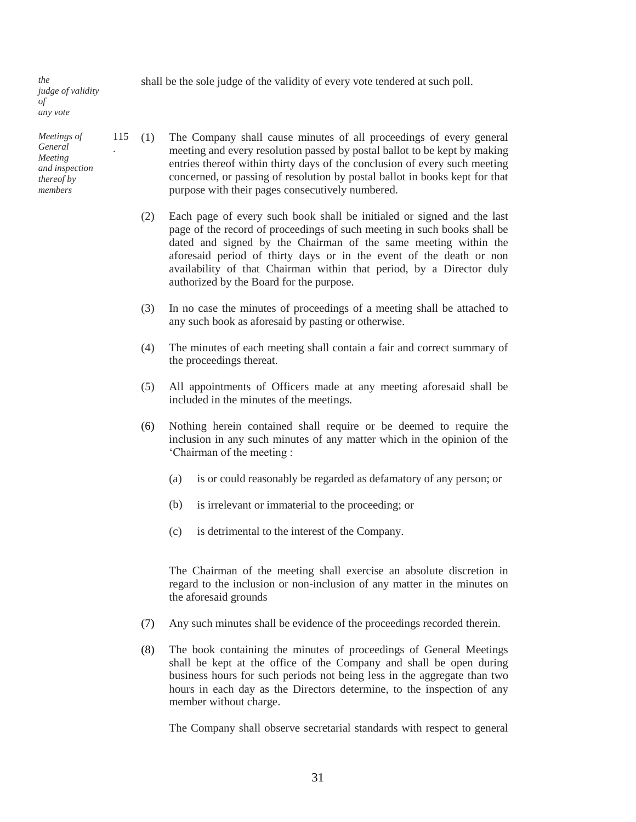*the judge of validity of any vote*

*Meetings of General Meeting and inspection thereof by members*

.

shall be the sole judge of the validity of every vote tendered at such poll.

- $115$  (1) The Company shall cause minutes of all proceedings of every general meeting and every resolution passed by postal ballot to be kept by making entries thereof within thirty days of the conclusion of every such meeting concerned, or passing of resolution by postal ballot in books kept for that purpose with their pages consecutively numbered.
	- (2) Each page of every such book shall be initialed or signed and the last page of the record of proceedings of such meeting in such books shall be dated and signed by the Chairman of the same meeting within the aforesaid period of thirty days or in the event of the death or non availability of that Chairman within that period, by a Director duly authorized by the Board for the purpose.
	- (3) In no case the minutes of proceedings of a meeting shall be attached to any such book as aforesaid by pasting or otherwise.
	- (4) The minutes of each meeting shall contain a fair and correct summary of the proceedings thereat.
	- (5) All appointments of Officers made at any meeting aforesaid shall be included in the minutes of the meetings.
	- (6) Nothing herein contained shall require or be deemed to require the inclusion in any such minutes of any matter which in the opinion of the 'Chairman of the meeting :
		- (a) is or could reasonably be regarded as defamatory of any person; or
		- (b) is irrelevant or immaterial to the proceeding; or
		- (c) is detrimental to the interest of the Company.

The Chairman of the meeting shall exercise an absolute discretion in regard to the inclusion or non-inclusion of any matter in the minutes on the aforesaid grounds

- (7) Any such minutes shall be evidence of the proceedings recorded therein.
- (8) The book containing the minutes of proceedings of General Meetings shall be kept at the office of the Company and shall be open during business hours for such periods not being less in the aggregate than two hours in each day as the Directors determine, to the inspection of any member without charge.

The Company shall observe secretarial standards with respect to general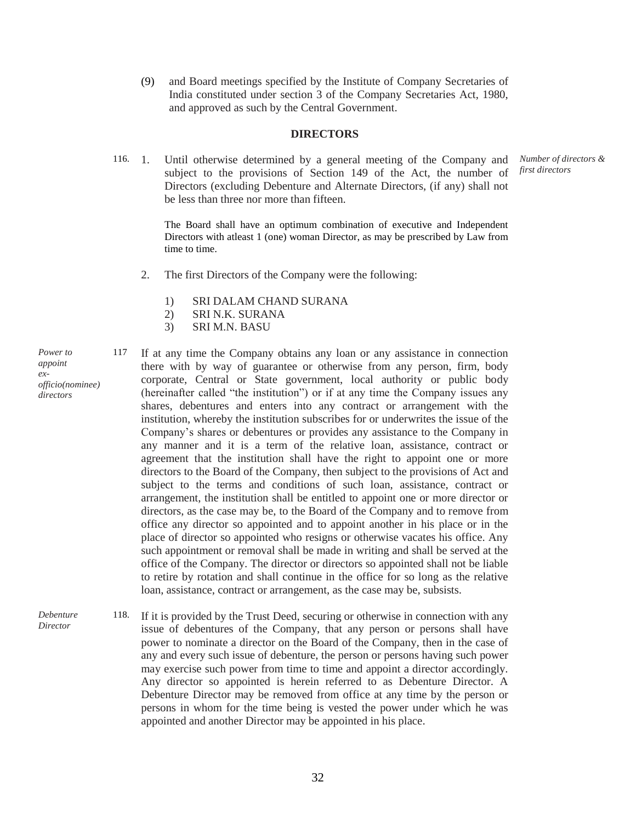(9) and Board meetings specified by the Institute of Company Secretaries of India constituted under section 3 of the Company Secretaries Act, 1980, and approved as such by the Central Government.

#### **DIRECTORS**

116. 1. Until otherwise determined by a general meeting of the Company and subject to the provisions of Section 149 of the Act, the number of Directors (excluding Debenture and Alternate Directors, (if any) shall not be less than three nor more than fifteen.

> The Board shall have an optimum combination of executive and Independent Directors with atleast 1 (one) woman Director, as may be prescribed by Law from time to time.

- 2. The first Directors of the Company were the following:
	- 1) SRI DALAM CHAND SURANA
	- 2) SRI N.K. SURANA
	- 3) SRI M.N. BASU
- *Power to appoint exofficio(nominee) directors*

117 If at any time the Company obtains any loan or any assistance in connection there with by way of guarantee or otherwise from any person, firm, body corporate, Central or State government, local authority or public body (hereinafter called "the institution") or if at any time the Company issues any shares, debentures and enters into any contract or arrangement with the institution, whereby the institution subscribes for or underwrites the issue of the Company's shares or debentures or provides any assistance to the Company in any manner and it is a term of the relative loan, assistance, contract or agreement that the institution shall have the right to appoint one or more directors to the Board of the Company, then subject to the provisions of Act and subject to the terms and conditions of such loan, assistance, contract or arrangement, the institution shall be entitled to appoint one or more director or directors, as the case may be, to the Board of the Company and to remove from office any director so appointed and to appoint another in his place or in the place of director so appointed who resigns or otherwise vacates his office. Any such appointment or removal shall be made in writing and shall be served at the office of the Company. The director or directors so appointed shall not be liable to retire by rotation and shall continue in the office for so long as the relative loan, assistance, contract or arrangement, as the case may be, subsists.

*Debenture Director* 118. If it is provided by the Trust Deed, securing or otherwise in connection with any issue of debentures of the Company, that any person or persons shall have power to nominate a director on the Board of the Company, then in the case of any and every such issue of debenture, the person or persons having such power may exercise such power from time to time and appoint a director accordingly. Any director so appointed is herein referred to as Debenture Director. A Debenture Director may be removed from office at any time by the person or persons in whom for the time being is vested the power under which he was appointed and another Director may be appointed in his place.

*Number of directors & first directors*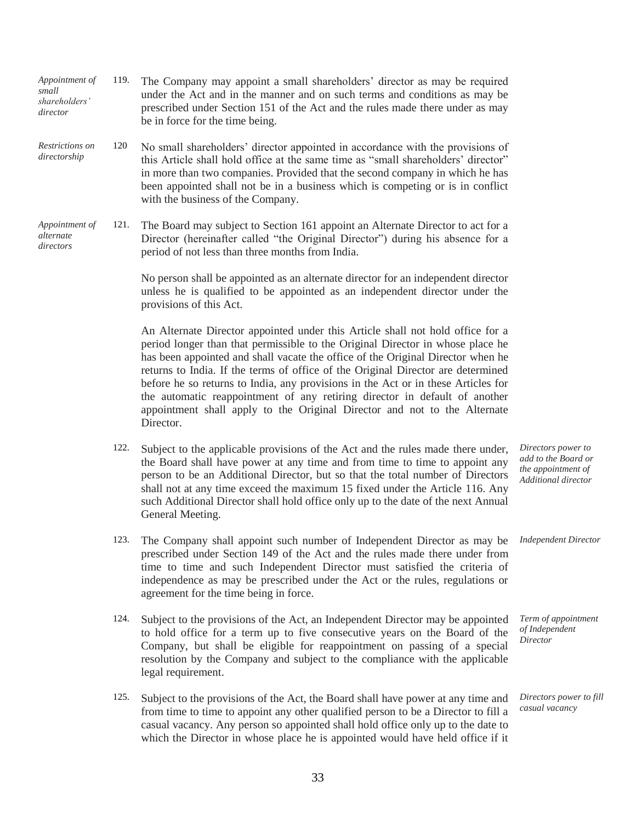| Restrictions on<br>directorship          | 120  | No small shareholders' director appointed in accordance with the provisions of<br>this Article shall hold office at the same time as "small shareholders' director"<br>in more than two companies. Provided that the second company in which he has<br>been appointed shall not be in a business which is competing or is in conflict<br>with the business of the Company.                                                                                                                                                                                                                           |                                                                                        |
|------------------------------------------|------|------------------------------------------------------------------------------------------------------------------------------------------------------------------------------------------------------------------------------------------------------------------------------------------------------------------------------------------------------------------------------------------------------------------------------------------------------------------------------------------------------------------------------------------------------------------------------------------------------|----------------------------------------------------------------------------------------|
| Appointment of<br>alternate<br>directors | 121. | The Board may subject to Section 161 appoint an Alternate Director to act for a<br>Director (hereinafter called "the Original Director") during his absence for a<br>period of not less than three months from India.                                                                                                                                                                                                                                                                                                                                                                                |                                                                                        |
|                                          |      | No person shall be appointed as an alternate director for an independent director<br>unless he is qualified to be appointed as an independent director under the<br>provisions of this Act.                                                                                                                                                                                                                                                                                                                                                                                                          |                                                                                        |
|                                          |      | An Alternate Director appointed under this Article shall not hold office for a<br>period longer than that permissible to the Original Director in whose place he<br>has been appointed and shall vacate the office of the Original Director when he<br>returns to India. If the terms of office of the Original Director are determined<br>before he so returns to India, any provisions in the Act or in these Articles for<br>the automatic reappointment of any retiring director in default of another<br>appointment shall apply to the Original Director and not to the Alternate<br>Director. |                                                                                        |
|                                          | 122. | Subject to the applicable provisions of the Act and the rules made there under,<br>the Board shall have power at any time and from time to time to appoint any<br>person to be an Additional Director, but so that the total number of Directors<br>shall not at any time exceed the maximum 15 fixed under the Article 116. Any<br>such Additional Director shall hold office only up to the date of the next Annual<br>General Meeting.                                                                                                                                                            | Directors power to<br>add to the Board or<br>the appointment of<br>Additional director |
|                                          | 123. | The Company shall appoint such number of Independent Director as may be<br>prescribed under Section 149 of the Act and the rules made there under from<br>time to time and such Independent Director must satisfied the criteria of<br>independence as may be prescribed under the Act or the rules, regulations or<br>agreement for the time being in force.                                                                                                                                                                                                                                        | <b>Independent Director</b>                                                            |
|                                          | 124. | Subject to the provisions of the Act, an Independent Director may be appointed<br>to hold office for a term up to five consecutive years on the Board of the<br>Company, but shall be eligible for reappointment on passing of a special<br>resolution by the Company and subject to the compliance with the applicable<br>legal requirement.                                                                                                                                                                                                                                                        | Term of appointment<br>of Independent<br>Director                                      |
|                                          | 125. | Subject to the provisions of the Act, the Board shall have power at any time and<br>from time to time to appoint any other qualified person to be a Director to fill a<br>casual vacancy. Any person so appointed shall hold office only up to the date to<br>which the Director in whose place he is appointed would have held office if it                                                                                                                                                                                                                                                         | Directors power to fill<br>casual vacancy                                              |

119. The Company may appoint a small shareholders' director as may be required under the Act and in the manner and on such terms and conditions as may be prescribed under Section 151 of the Act and the rules made there under as may

be in force for the time being.

*Appointment of* 

*small shareholders' director*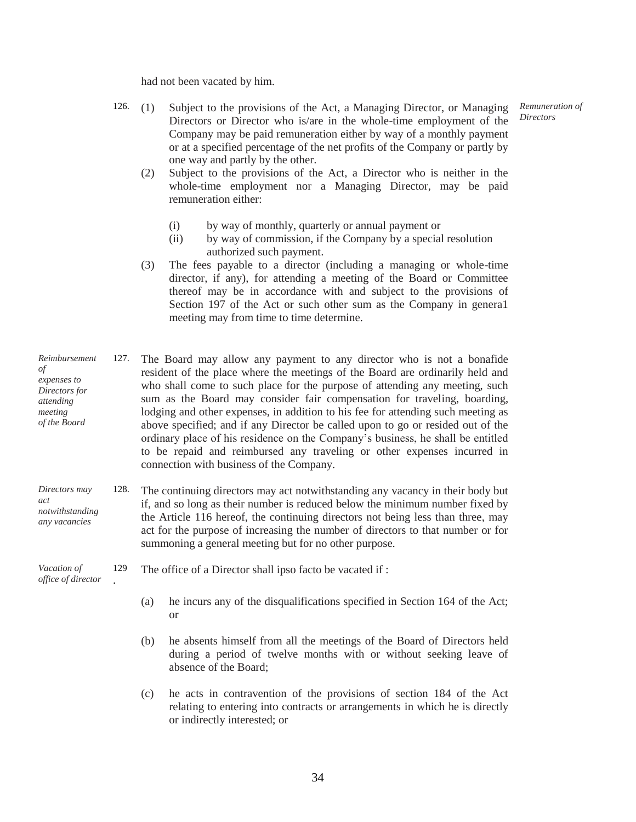had not been vacated by him.

- 126. (1) Subject to the provisions of the Act, a Managing Director, or Managing Directors or Director who is/are in the whole-time employment of the Company may be paid remuneration either by way of a monthly payment or at a specified percentage of the net profits of the Company or partly by one way and partly by the other.
	- (2) Subject to the provisions of the Act, a Director who is neither in the whole-time employment nor a Managing Director, may be paid remuneration either:
		- (i) by way of monthly, quarterly or annual payment or
		- (ii) by way of commission, if the Company by a special resolution authorized such payment.
	- (3) The fees payable to a director (including a managing or whole-time director, if any), for attending a meeting of the Board or Committee thereof may be in accordance with and subject to the provisions of Section 197 of the Act or such other sum as the Company in genera1 meeting may from time to time determine.
- *Reimbursement of expenses to Directors for attending meeting of the Board* 127. The Board may allow any payment to any director who is not a bonafide resident of the place where the meetings of the Board are ordinarily held and who shall come to such place for the purpose of attending any meeting, such sum as the Board may consider fair compensation for traveling, boarding, lodging and other expenses, in addition to his fee for attending such meeting as above specified; and if any Director be called upon to go or resided out of the ordinary place of his residence on the Company's business, he shall be entitled to be repaid and reimbursed any traveling or other expenses incurred in connection with business of the Company.
- *Directors may act notwithstanding any vacancies* 128. The continuing directors may act notwithstanding any vacancy in their body but if, and so long as their number is reduced below the minimum number fixed by the Article 116 hereof, the continuing directors not being less than three, may act for the purpose of increasing the number of directors to that number or for summoning a general meeting but for no other purpose.

*Vacation of office of director*

- 129 . The office of a Director shall ipso facto be vacated if :
	- (a) he incurs any of the disqualifications specified in Section 164 of the Act; or
	- (b) he absents himself from all the meetings of the Board of Directors held during a period of twelve months with or without seeking leave of absence of the Board;
	- (c) he acts in contravention of the provisions of section 184 of the Act relating to entering into contracts or arrangements in which he is directly or indirectly interested; or

*Remuneration of Directors*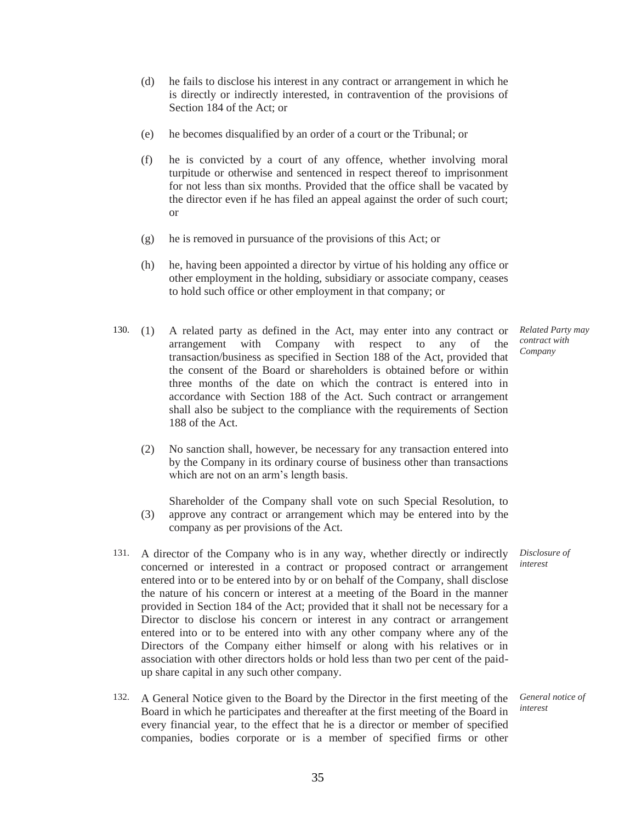- (d) he fails to disclose his interest in any contract or arrangement in which he is directly or indirectly interested, in contravention of the provisions of Section 184 of the Act; or
- (e) he becomes disqualified by an order of a court or the Tribunal; or
- (f) he is convicted by a court of any offence, whether involving moral turpitude or otherwise and sentenced in respect thereof to imprisonment for not less than six months. Provided that the office shall be vacated by the director even if he has filed an appeal against the order of such court; or
- (g) he is removed in pursuance of the provisions of this Act; or
- (h) he, having been appointed a director by virtue of his holding any office or other employment in the holding, subsidiary or associate company, ceases to hold such office or other employment in that company; or
- 130. (1) A related party as defined in the Act, may enter into any contract or arrangement with Company with respect to any of the transaction/business as specified in Section 188 of the Act, provided that the consent of the Board or shareholders is obtained before or within three months of the date on which the contract is entered into in accordance with Section 188 of the Act. Such contract or arrangement shall also be subject to the compliance with the requirements of Section 188 of the Act.
	- (2) No sanction shall, however, be necessary for any transaction entered into by the Company in its ordinary course of business other than transactions which are not on an arm's length basis.
	- (3) Shareholder of the Company shall vote on such Special Resolution, to approve any contract or arrangement which may be entered into by the company as per provisions of the Act.
- 131. A director of the Company who is in any way, whether directly or indirectly concerned or interested in a contract or proposed contract or arrangement entered into or to be entered into by or on behalf of the Company, shall disclose the nature of his concern or interest at a meeting of the Board in the manner provided in Section 184 of the Act; provided that it shall not be necessary for a Director to disclose his concern or interest in any contract or arrangement entered into or to be entered into with any other company where any of the Directors of the Company either himself or along with his relatives or in association with other directors holds or hold less than two per cent of the paidup share capital in any such other company.
- 132. A General Notice given to the Board by the Director in the first meeting of the Board in which he participates and thereafter at the first meeting of the Board in every financial year, to the effect that he is a director or member of specified companies, bodies corporate or is a member of specified firms or other

*Related Party may contract with Company*

*Disclosure of interest*

*General notice of interest*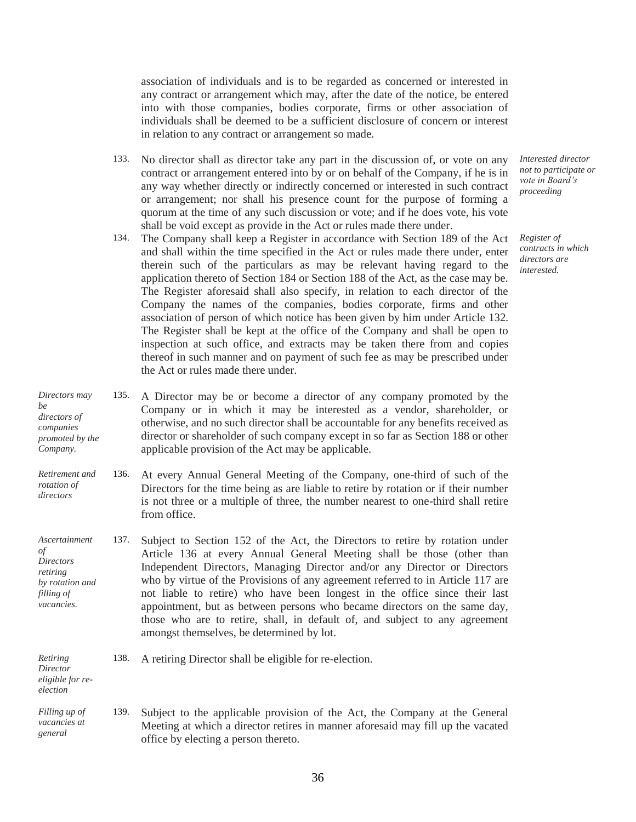association of individuals and is to be regarded as concerned or interested in any contract or arrangement which may, after the date of the notice, be entered into with those companies, bodies corporate, firms or other association of individuals shall be deemed to be a sufficient disclosure of concern or interest in relation to any contract or arrangement so made.

- 133. No director shall as director take any part in the discussion of, or vote on any contract or arrangement entered into by or on behalf of the Company, if he is in any way whether directly or indirectly concerned or interested in such contract or arrangement; nor shall his presence count for the purpose of forming a quorum at the time of any such discussion or vote; and if he does vote, his vote shall be void except as provide in the Act or rules made there under.
- 134. The Company shall keep a Register in accordance with Section 189 of the Act and shall within the time specified in the Act or rules made there under, enter therein such of the particulars as may be relevant having regard to the application thereto of Section 184 or Section 188 of the Act, as the case may be. The Register aforesaid shall also specify, in relation to each director of the Company the names of the companies, bodies corporate, firms and other association of person of which notice has been given by him under Article 132. The Register shall be kept at the office of the Company and shall be open to inspection at such office, and extracts may be taken there from and copies thereof in such manner and on payment of such fee as may be prescribed under the Act or rules made there under.
- *Directors may be directors of companies promoted by the Company.* 135. A Director may be or become a director of any company promoted by the Company or in which it may be interested as a vendor, shareholder, or otherwise, and no such director shall be accountable for any benefits received as director or shareholder of such company except in so far as Section 188 or other applicable provision of the Act may be applicable.
- *Retirement and rotation of directors* 136. At every Annual General Meeting of the Company, one-third of such of the Directors for the time being as are liable to retire by rotation or if their number is not three or a multiple of three, the number nearest to one-third shall retire from office.
- *Ascertainment of Directors retiring by rotation and filling of vacancies.* 137. Subject to Section 152 of the Act, the Directors to retire by rotation under Article 136 at every Annual General Meeting shall be those (other than Independent Directors, Managing Director and/or any Director or Directors who by virtue of the Provisions of any agreement referred to in Article 117 are not liable to retire) who have been longest in the office since their last appointment, but as between persons who became directors on the same day, those who are to retire, shall, in default of, and subject to any agreement amongst themselves, be determined by lot.
- *Retiring Director eligible for re-*138. A retiring Director shall be eligible for re-election.

*election*

*Filling up of vacancies at general* 139. Subject to the applicable provision of the Act, the Company at the General Meeting at which a director retires in manner aforesaid may fill up the vacated office by electing a person thereto.

*Interested director not to participate or vote in Board's proceeding*

*Register of contracts in which directors are interested.*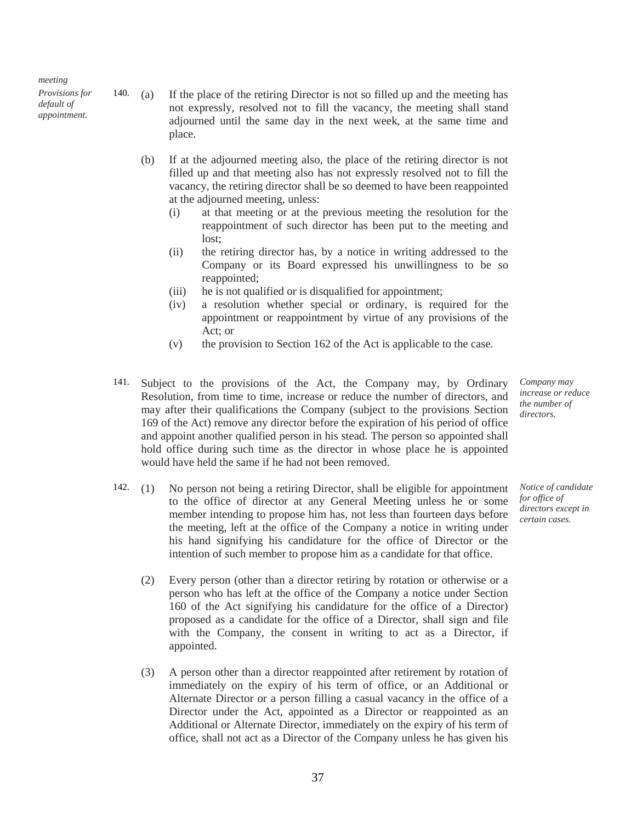*meeting*

*Provisions for default of appointment.*

- 140. (a) If the place of the retiring Director is not so filled up and the meeting has not expressly, resolved not to fill the vacancy, the meeting shall stand adjourned until the same day in the next week, at the same time and place.
	- (b) If at the adjourned meeting also, the place of the retiring director is not filled up and that meeting also has not expressly resolved not to fill the vacancy, the retiring director shall be so deemed to have been reappointed at the adjourned meeting, unless:
		- (i) at that meeting or at the previous meeting the resolution for the reappointment of such director has been put to the meeting and lost;
		- (ii) the retiring director has, by a notice in writing addressed to the Company or its Board expressed his unwillingness to be so reappointed;
		- (iii) he is not qualified or is disqualified for appointment;
		- (iv) a resolution whether special or ordinary, is required for the appointment or reappointment by virtue of any provisions of the Act; or
		- (v) the provision to Section 162 of the Act is applicable to the case.
- 141. Subject to the provisions of the Act, the Company may, by Ordinary Resolution, from time to time, increase or reduce the number of directors, and may after their qualifications the Company (subject to the provisions Section 169 of the Act) remove any director before the expiration of his period of office and appoint another qualified person in his stead. The person so appointed shall hold office during such time as the director in whose place he is appointed would have held the same if he had not been removed.
- 142. (1) No person not being a retiring Director, shall be eligible for appointment to the office of director at any General Meeting unless he or some member intending to propose him has, not less than fourteen days before the meeting, left at the office of the Company a notice in writing under his hand signifying his candidature for the office of Director or the intention of such member to propose him as a candidate for that office.
	- (2) Every person (other than a director retiring by rotation or otherwise or a person who has left at the office of the Company a notice under Section 160 of the Act signifying his candidature for the office of a Director) proposed as a candidate for the office of a Director, shall sign and file with the Company, the consent in writing to act as a Director, if appointed.
	- (3) A person other than a director reappointed after retirement by rotation of immediately on the expiry of his term of office, or an Additional or Alternate Director or a person filling a casual vacancy in the office of a Director under the Act, appointed as a Director or reappointed as an Additional or Alternate Director, immediately on the expiry of his term of office, shall not act as a Director of the Company unless he has given his

*Company may increase or reduce the number of directors.*

*Notice of candidate for office of directors except in certain cases.*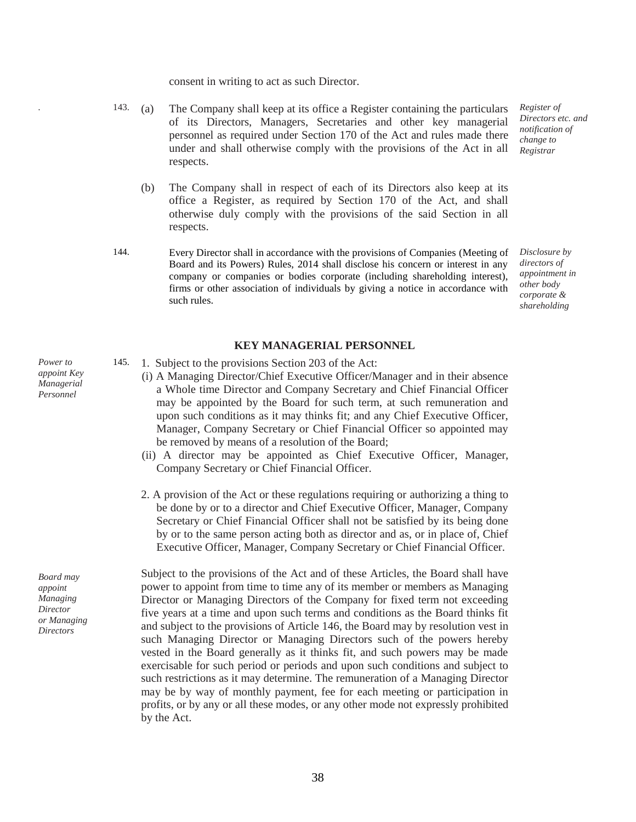consent in writing to act as such Director.

- *.* 143. (a) The Company shall keep at its office a Register containing the particulars of its Directors, Managers, Secretaries and other key managerial personnel as required under Section 170 of the Act and rules made there under and shall otherwise comply with the provisions of the Act in all respects.
	- (b) The Company shall in respect of each of its Directors also keep at its office a Register, as required by Section 170 of the Act, and shall otherwise duly comply with the provisions of the said Section in all respects.
- 144. Every Director shall in accordance with the provisions of Companies (Meeting of Board and its Powers) Rules, 2014 shall disclose his concern or interest in any company or companies or bodies corporate (including shareholding interest), firms or other association of individuals by giving a notice in accordance with such rules.

*Register of Directors etc. and notification of change to Registrar*

*Disclosure by directors of appointment in other body corporate & shareholding*

#### **KEY MANAGERIAL PERSONNEL**

- 145. 1. Subject to the provisions Section 203 of the Act:
	- (i) A Managing Director/Chief Executive Officer/Manager and in their absence a Whole time Director and Company Secretary and Chief Financial Officer may be appointed by the Board for such term, at such remuneration and upon such conditions as it may thinks fit; and any Chief Executive Officer, Manager, Company Secretary or Chief Financial Officer so appointed may be removed by means of a resolution of the Board;
	- (ii) A director may be appointed as Chief Executive Officer, Manager, Company Secretary or Chief Financial Officer.
	- 2. A provision of the Act or these regulations requiring or authorizing a thing to be done by or to a director and Chief Executive Officer, Manager, Company Secretary or Chief Financial Officer shall not be satisfied by its being done by or to the same person acting both as director and as, or in place of, Chief Executive Officer, Manager, Company Secretary or Chief Financial Officer.

Subject to the provisions of the Act and of these Articles, the Board shall have power to appoint from time to time any of its member or members as Managing Director or Managing Directors of the Company for fixed term not exceeding five years at a time and upon such terms and conditions as the Board thinks fit and subject to the provisions of Article 146, the Board may by resolution vest in such Managing Director or Managing Directors such of the powers hereby vested in the Board generally as it thinks fit, and such powers may be made exercisable for such period or periods and upon such conditions and subject to such restrictions as it may determine. The remuneration of a Managing Director may be by way of monthly payment, fee for each meeting or participation in profits, or by any or all these modes, or any other mode not expressly prohibited by the Act.

*Power to appoint Key Managerial Personnel* 

*Board may appoint Managing Director or Managing Directors*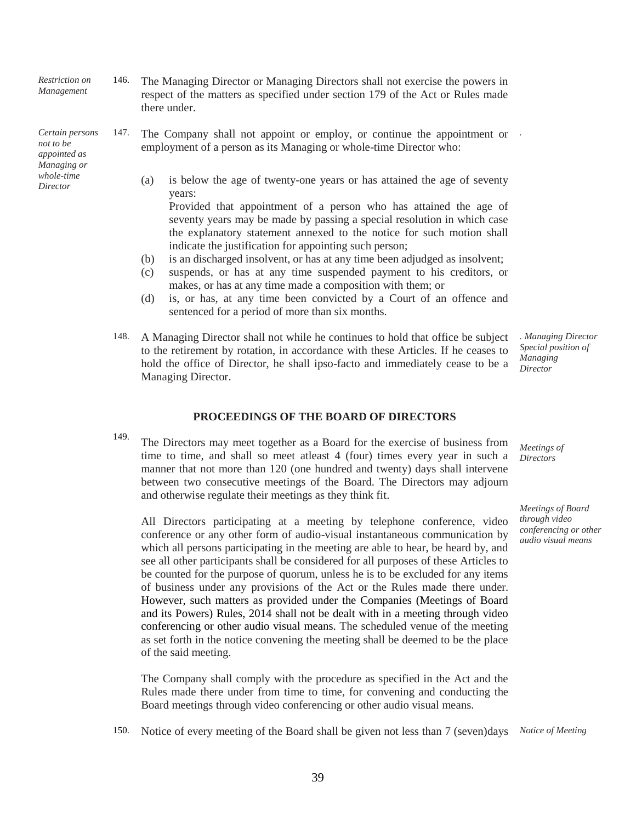*Restriction on Management* 146. The Managing Director or Managing Directors shall not exercise the powers in respect of the matters as specified under section 179 of the Act or Rules made there under.

*Certain persons not to be appointed as Managing or whole-time Director*

- 147. The Company shall not appoint or employ, or continue the appointment or *.* employment of a person as its Managing or whole-time Director who:
	- (a) is below the age of twenty-one years or has attained the age of seventy years:

Provided that appointment of a person who has attained the age of seventy years may be made by passing a special resolution in which case the explanatory statement annexed to the notice for such motion shall indicate the justification for appointing such person;

- (b) is an discharged insolvent, or has at any time been adjudged as insolvent;
- (c) suspends, or has at any time suspended payment to his creditors, or makes, or has at any time made a composition with them; or
- (d) is, or has, at any time been convicted by a Court of an offence and sentenced for a period of more than six months.
- 148. A Managing Director shall not while he continues to hold that office be subject to the retirement by rotation, in accordance with these Articles. If he ceases to hold the office of Director, he shall ipso-facto and immediately cease to be a Managing Director. *. Managing Director Special position of Managing Director*

#### **PROCEEDINGS OF THE BOARD OF DIRECTORS**

149. The Directors may meet together as a Board for the exercise of business from time to time, and shall so meet atleast 4 (four) times every year in such a manner that not more than 120 (one hundred and twenty) days shall intervene between two consecutive meetings of the Board. The Directors may adjourn and otherwise regulate their meetings as they think fit.

All Directors participating at a meeting by telephone conference, video conference or any other form of audio-visual instantaneous communication by which all persons participating in the meeting are able to hear, be heard by, and see all other participants shall be considered for all purposes of these Articles to be counted for the purpose of quorum, unless he is to be excluded for any items of business under any provisions of the Act or the Rules made there under. However, such matters as provided under the Companies (Meetings of Board and its Powers) Rules, 2014 shall not be dealt with in a meeting through video conferencing or other audio visual means. The scheduled venue of the meeting as set forth in the notice convening the meeting shall be deemed to be the place of the said meeting.

The Company shall comply with the procedure as specified in the Act and the Rules made there under from time to time, for convening and conducting the Board meetings through video conferencing or other audio visual means.

150. Notice of every meeting of the Board shall be given not less than 7 (seven)days *Notice of Meeting*

*Meetings of Directors*

*Meetings of Board through video conferencing or other audio visual means*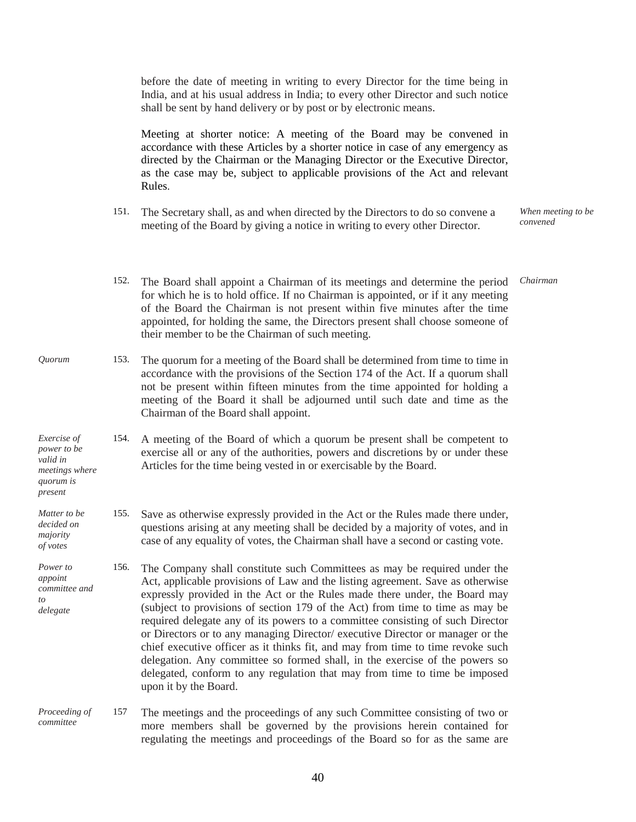before the date of meeting in writing to every Director for the time being in India, and at his usual address in India; to every other Director and such notice shall be sent by hand delivery or by post or by electronic means. Meeting at shorter notice: A meeting of the Board may be convened in accordance with these Articles by a shorter notice in case of any emergency as directed by the Chairman or the Managing Director or the Executive Director, as the case may be, subject to applicable provisions of the Act and relevant Rules. 151. The Secretary shall, as and when directed by the Directors to do so convene a meeting of the Board by giving a notice in writing to every other Director. *When meeting to be convened* 152. The Board shall appoint a Chairman of its meetings and determine the period for which he is to hold office. If no Chairman is appointed, or if it any meeting of the Board the Chairman is not present within five minutes after the time appointed, for holding the same, the Directors present shall choose someone of their member to be the Chairman of such meeting. *Chairman Quorum* 153. The quorum for a meeting of the Board shall be determined from time to time in accordance with the provisions of the Section 174 of the Act. If a quorum shall not be present within fifteen minutes from the time appointed for holding a meeting of the Board it shall be adjourned until such date and time as the Chairman of the Board shall appoint. *Exercise of power to be valid in meetings where quorum is present* 154. A meeting of the Board of which a quorum be present shall be competent to exercise all or any of the authorities, powers and discretions by or under these Articles for the time being vested in or exercisable by the Board. *Matter to be decided on majority of votes* 155. Save as otherwise expressly provided in the Act or the Rules made there under, questions arising at any meeting shall be decided by a majority of votes, and in case of any equality of votes, the Chairman shall have a second or casting vote. *Power to appoint committee and to delegate* 156. The Company shall constitute such Committees as may be required under the Act, applicable provisions of Law and the listing agreement. Save as otherwise expressly provided in the Act or the Rules made there under, the Board may (subject to provisions of section 179 of the Act) from time to time as may be required delegate any of its powers to a committee consisting of such Director or Directors or to any managing Director/ executive Director or manager or the chief executive officer as it thinks fit, and may from time to time revoke such delegation. Any committee so formed shall, in the exercise of the powers so delegated, conform to any regulation that may from time to time be imposed upon it by the Board. *Proceeding of committee* 157 The meetings and the proceedings of any such Committee consisting of two or more members shall be governed by the provisions herein contained for regulating the meetings and proceedings of the Board so for as the same are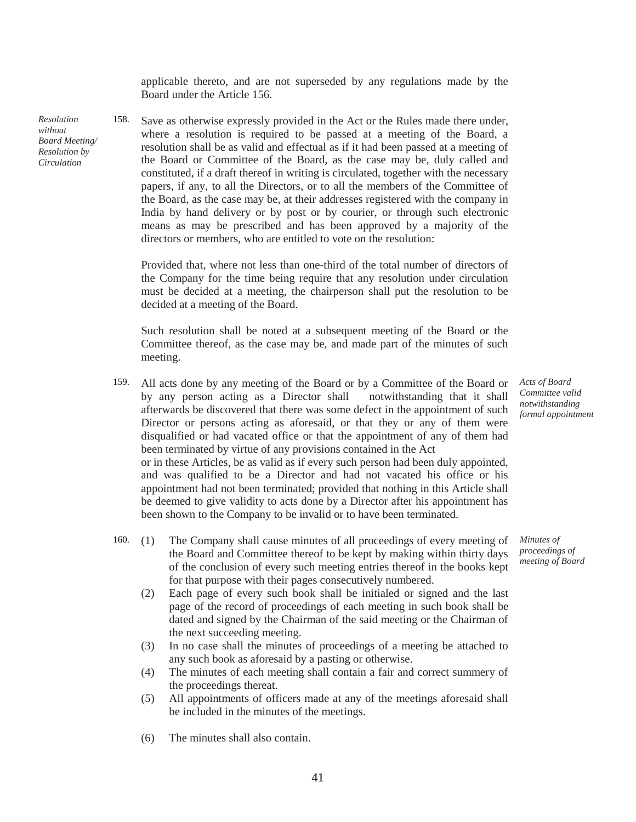applicable thereto, and are not superseded by any regulations made by the Board under the Article 156.

*Resolution without Board Meeting/ Resolution by Circulation*

158. Save as otherwise expressly provided in the Act or the Rules made there under, where a resolution is required to be passed at a meeting of the Board, a resolution shall be as valid and effectual as if it had been passed at a meeting of the Board or Committee of the Board, as the case may be, duly called and constituted, if a draft thereof in writing is circulated, together with the necessary papers, if any, to all the Directors, or to all the members of the Committee of the Board, as the case may be, at their addresses registered with the company in India by hand delivery or by post or by courier, or through such electronic means as may be prescribed and has been approved by a majority of the directors or members, who are entitled to vote on the resolution:

Provided that, where not less than one-third of the total number of directors of the Company for the time being require that any resolution under circulation must be decided at a meeting, the chairperson shall put the resolution to be decided at a meeting of the Board.

Such resolution shall be noted at a subsequent meeting of the Board or the Committee thereof, as the case may be, and made part of the minutes of such meeting.

- 159. All acts done by any meeting of the Board or by a Committee of the Board or by any person acting as a Director shall notwithstanding that it shall afterwards be discovered that there was some defect in the appointment of such Director or persons acting as aforesaid, or that they or any of them were disqualified or had vacated office or that the appointment of any of them had been terminated by virtue of any provisions contained in the Act or in these Articles, be as valid as if every such person had been duly appointed, and was qualified to be a Director and had not vacated his office or his appointment had not been terminated; provided that nothing in this Article shall be deemed to give validity to acts done by a Director after his appointment has been shown to the Company to be invalid or to have been terminated.
- 160. (1) The Company shall cause minutes of all proceedings of every meeting of the Board and Committee thereof to be kept by making within thirty days of the conclusion of every such meeting entries thereof in the books kept for that purpose with their pages consecutively numbered.
	- (2) Each page of every such book shall be initialed or signed and the last page of the record of proceedings of each meeting in such book shall be dated and signed by the Chairman of the said meeting or the Chairman of the next succeeding meeting.
	- (3) In no case shall the minutes of proceedings of a meeting be attached to any such book as aforesaid by a pasting or otherwise.
	- (4) The minutes of each meeting shall contain a fair and correct summery of the proceedings thereat.
	- (5) All appointments of officers made at any of the meetings aforesaid shall be included in the minutes of the meetings.
	- (6) The minutes shall also contain.

*Acts of Board Committee valid notwithstanding formal appointment*

*Minutes of proceedings of meeting of Board*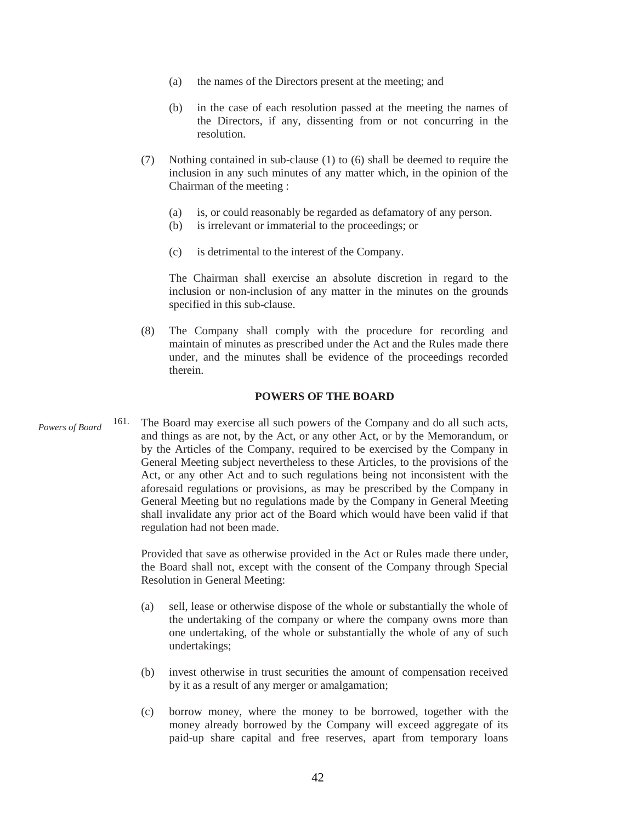- (a) the names of the Directors present at the meeting; and
- (b) in the case of each resolution passed at the meeting the names of the Directors, if any, dissenting from or not concurring in the resolution.
- (7) Nothing contained in sub-clause (1) to (6) shall be deemed to require the inclusion in any such minutes of any matter which, in the opinion of the Chairman of the meeting :
	- (a) is, or could reasonably be regarded as defamatory of any person.
	- (b) is irrelevant or immaterial to the proceedings; or
	- (c) is detrimental to the interest of the Company.

The Chairman shall exercise an absolute discretion in regard to the inclusion or non-inclusion of any matter in the minutes on the grounds specified in this sub-clause.

(8) The Company shall comply with the procedure for recording and maintain of minutes as prescribed under the Act and the Rules made there under, and the minutes shall be evidence of the proceedings recorded therein.

#### **POWERS OF THE BOARD**

*Powers of Board* 161. The Board may exercise all such powers of the Company and do all such acts, and things as are not, by the Act, or any other Act, or by the Memorandum, or by the Articles of the Company, required to be exercised by the Company in General Meeting subject nevertheless to these Articles, to the provisions of the Act, or any other Act and to such regulations being not inconsistent with the aforesaid regulations or provisions, as may be prescribed by the Company in General Meeting but no regulations made by the Company in General Meeting shall invalidate any prior act of the Board which would have been valid if that regulation had not been made.

> Provided that save as otherwise provided in the Act or Rules made there under, the Board shall not, except with the consent of the Company through Special Resolution in General Meeting:

- (a) sell, lease or otherwise dispose of the whole or substantially the whole of the undertaking of the company or where the company owns more than one undertaking, of the whole or substantially the whole of any of such undertakings;
- (b) invest otherwise in trust securities the amount of compensation received by it as a result of any merger or amalgamation;
- (c) borrow money, where the money to be borrowed, together with the money already borrowed by the Company will exceed aggregate of its paid-up share capital and free reserves, apart from temporary loans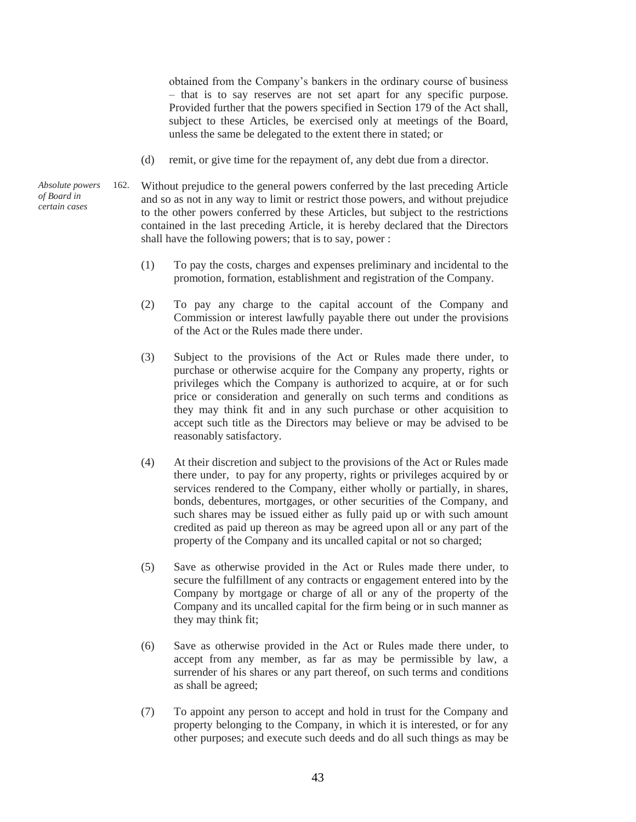obtained from the Company's bankers in the ordinary course of business – that is to say reserves are not set apart for any specific purpose. Provided further that the powers specified in Section 179 of the Act shall, subject to these Articles, be exercised only at meetings of the Board, unless the same be delegated to the extent there in stated; or

- (d) remit, or give time for the repayment of, any debt due from a director.
- 162. Without prejudice to the general powers conferred by the last preceding Article and so as not in any way to limit or restrict those powers, and without prejudice to the other powers conferred by these Articles, but subject to the restrictions contained in the last preceding Article, it is hereby declared that the Directors shall have the following powers; that is to say, power :
	- (1) To pay the costs, charges and expenses preliminary and incidental to the promotion, formation, establishment and registration of the Company.
	- (2) To pay any charge to the capital account of the Company and Commission or interest lawfully payable there out under the provisions of the Act or the Rules made there under.
	- (3) Subject to the provisions of the Act or Rules made there under, to purchase or otherwise acquire for the Company any property, rights or privileges which the Company is authorized to acquire, at or for such price or consideration and generally on such terms and conditions as they may think fit and in any such purchase or other acquisition to accept such title as the Directors may believe or may be advised to be reasonably satisfactory.
	- (4) At their discretion and subject to the provisions of the Act or Rules made there under, to pay for any property, rights or privileges acquired by or services rendered to the Company, either wholly or partially, in shares, bonds, debentures, mortgages, or other securities of the Company, and such shares may be issued either as fully paid up or with such amount credited as paid up thereon as may be agreed upon all or any part of the property of the Company and its uncalled capital or not so charged;
	- (5) Save as otherwise provided in the Act or Rules made there under, to secure the fulfillment of any contracts or engagement entered into by the Company by mortgage or charge of all or any of the property of the Company and its uncalled capital for the firm being or in such manner as they may think fit;
	- (6) Save as otherwise provided in the Act or Rules made there under, to accept from any member, as far as may be permissible by law, a surrender of his shares or any part thereof, on such terms and conditions as shall be agreed;
	- (7) To appoint any person to accept and hold in trust for the Company and property belonging to the Company, in which it is interested, or for any other purposes; and execute such deeds and do all such things as may be

*Absolute powers of Board in certain cases*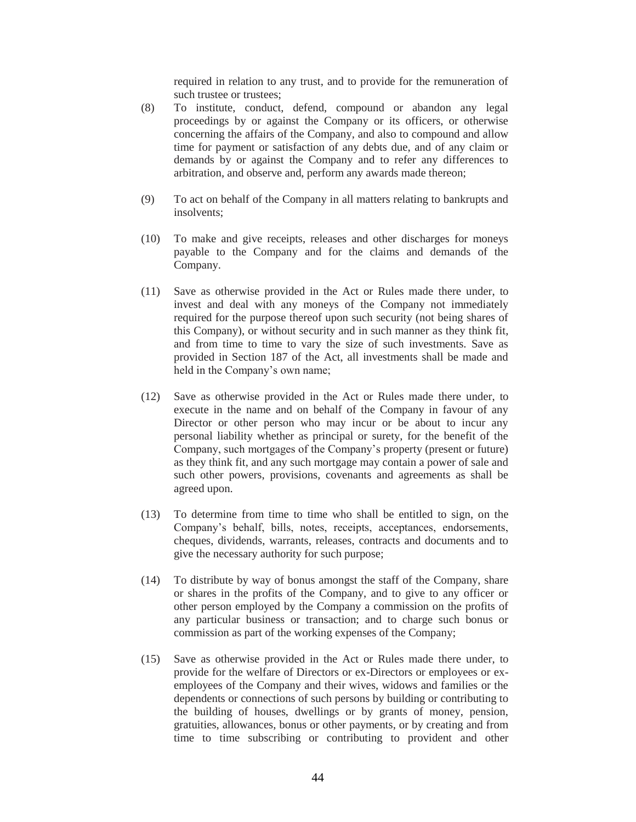required in relation to any trust, and to provide for the remuneration of such trustee or trustees;

- (8) To institute, conduct, defend, compound or abandon any legal proceedings by or against the Company or its officers, or otherwise concerning the affairs of the Company, and also to compound and allow time for payment or satisfaction of any debts due, and of any claim or demands by or against the Company and to refer any differences to arbitration, and observe and, perform any awards made thereon;
- (9) To act on behalf of the Company in all matters relating to bankrupts and insolvents;
- (10) To make and give receipts, releases and other discharges for moneys payable to the Company and for the claims and demands of the Company.
- (11) Save as otherwise provided in the Act or Rules made there under, to invest and deal with any moneys of the Company not immediately required for the purpose thereof upon such security (not being shares of this Company), or without security and in such manner as they think fit, and from time to time to vary the size of such investments. Save as provided in Section 187 of the Act, all investments shall be made and held in the Company's own name;
- (12) Save as otherwise provided in the Act or Rules made there under, to execute in the name and on behalf of the Company in favour of any Director or other person who may incur or be about to incur any personal liability whether as principal or surety, for the benefit of the Company, such mortgages of the Company's property (present or future) as they think fit, and any such mortgage may contain a power of sale and such other powers, provisions, covenants and agreements as shall be agreed upon.
- (13) To determine from time to time who shall be entitled to sign, on the Company's behalf, bills, notes, receipts, acceptances, endorsements, cheques, dividends, warrants, releases, contracts and documents and to give the necessary authority for such purpose;
- (14) To distribute by way of bonus amongst the staff of the Company, share or shares in the profits of the Company, and to give to any officer or other person employed by the Company a commission on the profits of any particular business or transaction; and to charge such bonus or commission as part of the working expenses of the Company;
- (15) Save as otherwise provided in the Act or Rules made there under, to provide for the welfare of Directors or ex-Directors or employees or exemployees of the Company and their wives, widows and families or the dependents or connections of such persons by building or contributing to the building of houses, dwellings or by grants of money, pension, gratuities, allowances, bonus or other payments, or by creating and from time to time subscribing or contributing to provident and other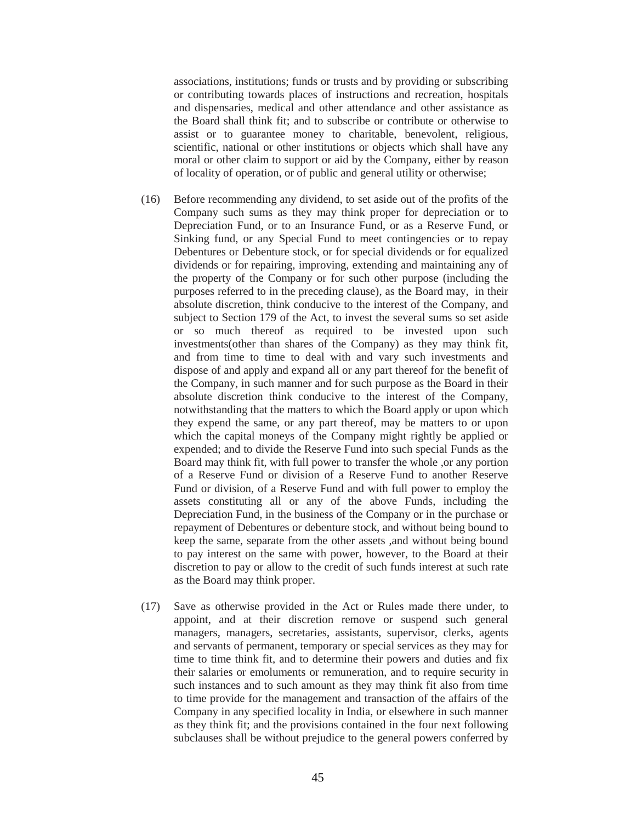associations, institutions; funds or trusts and by providing or subscribing or contributing towards places of instructions and recreation, hospitals and dispensaries, medical and other attendance and other assistance as the Board shall think fit; and to subscribe or contribute or otherwise to assist or to guarantee money to charitable, benevolent, religious, scientific, national or other institutions or objects which shall have any moral or other claim to support or aid by the Company, either by reason of locality of operation, or of public and general utility or otherwise;

- (16) Before recommending any dividend, to set aside out of the profits of the Company such sums as they may think proper for depreciation or to Depreciation Fund, or to an Insurance Fund, or as a Reserve Fund, or Sinking fund, or any Special Fund to meet contingencies or to repay Debentures or Debenture stock, or for special dividends or for equalized dividends or for repairing, improving, extending and maintaining any of the property of the Company or for such other purpose (including the purposes referred to in the preceding clause), as the Board may, in their absolute discretion, think conducive to the interest of the Company, and subject to Section 179 of the Act, to invest the several sums so set aside or so much thereof as required to be invested upon such investments(other than shares of the Company) as they may think fit, and from time to time to deal with and vary such investments and dispose of and apply and expand all or any part thereof for the benefit of the Company, in such manner and for such purpose as the Board in their absolute discretion think conducive to the interest of the Company, notwithstanding that the matters to which the Board apply or upon which they expend the same, or any part thereof, may be matters to or upon which the capital moneys of the Company might rightly be applied or expended; and to divide the Reserve Fund into such special Funds as the Board may think fit, with full power to transfer the whole ,or any portion of a Reserve Fund or division of a Reserve Fund to another Reserve Fund or division, of a Reserve Fund and with full power to employ the assets constituting all or any of the above Funds, including the Depreciation Fund, in the business of the Company or in the purchase or repayment of Debentures or debenture stock, and without being bound to keep the same, separate from the other assets ,and without being bound to pay interest on the same with power, however, to the Board at their discretion to pay or allow to the credit of such funds interest at such rate as the Board may think proper.
- (17) Save as otherwise provided in the Act or Rules made there under, to appoint, and at their discretion remove or suspend such general managers, managers, secretaries, assistants, supervisor, clerks, agents and servants of permanent, temporary or special services as they may for time to time think fit, and to determine their powers and duties and fix their salaries or emoluments or remuneration, and to require security in such instances and to such amount as they may think fit also from time to time provide for the management and transaction of the affairs of the Company in any specified locality in India, or elsewhere in such manner as they think fit; and the provisions contained in the four next following subclauses shall be without prejudice to the general powers conferred by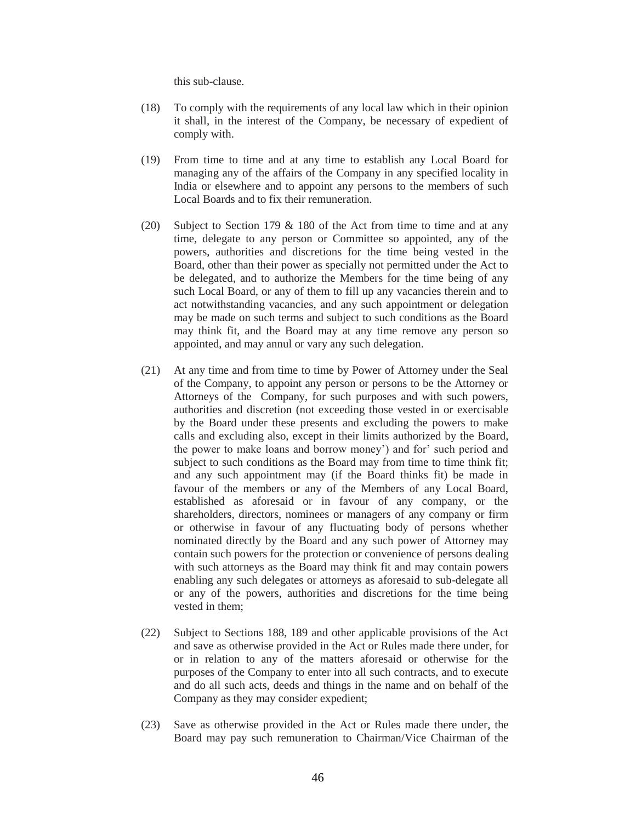this sub-clause.

- (18) To comply with the requirements of any local law which in their opinion it shall, in the interest of the Company, be necessary of expedient of comply with.
- (19) From time to time and at any time to establish any Local Board for managing any of the affairs of the Company in any specified locality in India or elsewhere and to appoint any persons to the members of such Local Boards and to fix their remuneration.
- (20) Subject to Section 179 & 180 of the Act from time to time and at any time, delegate to any person or Committee so appointed, any of the powers, authorities and discretions for the time being vested in the Board, other than their power as specially not permitted under the Act to be delegated, and to authorize the Members for the time being of any such Local Board, or any of them to fill up any vacancies therein and to act notwithstanding vacancies, and any such appointment or delegation may be made on such terms and subject to such conditions as the Board may think fit, and the Board may at any time remove any person so appointed, and may annul or vary any such delegation.
- (21) At any time and from time to time by Power of Attorney under the Seal of the Company, to appoint any person or persons to be the Attorney or Attorneys of the Company, for such purposes and with such powers, authorities and discretion (not exceeding those vested in or exercisable by the Board under these presents and excluding the powers to make calls and excluding also, except in their limits authorized by the Board, the power to make loans and borrow money') and for' such period and subject to such conditions as the Board may from time to time think fit; and any such appointment may (if the Board thinks fit) be made in favour of the members or any of the Members of any Local Board, established as aforesaid or in favour of any company, or the shareholders, directors, nominees or managers of any company or firm or otherwise in favour of any fluctuating body of persons whether nominated directly by the Board and any such power of Attorney may contain such powers for the protection or convenience of persons dealing with such attorneys as the Board may think fit and may contain powers enabling any such delegates or attorneys as aforesaid to sub-delegate all or any of the powers, authorities and discretions for the time being vested in them;
- (22) Subject to Sections 188, 189 and other applicable provisions of the Act and save as otherwise provided in the Act or Rules made there under, for or in relation to any of the matters aforesaid or otherwise for the purposes of the Company to enter into all such contracts, and to execute and do all such acts, deeds and things in the name and on behalf of the Company as they may consider expedient;
- (23) Save as otherwise provided in the Act or Rules made there under, the Board may pay such remuneration to Chairman/Vice Chairman of the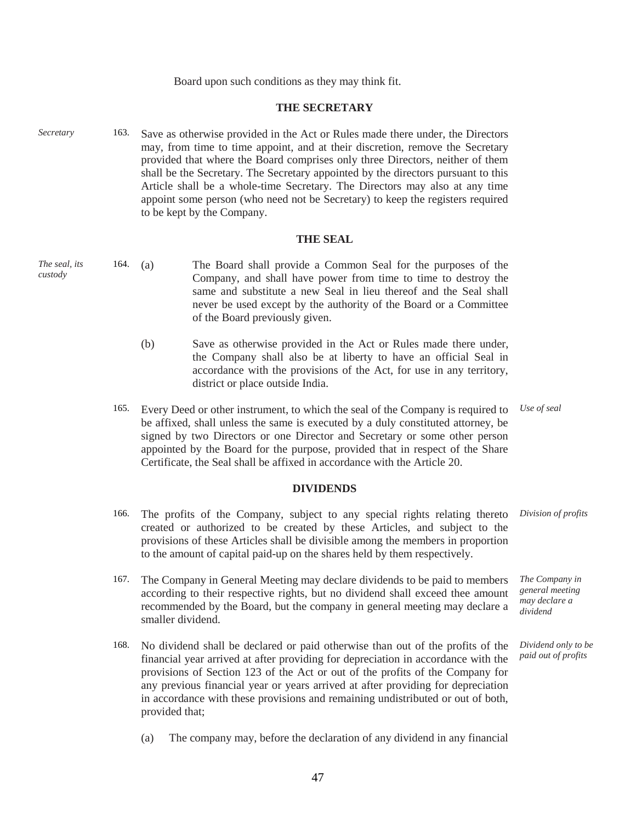Board upon such conditions as they may think fit.

#### **THE SECRETARY**

*Secretary* 163. Save as otherwise provided in the Act or Rules made there under, the Directors may, from time to time appoint, and at their discretion, remove the Secretary provided that where the Board comprises only three Directors, neither of them shall be the Secretary. The Secretary appointed by the directors pursuant to this Article shall be a whole-time Secretary. The Directors may also at any time appoint some person (who need not be Secretary) to keep the registers required to be kept by the Company.

#### **THE SEAL**

- *The seal, its custody*  164. (a) The Board shall provide a Common Seal for the purposes of the Company, and shall have power from time to time to destroy the same and substitute a new Seal in lieu thereof and the Seal shall never be used except by the authority of the Board or a Committee of the Board previously given.
	- (b) Save as otherwise provided in the Act or Rules made there under, the Company shall also be at liberty to have an official Seal in accordance with the provisions of the Act, for use in any territory, district or place outside India.
	- 165. Every Deed or other instrument, to which the seal of the Company is required to be affixed, shall unless the same is executed by a duly constituted attorney, be signed by two Directors or one Director and Secretary or some other person appointed by the Board for the purpose, provided that in respect of the Share Certificate, the Seal shall be affixed in accordance with the Article 20. *Use of seal*

#### **DIVIDENDS**

- 166. The profits of the Company, subject to any special rights relating thereto created or authorized to be created by these Articles, and subject to the provisions of these Articles shall be divisible among the members in proportion to the amount of capital paid-up on the shares held by them respectively.
- 167. The Company in General Meeting may declare dividends to be paid to members according to their respective rights, but no dividend shall exceed thee amount recommended by the Board, but the company in general meeting may declare a smaller dividend.
- 168. No dividend shall be declared or paid otherwise than out of the profits of the financial year arrived at after providing for depreciation in accordance with the provisions of Section 123 of the Act or out of the profits of the Company for any previous financial year or years arrived at after providing for depreciation in accordance with these provisions and remaining undistributed or out of both, provided that;

(a) The company may, before the declaration of any dividend in any financial

47

*Division of profits*

*The Company in general meeting may declare a dividend*

*Dividend only to be paid out of profits*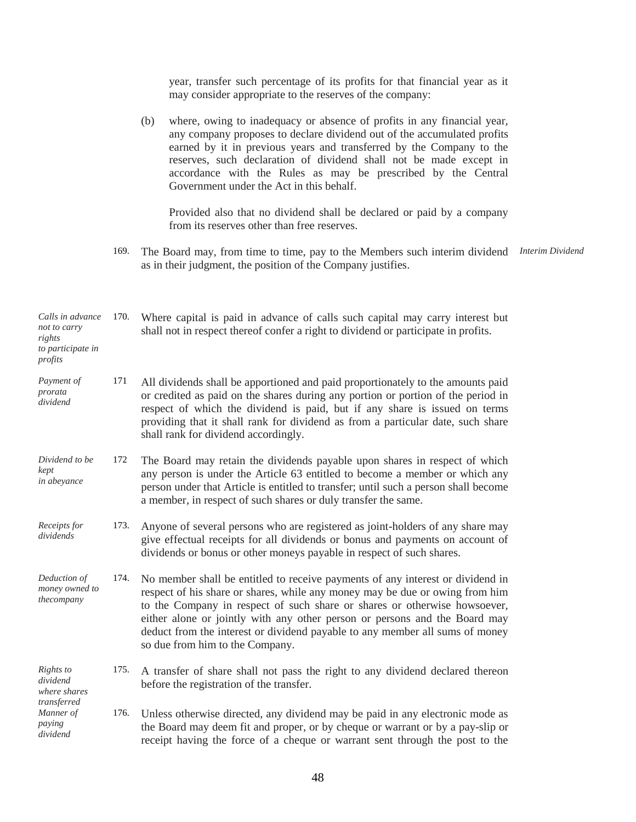year, transfer such percentage of its profits for that financial year as it may consider appropriate to the reserves of the company:

|                                                                            |      | where, owing to inadequacy or absence of profits in any financial year,<br>(b)<br>any company proposes to declare dividend out of the accumulated profits<br>earned by it in previous years and transferred by the Company to the<br>reserves, such declaration of dividend shall not be made except in<br>accordance with the Rules as may be prescribed by the Central<br>Government under the Act in this behalf.<br>Provided also that no dividend shall be declared or paid by a company |                  |
|----------------------------------------------------------------------------|------|-----------------------------------------------------------------------------------------------------------------------------------------------------------------------------------------------------------------------------------------------------------------------------------------------------------------------------------------------------------------------------------------------------------------------------------------------------------------------------------------------|------------------|
|                                                                            |      | from its reserves other than free reserves.                                                                                                                                                                                                                                                                                                                                                                                                                                                   |                  |
|                                                                            | 169. | The Board may, from time to time, pay to the Members such interim dividend<br>as in their judgment, the position of the Company justifies.                                                                                                                                                                                                                                                                                                                                                    | Interim Dividend |
| Calls in advance<br>not to carry<br>rights<br>to participate in<br>profits | 170. | Where capital is paid in advance of calls such capital may carry interest but<br>shall not in respect thereof confer a right to dividend or participate in profits.                                                                                                                                                                                                                                                                                                                           |                  |
| Payment of<br>prorata<br>dividend                                          | 171  | All dividends shall be apportioned and paid proportionately to the amounts paid<br>or credited as paid on the shares during any portion or portion of the period in<br>respect of which the dividend is paid, but if any share is issued on terms<br>providing that it shall rank for dividend as from a particular date, such share<br>shall rank for dividend accordingly.                                                                                                                  |                  |
| Dividend to be<br>kept<br>in abeyance                                      | 172  | The Board may retain the dividends payable upon shares in respect of which<br>any person is under the Article 63 entitled to become a member or which any<br>person under that Article is entitled to transfer; until such a person shall become<br>a member, in respect of such shares or duly transfer the same.                                                                                                                                                                            |                  |
| Receipts for<br>dividends                                                  | 173. | Anyone of several persons who are registered as joint-holders of any share may<br>give effectual receipts for all dividends or bonus and payments on account of<br>dividends or bonus or other moneys payable in respect of such shares.                                                                                                                                                                                                                                                      |                  |
| Deduction of<br>money owned to<br>thecompany                               |      | 174. No member shall be entitled to receive payments of any interest or dividend in<br>respect of his share or shares, while any money may be due or owing from him<br>to the Company in respect of such share or shares or otherwise howsoever,<br>either alone or jointly with any other person or persons and the Board may<br>deduct from the interest or dividend payable to any member all sums of money<br>so due from him to the Company.                                             |                  |
| Rights to<br>dividend<br>where shares<br>transferred                       | 175. | A transfer of share shall not pass the right to any dividend declared thereon<br>before the registration of the transfer.                                                                                                                                                                                                                                                                                                                                                                     |                  |
| Manner of<br>paying<br>dividend                                            | 176. | Unless otherwise directed, any dividend may be paid in any electronic mode as<br>the Board may deem fit and proper, or by cheque or warrant or by a pay-slip or<br>receipt having the force of a cheque or warrant sent through the post to the                                                                                                                                                                                                                                               |                  |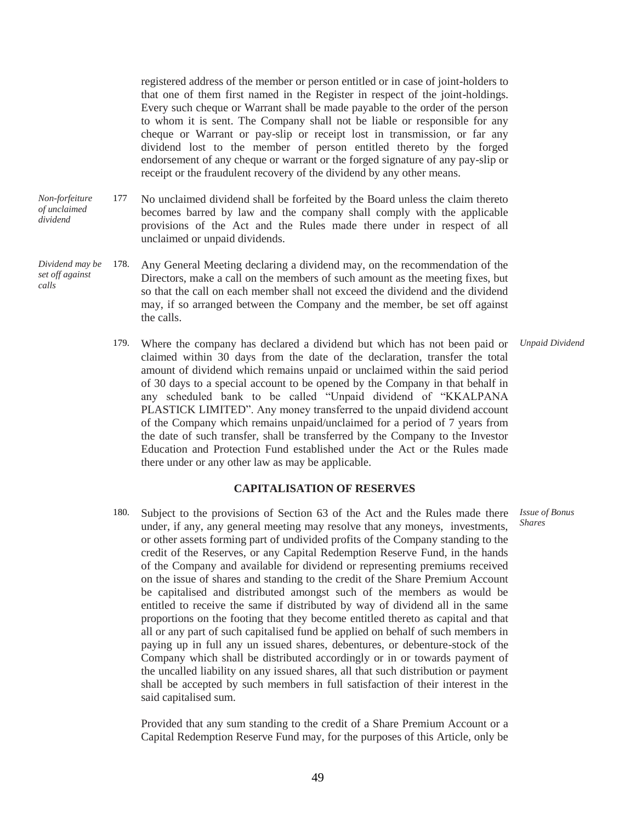registered address of the member or person entitled or in case of joint-holders to that one of them first named in the Register in respect of the joint-holdings. Every such cheque or Warrant shall be made payable to the order of the person to whom it is sent. The Company shall not be liable or responsible for any cheque or Warrant or pay-slip or receipt lost in transmission, or far any dividend lost to the member of person entitled thereto by the forged endorsement of any cheque or warrant or the forged signature of any pay-slip or receipt or the fraudulent recovery of the dividend by any other means.

- *Non-forfeiture of unclaimed dividend* 177 No unclaimed dividend shall be forfeited by the Board unless the claim thereto becomes barred by law and the company shall comply with the applicable provisions of the Act and the Rules made there under in respect of all unclaimed or unpaid dividends.
- *Dividend may be set off against calls* 178. Any General Meeting declaring a dividend may, on the recommendation of the Directors, make a call on the members of such amount as the meeting fixes, but so that the call on each member shall not exceed the dividend and the dividend may, if so arranged between the Company and the member, be set off against the calls.
	- 179. Where the company has declared a dividend but which has not been paid or claimed within 30 days from the date of the declaration, transfer the total amount of dividend which remains unpaid or unclaimed within the said period of 30 days to a special account to be opened by the Company in that behalf in any scheduled bank to be called "Unpaid dividend of "KKALPANA PLASTICK LIMITED". Any money transferred to the unpaid dividend account of the Company which remains unpaid/unclaimed for a period of 7 years from the date of such transfer, shall be transferred by the Company to the Investor Education and Protection Fund established under the Act or the Rules made there under or any other law as may be applicable. *Unpaid Dividend*

#### **CAPITALISATION OF RESERVES**

180. Subject to the provisions of Section 63 of the Act and the Rules made there under, if any, any general meeting may resolve that any moneys, investments, or other assets forming part of undivided profits of the Company standing to the credit of the Reserves, or any Capital Redemption Reserve Fund, in the hands of the Company and available for dividend or representing premiums received on the issue of shares and standing to the credit of the Share Premium Account be capitalised and distributed amongst such of the members as would be entitled to receive the same if distributed by way of dividend all in the same proportions on the footing that they become entitled thereto as capital and that all or any part of such capitalised fund be applied on behalf of such members in paying up in full any un issued shares, debentures, or debenture-stock of the Company which shall be distributed accordingly or in or towards payment of the uncalled liability on any issued shares, all that such distribution or payment shall be accepted by such members in full satisfaction of their interest in the said capitalised sum.

Provided that any sum standing to the credit of a Share Premium Account or a Capital Redemption Reserve Fund may, for the purposes of this Article, only be

*Shares*

*Issue of Bonus*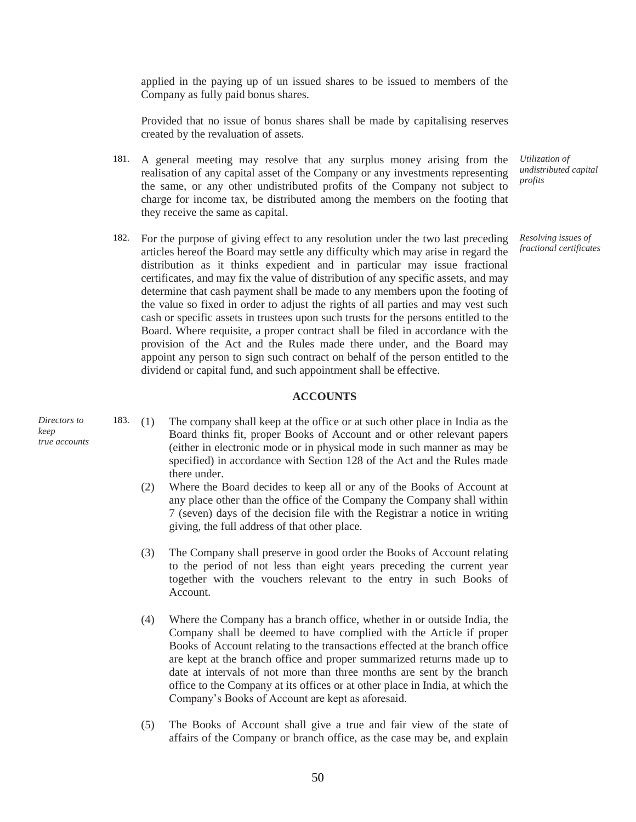applied in the paying up of un issued shares to be issued to members of the Company as fully paid bonus shares.

Provided that no issue of bonus shares shall be made by capitalising reserves created by the revaluation of assets.

- 181. A general meeting may resolve that any surplus money arising from the realisation of any capital asset of the Company or any investments representing the same, or any other undistributed profits of the Company not subject to charge for income tax, be distributed among the members on the footing that they receive the same as capital.
- 182. For the purpose of giving effect to any resolution under the two last preceding articles hereof the Board may settle any difficulty which may arise in regard the distribution as it thinks expedient and in particular may issue fractional certificates, and may fix the value of distribution of any specific assets, and may determine that cash payment shall be made to any members upon the footing of the value so fixed in order to adjust the rights of all parties and may vest such cash or specific assets in trustees upon such trusts for the persons entitled to the Board. Where requisite, a proper contract shall be filed in accordance with the provision of the Act and the Rules made there under, and the Board may appoint any person to sign such contract on behalf of the person entitled to the dividend or capital fund, and such appointment shall be effective.

#### **ACCOUNTS**

*Directors to keep true accounts*

- 183. (1) The company shall keep at the office or at such other place in India as the Board thinks fit, proper Books of Account and or other relevant papers (either in electronic mode or in physical mode in such manner as may be specified) in accordance with Section 128 of the Act and the Rules made there under.
	- (2) Where the Board decides to keep all or any of the Books of Account at any place other than the office of the Company the Company shall within 7 (seven) days of the decision file with the Registrar a notice in writing giving, the full address of that other place.
	- (3) The Company shall preserve in good order the Books of Account relating to the period of not less than eight years preceding the current year together with the vouchers relevant to the entry in such Books of Account.
	- (4) Where the Company has a branch office, whether in or outside India, the Company shall be deemed to have complied with the Article if proper Books of Account relating to the transactions effected at the branch office are kept at the branch office and proper summarized returns made up to date at intervals of not more than three months are sent by the branch office to the Company at its offices or at other place in India, at which the Company's Books of Account are kept as aforesaid.
	- (5) The Books of Account shall give a true and fair view of the state of affairs of the Company or branch office, as the case may be, and explain

50

*Utilization of undistributed capital profits*

*Resolving issues of fractional certificates*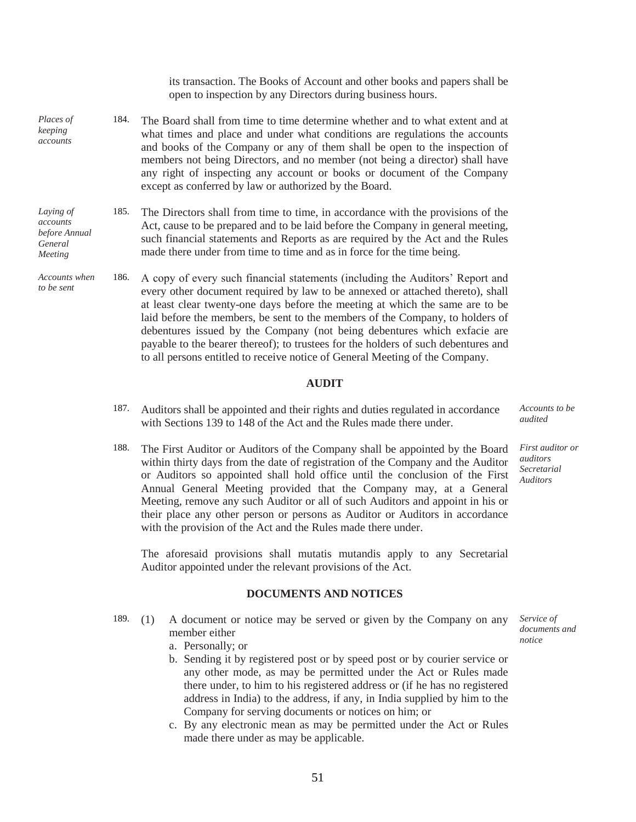its transaction. The Books of Account and other books and papers shall be open to inspection by any Directors during business hours.

- *Places of keeping accounts* 184. The Board shall from time to time determine whether and to what extent and at what times and place and under what conditions are regulations the accounts and books of the Company or any of them shall be open to the inspection of members not being Directors, and no member (not being a director) shall have any right of inspecting any account or books or document of the Company except as conferred by law or authorized by the Board.
- *Laying of accounts before Annual General Meeting* 185. The Directors shall from time to time, in accordance with the provisions of the Act, cause to be prepared and to be laid before the Company in general meeting, such financial statements and Reports as are required by the Act and the Rules made there under from time to time and as in force for the time being.

*to be sent*

*Accounts when*  186. A copy of every such financial statements (including the Auditors' Report and every other document required by law to be annexed or attached thereto), shall at least clear twenty-one days before the meeting at which the same are to be laid before the members, be sent to the members of the Company, to holders of debentures issued by the Company (not being debentures which exfacie are payable to the bearer thereof); to trustees for the holders of such debentures and to all persons entitled to receive notice of General Meeting of the Company.

#### **AUDIT**

- 187. Auditors shall be appointed and their rights and duties regulated in accordance with Sections 139 to 148 of the Act and the Rules made there under.
- 188. The First Auditor or Auditors of the Company shall be appointed by the Board within thirty days from the date of registration of the Company and the Auditor or Auditors so appointed shall hold office until the conclusion of the First Annual General Meeting provided that the Company may, at a General Meeting, remove any such Auditor or all of such Auditors and appoint in his or their place any other person or persons as Auditor or Auditors in accordance with the provision of the Act and the Rules made there under.

The aforesaid provisions shall mutatis mutandis apply to any Secretarial Auditor appointed under the relevant provisions of the Act.

#### **DOCUMENTS AND NOTICES**

- 189. (1) A document or notice may be served or given by the Company on any member either
	- a. Personally; or
	- b. Sending it by registered post or by speed post or by courier service or any other mode, as may be permitted under the Act or Rules made there under, to him to his registered address or (if he has no registered address in India) to the address, if any, in India supplied by him to the Company for serving documents or notices on him; or
	- c. By any electronic mean as may be permitted under the Act or Rules made there under as may be applicable.

*Accounts to be audited*

*First auditor or auditors Secretarial Auditors*

*Service of documents and notice*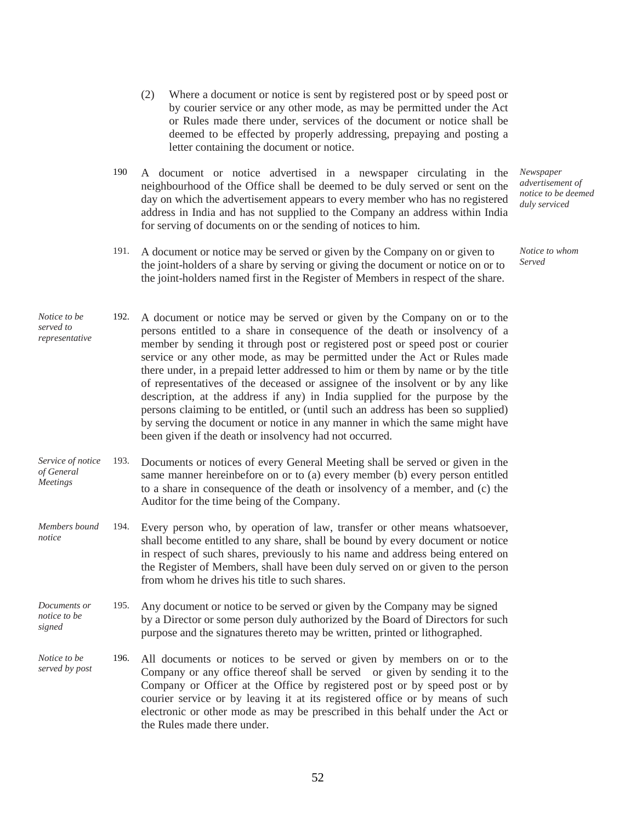- (2) Where a document or notice is sent by registered post or by speed post or by courier service or any other mode, as may be permitted under the Act or Rules made there under, services of the document or notice shall be deemed to be effected by properly addressing, prepaying and posting a letter containing the document or notice.
- 190 A document or notice advertised in a newspaper circulating in the neighbourhood of the Office shall be deemed to be duly served or sent on the day on which the advertisement appears to every member who has no registered address in India and has not supplied to the Company an address within India for serving of documents on or the sending of notices to him.
- 191. A document or notice may be served or given by the Company on or given to the joint-holders of a share by serving or giving the document or notice on or to the joint-holders named first in the Register of Members in respect of the share.

*Newspaper advertisement of notice to be deemed duly serviced*

*Notice to whom Served*

- *Notice to be served to representative* 192. A document or notice may be served or given by the Company on or to the persons entitled to a share in consequence of the death or insolvency of a member by sending it through post or registered post or speed post or courier service or any other mode, as may be permitted under the Act or Rules made there under, in a prepaid letter addressed to him or them by name or by the title of representatives of the deceased or assignee of the insolvent or by any like description, at the address if any) in India supplied for the purpose by the persons claiming to be entitled, or (until such an address has been so supplied) by serving the document or notice in any manner in which the same might have been given if the death or insolvency had not occurred.
- *Service of notice of General Meetings* 193. Documents or notices of every General Meeting shall be served or given in the same manner hereinbefore on or to (a) every member (b) every person entitled to a share in consequence of the death or insolvency of a member, and (c) the Auditor for the time being of the Company.
- *Members bound notice* 194. Every person who, by operation of law, transfer or other means whatsoever, shall become entitled to any share, shall be bound by every document or notice in respect of such shares, previously to his name and address being entered on the Register of Members, shall have been duly served on or given to the person from whom he drives his title to such shares.
- *Documents or notice to be signed* 195. Any document or notice to be served or given by the Company may be signed by a Director or some person duly authorized by the Board of Directors for such purpose and the signatures thereto may be written, printed or lithographed.
- *Notice to be served by post* 196. All documents or notices to be served or given by members on or to the Company or any office thereof shall be served or given by sending it to the Company or Officer at the Office by registered post or by speed post or by courier service or by leaving it at its registered office or by means of such electronic or other mode as may be prescribed in this behalf under the Act or the Rules made there under.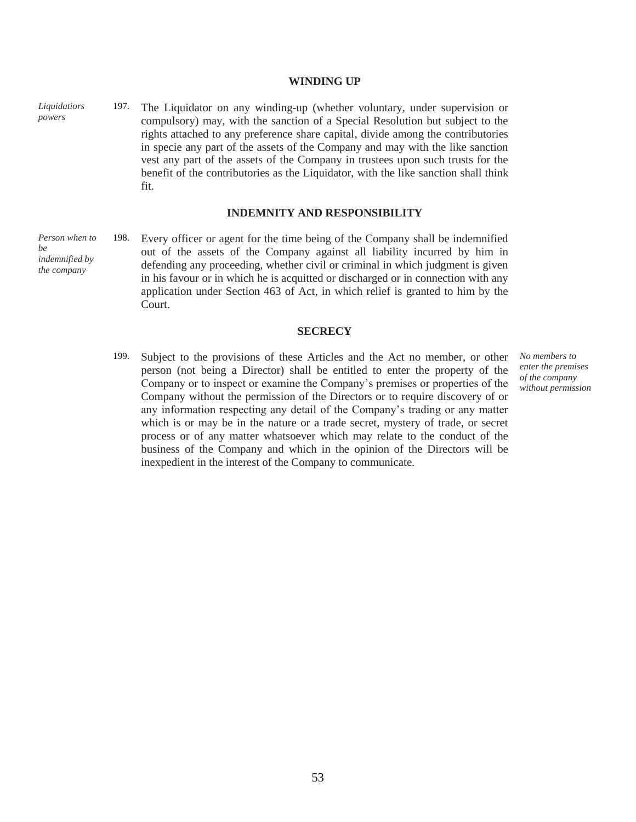**WINDING UP**

197. The Liquidator on any winding-up (whether voluntary, under supervision or compulsory) may, with the sanction of a Special Resolution but subject to the rights attached to any preference share capital, divide among the contributories in specie any part of the assets of the Company and may with the like sanction vest any part of the assets of the Company in trustees upon such trusts for the benefit of the contributories as the Liquidator, with the like sanction shall think fit.

#### **INDEMNITY AND RESPONSIBILITY**

*Person when to*  198. Every officer or agent for the time being of the Company shall be indemnified out of the assets of the Company against all liability incurred by him in defending any proceeding, whether civil or criminal in which judgment is given in his favour or in which he is acquitted or discharged or in connection with any application under Section 463 of Act, in which relief is granted to him by the Court.

#### **SECRECY**

199. Subject to the provisions of these Articles and the Act no member, or other person (not being a Director) shall be entitled to enter the property of the Company or to inspect or examine the Company's premises or properties of the Company without the permission of the Directors or to require discovery of or any information respecting any detail of the Company's trading or any matter which is or may be in the nature or a trade secret, mystery of trade, or secret process or of any matter whatsoever which may relate to the conduct of the business of the Company and which in the opinion of the Directors will be inexpedient in the interest of the Company to communicate.

*No members to enter the premises of the company without permission*

*Liquidatiors powers*

*be indemnified by the company*